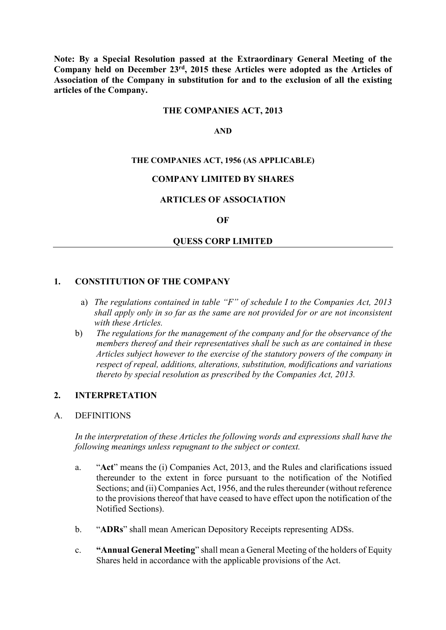**Note: By a Special Resolution passed at the Extraordinary General Meeting of the Company held on December 23rd, 2015 these Articles were adopted as the Articles of Association of the Company in substitution for and to the exclusion of all the existing articles of the Company.**

#### **THE COMPANIES ACT, 2013**

#### **AND**

#### **THE COMPANIES ACT, 1956 (AS APPLICABLE)**

#### **COMPANY LIMITED BY SHARES**

#### **ARTICLES OF ASSOCIATION**

#### **OF**

#### **QUESS CORP LIMITED**

#### **1. CONSTITUTION OF THE COMPANY**

- a) *The regulations contained in table "F" of schedule I to the Companies Act, 2013 shall apply only in so far as the same are not provided for or are not inconsistent with these Articles.*
- b) *The regulations for the management of the company and for the observance of the members thereof and their representatives shall be such as are contained in these Articles subject however to the exercise of the statutory powers of the company in respect of repeal, additions, alterations, substitution, modifications and variations thereto by special resolution as prescribed by the Companies Act, 2013.*

#### **2. INTERPRETATION**

#### A. DEFINITIONS

*In the interpretation of these Articles the following words and expressions shall have the following meanings unless repugnant to the subject or context.*

- a. "**Act**" means the (i) Companies Act, 2013, and the Rules and clarifications issued thereunder to the extent in force pursuant to the notification of the Notified Sections; and (ii) Companies Act, 1956, and the rules thereunder (without reference to the provisions thereof that have ceased to have effect upon the notification of the Notified Sections).
- b. "**ADRs**" shall mean American Depository Receipts representing ADSs.
- c. **"Annual General Meeting**" shall mean a General Meeting of the holders of Equity Shares held in accordance with the applicable provisions of the Act.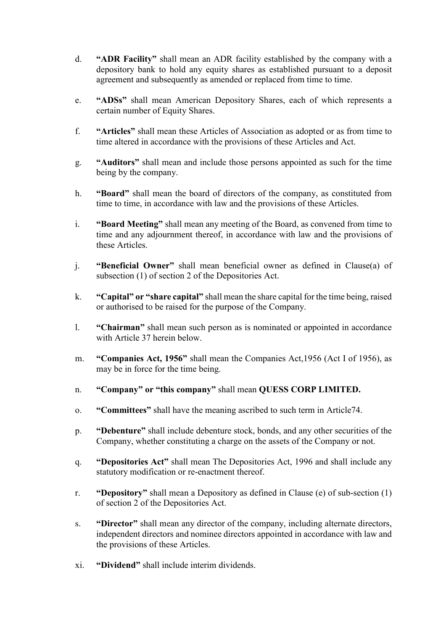- d. **"ADR Facility"** shall mean an ADR facility established by the company with a depository bank to hold any equity shares as established pursuant to a deposit agreement and subsequently as amended or replaced from time to time.
- e. **"ADSs"** shall mean American Depository Shares, each of which represents a certain number of Equity Shares.
- f. **"Articles"** shall mean these Articles of Association as adopted or as from time to time altered in accordance with the provisions of these Articles and Act.
- g. **"Auditors"** shall mean and include those persons appointed as such for the time being by the company.
- h. **"Board"** shall mean the board of directors of the company, as constituted from time to time, in accordance with law and the provisions of these Articles.
- i. **"Board Meeting"** shall mean any meeting of the Board, as convened from time to time and any adjournment thereof, in accordance with law and the provisions of these Articles.
- j. **"Beneficial Owner"** shall mean beneficial owner as defined in Clause(a) of subsection (1) of section 2 of the Depositories Act.
- k. **"Capital" or "share capital"** shall mean the share capital for the time being, raised or authorised to be raised for the purpose of the Company.
- l. **"Chairman"** shall mean such person as is nominated or appointed in accordance with Article 37 herein below.
- m. **"Companies Act, 1956"** shall mean the Companies Act,1956 (Act I of 1956), as may be in force for the time being.
- n. **"Company" or "this company"** shall mean **QUESS CORP LIMITED.**
- o. **"Committees"** shall have the meaning ascribed to such term in Article74.
- p. **"Debenture"** shall include debenture stock, bonds, and any other securities of the Company, whether constituting a charge on the assets of the Company or not.
- q. **"Depositories Act"** shall mean The Depositories Act, 1996 and shall include any statutory modification or re-enactment thereof.
- r. **"Depository"** shall mean a Depository as defined in Clause (e) of sub-section (1) of section 2 of the Depositories Act.
- s. **"Director"** shall mean any director of the company, including alternate directors, independent directors and nominee directors appointed in accordance with law and the provisions of these Articles.
- xi. **"Dividend"** shall include interim dividends.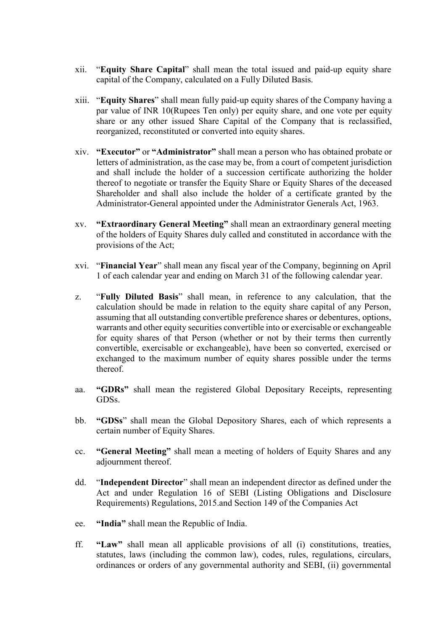- xii. "**Equity Share Capital**" shall mean the total issued and paid-up equity share capital of the Company, calculated on a Fully Diluted Basis.
- xiii. "**Equity Shares**" shall mean fully paid-up equity shares of the Company having a par value of INR 10(Rupees Ten only) per equity share, and one vote per equity share or any other issued Share Capital of the Company that is reclassified, reorganized, reconstituted or converted into equity shares.
- xiv. **"Executor"** or **"Administrator"** shall mean a person who has obtained probate or letters of administration, as the case may be, from a court of competent jurisdiction and shall include the holder of a succession certificate authorizing the holder thereof to negotiate or transfer the Equity Share or Equity Shares of the deceased Shareholder and shall also include the holder of a certificate granted by the Administrator-General appointed under the Administrator Generals Act, 1963.
- xv. **"Extraordinary General Meeting"** shall mean an extraordinary general meeting of the holders of Equity Shares duly called and constituted in accordance with the provisions of the Act;
- xvi. "**Financial Year**" shall mean any fiscal year of the Company, beginning on April 1 of each calendar year and ending on March 31 of the following calendar year.
- z. "**Fully Diluted Basis**" shall mean, in reference to any calculation, that the calculation should be made in relation to the equity share capital of any Person, assuming that all outstanding convertible preference shares or debentures, options, warrants and other equity securities convertible into or exercisable or exchangeable for equity shares of that Person (whether or not by their terms then currently convertible, exercisable or exchangeable), have been so converted, exercised or exchanged to the maximum number of equity shares possible under the terms thereof.
- aa. **"GDRs"** shall mean the registered Global Depositary Receipts, representing GDSs.
- bb. **"GDSs**" shall mean the Global Depository Shares, each of which represents a certain number of Equity Shares.
- cc. **"General Meeting"** shall mean a meeting of holders of Equity Shares and any adjournment thereof.
- dd. "**Independent Director**" shall mean an independent director as defined under the Act and under Regulation 16 of SEBI (Listing Obligations and Disclosure Requirements) Regulations, 2015.and Section 149 of the Companies Act
- ee. **"India"** shall mean the Republic of India.
- ff. **"Law"** shall mean all applicable provisions of all (i) constitutions, treaties, statutes, laws (including the common law), codes, rules, regulations, circulars, ordinances or orders of any governmental authority and SEBI, (ii) governmental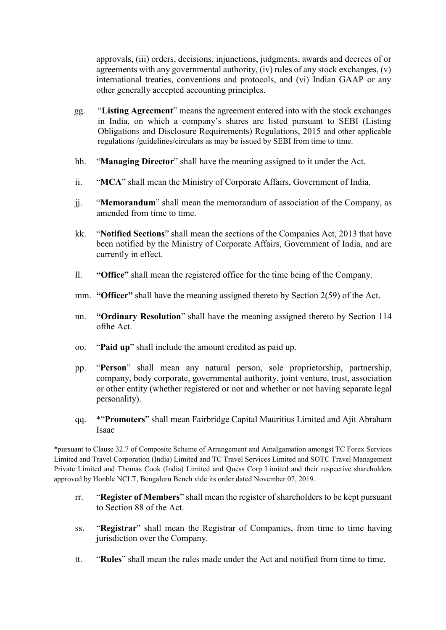approvals, (iii) orders, decisions, injunctions, judgments, awards and decrees of or agreements with any governmental authority, (iv) rules of any stock exchanges, (v) international treaties, conventions and protocols, and (vi) Indian GAAP or any other generally accepted accounting principles.

- gg. "**Listing Agreement**" means the agreement entered into with the stock exchanges in India, on which a company's shares are listed pursuant to SEBI (Listing Obligations and Disclosure Requirements) Regulations, 2015 and other applicable regulations /guidelines/circulars as may be issued by SEBI from time to time.
- hh. "**Managing Director**" shall have the meaning assigned to it under the Act.
- ii. "**MCA**" shall mean the Ministry of Corporate Affairs, Government of India.
- jj. "**Memorandum**" shall mean the memorandum of association of the Company, as amended from time to time.
- kk. "**Notified Sections**" shall mean the sections of the Companies Act, 2013 that have been notified by the Ministry of Corporate Affairs, Government of India, and are currently in effect.
- ll. **"Office"** shall mean the registered office for the time being of the Company.
- mm. **"Officer"** shall have the meaning assigned thereto by Section 2(59) of the Act.
- nn. **"Ordinary Resolution**" shall have the meaning assigned thereto by Section 114 ofthe Act.
- oo. "**Paid up**" shall include the amount credited as paid up.
- pp. "**Person**" shall mean any natural person, sole proprietorship, partnership, company, body corporate, governmental authority, joint venture, trust, association or other entity (whether registered or not and whether or not having separate legal personality).
- qq. \*"**Promoters**" shall mean Fairbridge Capital Mauritius Limited and Ajit Abraham Isaac

\*pursuant to Clause 32.7 of Composite Scheme of Arrangement and Amalgamation amongst TC Forex Services Limited and Travel Corporation (India) Limited and TC Travel Services Limited and SOTC Travel Management Private Limited and Thomas Cook (India) Limited and Quess Corp Limited and their respective shareholders approved by Honble NCLT, Bengaluru Bench vide its order dated November 07, 2019.

- rr. "**Register of Members**" shall mean the register of shareholders to be kept pursuant to Section 88 of the Act.
- ss. "**Registrar**" shall mean the Registrar of Companies, from time to time having jurisdiction over the Company.
- tt. "**Rules**" shall mean the rules made under the Act and notified from time to time.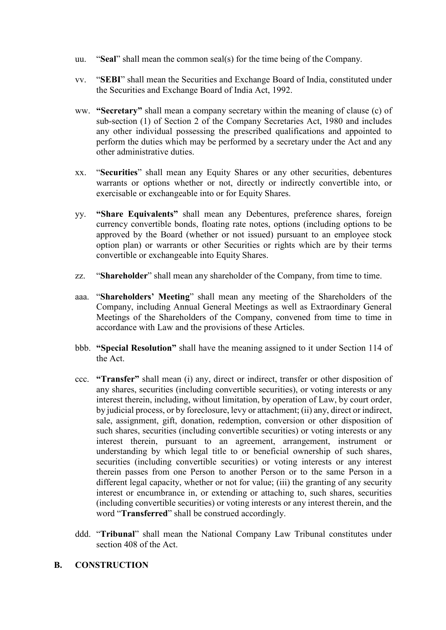- uu. "**Seal**" shall mean the common seal(s) for the time being of the Company.
- vv. "**SEBI**" shall mean the Securities and Exchange Board of India, constituted under the Securities and Exchange Board of India Act, 1992.
- ww. **"Secretary"** shall mean a company secretary within the meaning of clause (c) of sub-section (1) of Section 2 of the Company Secretaries Act, 1980 and includes any other individual possessing the prescribed qualifications and appointed to perform the duties which may be performed by a secretary under the Act and any other administrative duties.
- xx. "**Securities**" shall mean any Equity Shares or any other securities, debentures warrants or options whether or not, directly or indirectly convertible into, or exercisable or exchangeable into or for Equity Shares.
- yy. **"Share Equivalents"** shall mean any Debentures, preference shares, foreign currency convertible bonds, floating rate notes, options (including options to be approved by the Board (whether or not issued) pursuant to an employee stock option plan) or warrants or other Securities or rights which are by their terms convertible or exchangeable into Equity Shares.
- zz. "**Shareholder**" shall mean any shareholder of the Company, from time to time.
- aaa. "**Shareholders' Meeting**" shall mean any meeting of the Shareholders of the Company, including Annual General Meetings as well as Extraordinary General Meetings of the Shareholders of the Company, convened from time to time in accordance with Law and the provisions of these Articles.
- bbb. **"Special Resolution"** shall have the meaning assigned to it under Section 114 of the Act.
- ccc. **"Transfer"** shall mean (i) any, direct or indirect, transfer or other disposition of any shares, securities (including convertible securities), or voting interests or any interest therein, including, without limitation, by operation of Law, by court order, by judicial process, or by foreclosure, levy or attachment; (ii) any, direct or indirect, sale, assignment, gift, donation, redemption, conversion or other disposition of such shares, securities (including convertible securities) or voting interests or any interest therein, pursuant to an agreement, arrangement, instrument or understanding by which legal title to or beneficial ownership of such shares, securities (including convertible securities) or voting interests or any interest therein passes from one Person to another Person or to the same Person in a different legal capacity, whether or not for value; (iii) the granting of any security interest or encumbrance in, or extending or attaching to, such shares, securities (including convertible securities) or voting interests or any interest therein, and the word "**Transferred**" shall be construed accordingly.
- ddd. "**Tribunal**" shall mean the National Company Law Tribunal constitutes under section 408 of the Act.
- **B. CONSTRUCTION**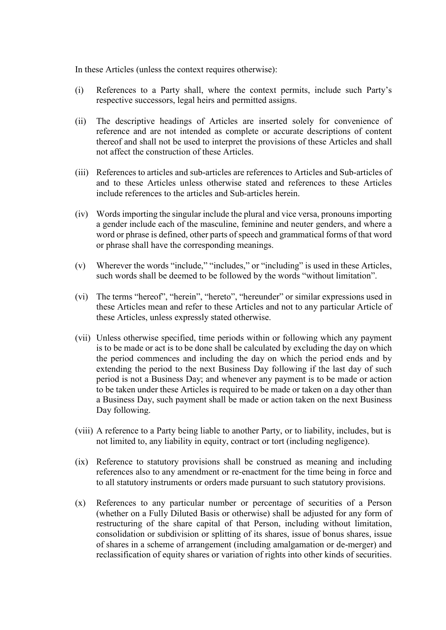In these Articles (unless the context requires otherwise):

- (i) References to a Party shall, where the context permits, include such Party's respective successors, legal heirs and permitted assigns.
- (ii) The descriptive headings of Articles are inserted solely for convenience of reference and are not intended as complete or accurate descriptions of content thereof and shall not be used to interpret the provisions of these Articles and shall not affect the construction of these Articles.
- (iii) References to articles and sub-articles are references to Articles and Sub-articles of and to these Articles unless otherwise stated and references to these Articles include references to the articles and Sub-articles herein.
- (iv) Words importing the singular include the plural and vice versa, pronouns importing a gender include each of the masculine, feminine and neuter genders, and where a word or phrase is defined, other parts of speech and grammatical forms of that word or phrase shall have the corresponding meanings.
- (v) Wherever the words "include," "includes," or "including" is used in these Articles, such words shall be deemed to be followed by the words "without limitation".
- (vi) The terms "hereof", "herein", "hereto", "hereunder" or similar expressions used in these Articles mean and refer to these Articles and not to any particular Article of these Articles, unless expressly stated otherwise.
- (vii) Unless otherwise specified, time periods within or following which any payment is to be made or act is to be done shall be calculated by excluding the day on which the period commences and including the day on which the period ends and by extending the period to the next Business Day following if the last day of such period is not a Business Day; and whenever any payment is to be made or action to be taken under these Articles is required to be made or taken on a day other than a Business Day, such payment shall be made or action taken on the next Business Day following.
- (viii) A reference to a Party being liable to another Party, or to liability, includes, but is not limited to, any liability in equity, contract or tort (including negligence).
- (ix) Reference to statutory provisions shall be construed as meaning and including references also to any amendment or re-enactment for the time being in force and to all statutory instruments or orders made pursuant to such statutory provisions.
- (x) References to any particular number or percentage of securities of a Person (whether on a Fully Diluted Basis or otherwise) shall be adjusted for any form of restructuring of the share capital of that Person, including without limitation, consolidation or subdivision or splitting of its shares, issue of bonus shares, issue of shares in a scheme of arrangement (including amalgamation or de-merger) and reclassification of equity shares or variation of rights into other kinds of securities.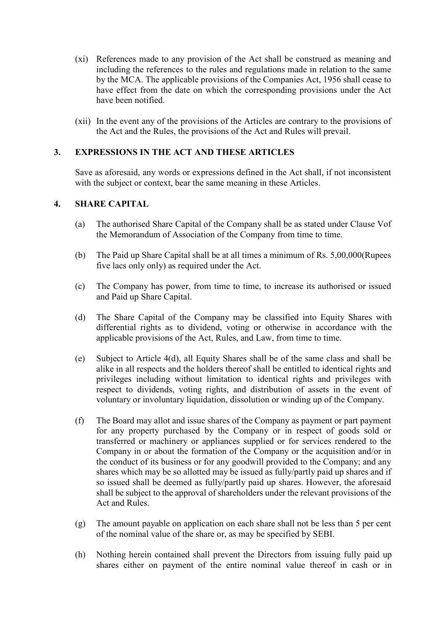- (xi) References made to any provision of the Act shall be construed as meaning and including the references to the rules and regulations made in relation to the same by the MCA. The applicable provisions of the Companies Act, 1956 shall cease to have effect from the date on which the corresponding provisions under the Act have been notified.
- (xii) In the event any of the provisions of the Articles are contrary to the provisions of the Act and the Rules, the provisions of the Act and Rules will prevail.

# **3. EXPRESSIONS IN THE ACT AND THESE ARTICLES**

Save as aforesaid, any words or expressions defined in the Act shall, if not inconsistent with the subject or context, bear the same meaning in these Articles.

## **4. SHARE CAPITAL**

- (a) The authorised Share Capital of the Company shall be as stated under Clause Vof the Memorandum of Association of the Company from time to time.
- (b) The Paid up Share Capital shall be at all times a minimum of Rs. 5,00,000(Rupees five lacs only only) as required under the Act.
- (c) The Company has power, from time to time, to increase its authorised or issued and Paid up Share Capital.
- (d) The Share Capital of the Company may be classified into Equity Shares with differential rights as to dividend, voting or otherwise in accordance with the applicable provisions of the Act, Rules, and Law, from time to time.
- (e) Subject to Article 4(d), all Equity Shares shall be of the same class and shall be alike in all respects and the holders thereof shall be entitled to identical rights and privileges including without limitation to identical rights and privileges with respect to dividends, voting rights, and distribution of assets in the event of voluntary or involuntary liquidation, dissolution or winding up of the Company.
- (f) The Board may allot and issue shares of the Company as payment or part payment for any property purchased by the Company or in respect of goods sold or transferred or machinery or appliances supplied or for services rendered to the Company in or about the formation of the Company or the acquisition and/or in the conduct of its business or for any goodwill provided to the Company; and any shares which may be so allotted may be issued as fully/partly paid up shares and if so issued shall be deemed as fully/partly paid up shares. However, the aforesaid shall be subject to the approval of shareholders under the relevant provisions of the Act and Rules.
- (g) The amount payable on application on each share shall not be less than 5 per cent of the nominal value of the share or, as may be specified by SEBI.
- (h) Nothing herein contained shall prevent the Directors from issuing fully paid up shares either on payment of the entire nominal value thereof in cash or in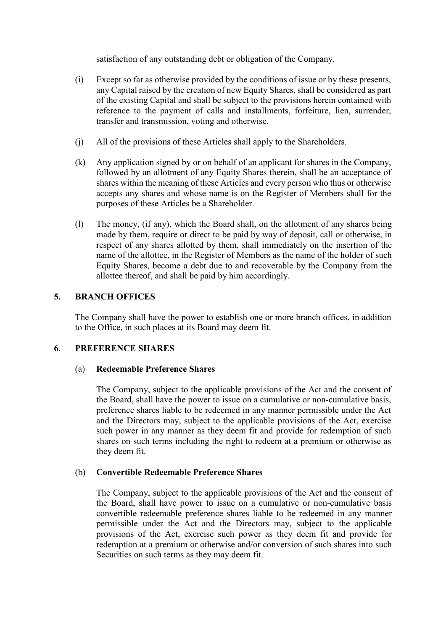satisfaction of any outstanding debt or obligation of the Company.

- (i) Except so far as otherwise provided by the conditions of issue or by these presents, any Capital raised by the creation of new Equity Shares, shall be considered as part of the existing Capital and shall be subject to the provisions herein contained with reference to the payment of calls and installments, forfeiture, lien, surrender, transfer and transmission, voting and otherwise.
- (j) All of the provisions of these Articles shall apply to the Shareholders.
- (k) Any application signed by or on behalf of an applicant for shares in the Company, followed by an allotment of any Equity Shares therein, shall be an acceptance of shares within the meaning of these Articles and every person who thus or otherwise accepts any shares and whose name is on the Register of Members shall for the purposes of these Articles be a Shareholder.
- (l) The money, (if any), which the Board shall, on the allotment of any shares being made by them, require or direct to be paid by way of deposit, call or otherwise, in respect of any shares allotted by them, shall immediately on the insertion of the name of the allottee, in the Register of Members as the name of the holder of such Equity Shares, become a debt due to and recoverable by the Company from the allottee thereof, and shall be paid by him accordingly.

## **5. BRANCH OFFICES**

The Company shall have the power to establish one or more branch offices, in addition to the Office, in such places at its Board may deem fit.

#### **6. PREFERENCE SHARES**

#### (a) **Redeemable Preference Shares**

The Company, subject to the applicable provisions of the Act and the consent of the Board, shall have the power to issue on a cumulative or non-cumulative basis, preference shares liable to be redeemed in any manner permissible under the Act and the Directors may, subject to the applicable provisions of the Act, exercise such power in any manner as they deem fit and provide for redemption of such shares on such terms including the right to redeem at a premium or otherwise as they deem fit.

#### (b) **Convertible Redeemable Preference Shares**

The Company, subject to the applicable provisions of the Act and the consent of the Board, shall have power to issue on a cumulative or non-cumulative basis convertible redeemable preference shares liable to be redeemed in any manner permissible under the Act and the Directors may, subject to the applicable provisions of the Act, exercise such power as they deem fit and provide for redemption at a premium or otherwise and/or conversion of such shares into such Securities on such terms as they may deem fit.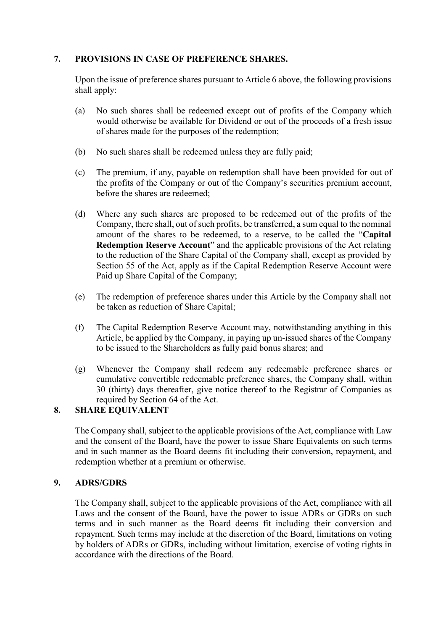# **7. PROVISIONS IN CASE OF PREFERENCE SHARES.**

Upon the issue of preference shares pursuant to Article 6 above, the following provisions shall apply:

- (a) No such shares shall be redeemed except out of profits of the Company which would otherwise be available for Dividend or out of the proceeds of a fresh issue of shares made for the purposes of the redemption;
- (b) No such shares shall be redeemed unless they are fully paid;
- (c) The premium, if any, payable on redemption shall have been provided for out of the profits of the Company or out of the Company's securities premium account, before the shares are redeemed;
- (d) Where any such shares are proposed to be redeemed out of the profits of the Company, there shall, out of such profits, be transferred, a sum equal to the nominal amount of the shares to be redeemed, to a reserve, to be called the "**Capital Redemption Reserve Account**" and the applicable provisions of the Act relating to the reduction of the Share Capital of the Company shall, except as provided by Section 55 of the Act, apply as if the Capital Redemption Reserve Account were Paid up Share Capital of the Company;
- (e) The redemption of preference shares under this Article by the Company shall not be taken as reduction of Share Capital;
- (f) The Capital Redemption Reserve Account may, notwithstanding anything in this Article, be applied by the Company, in paying up un-issued shares of the Company to be issued to the Shareholders as fully paid bonus shares; and
- (g) Whenever the Company shall redeem any redeemable preference shares or cumulative convertible redeemable preference shares, the Company shall, within 30 (thirty) days thereafter, give notice thereof to the Registrar of Companies as required by Section 64 of the Act.

# **8. SHARE EQUIVALENT**

The Company shall, subject to the applicable provisions of the Act, compliance with Law and the consent of the Board, have the power to issue Share Equivalents on such terms and in such manner as the Board deems fit including their conversion, repayment, and redemption whether at a premium or otherwise.

## **9. ADRS/GDRS**

The Company shall, subject to the applicable provisions of the Act, compliance with all Laws and the consent of the Board, have the power to issue ADRs or GDRs on such terms and in such manner as the Board deems fit including their conversion and repayment. Such terms may include at the discretion of the Board, limitations on voting by holders of ADRs or GDRs, including without limitation, exercise of voting rights in accordance with the directions of the Board.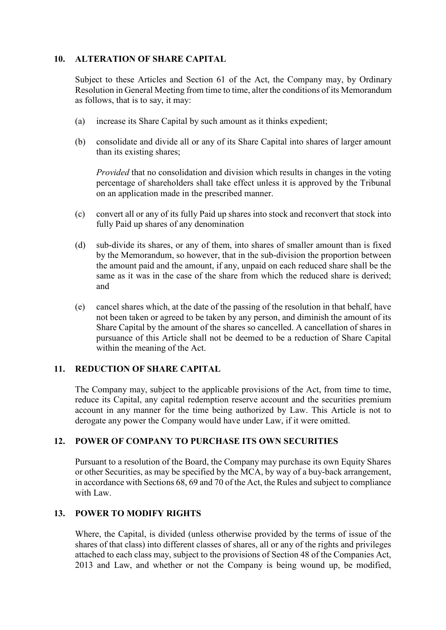## **10. ALTERATION OF SHARE CAPITAL**

Subject to these Articles and Section 61 of the Act, the Company may, by Ordinary Resolution in General Meeting from time to time, alter the conditions of its Memorandum as follows, that is to say, it may:

- (a) increase its Share Capital by such amount as it thinks expedient;
- (b) consolidate and divide all or any of its Share Capital into shares of larger amount than its existing shares;

*Provided* that no consolidation and division which results in changes in the voting percentage of shareholders shall take effect unless it is approved by the Tribunal on an application made in the prescribed manner.

- (c) convert all or any of its fully Paid up shares into stock and reconvert that stock into fully Paid up shares of any denomination
- (d) sub-divide its shares, or any of them, into shares of smaller amount than is fixed by the Memorandum, so however, that in the sub-division the proportion between the amount paid and the amount, if any, unpaid on each reduced share shall be the same as it was in the case of the share from which the reduced share is derived; and
- (e) cancel shares which, at the date of the passing of the resolution in that behalf, have not been taken or agreed to be taken by any person, and diminish the amount of its Share Capital by the amount of the shares so cancelled. A cancellation of shares in pursuance of this Article shall not be deemed to be a reduction of Share Capital within the meaning of the Act.

## **11. REDUCTION OF SHARE CAPITAL**

The Company may, subject to the applicable provisions of the Act, from time to time, reduce its Capital, any capital redemption reserve account and the securities premium account in any manner for the time being authorized by Law. This Article is not to derogate any power the Company would have under Law, if it were omitted.

## **12. POWER OF COMPANY TO PURCHASE ITS OWN SECURITIES**

Pursuant to a resolution of the Board, the Company may purchase its own Equity Shares or other Securities, as may be specified by the MCA, by way of a buy-back arrangement, in accordance with Sections 68, 69 and 70 of the Act, the Rules and subject to compliance with Law.

## **13. POWER TO MODIFY RIGHTS**

Where, the Capital, is divided (unless otherwise provided by the terms of issue of the shares of that class) into different classes of shares, all or any of the rights and privileges attached to each class may, subject to the provisions of Section 48 of the Companies Act, 2013 and Law, and whether or not the Company is being wound up, be modified,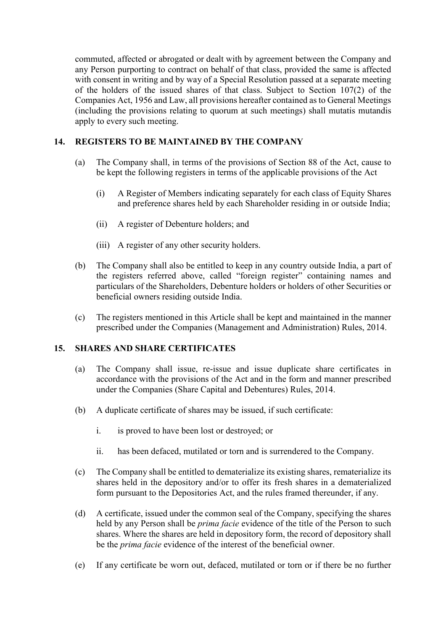commuted, affected or abrogated or dealt with by agreement between the Company and any Person purporting to contract on behalf of that class, provided the same is affected with consent in writing and by way of a Special Resolution passed at a separate meeting of the holders of the issued shares of that class. Subject to Section 107(2) of the Companies Act, 1956 and Law, all provisions hereafter contained as to General Meetings (including the provisions relating to quorum at such meetings) shall mutatis mutandis apply to every such meeting.

# **14. REGISTERS TO BE MAINTAINED BY THE COMPANY**

- (a) The Company shall, in terms of the provisions of Section 88 of the Act, cause to be kept the following registers in terms of the applicable provisions of the Act
	- (i) A Register of Members indicating separately for each class of Equity Shares and preference shares held by each Shareholder residing in or outside India;
	- (ii) A register of Debenture holders; and
	- (iii) A register of any other security holders.
- (b) The Company shall also be entitled to keep in any country outside India, a part of the registers referred above, called "foreign register" containing names and particulars of the Shareholders, Debenture holders or holders of other Securities or beneficial owners residing outside India.
- (c) The registers mentioned in this Article shall be kept and maintained in the manner prescribed under the Companies (Management and Administration) Rules, 2014.

## **15. SHARES AND SHARE CERTIFICATES**

- (a) The Company shall issue, re-issue and issue duplicate share certificates in accordance with the provisions of the Act and in the form and manner prescribed under the Companies (Share Capital and Debentures) Rules, 2014.
- (b) A duplicate certificate of shares may be issued, if such certificate:
	- i. is proved to have been lost or destroyed; or
	- ii. has been defaced, mutilated or torn and is surrendered to the Company.
- (c) The Company shall be entitled to dematerialize its existing shares, rematerialize its shares held in the depository and/or to offer its fresh shares in a dematerialized form pursuant to the Depositories Act, and the rules framed thereunder, if any.
- (d) A certificate, issued under the common seal of the Company, specifying the shares held by any Person shall be *prima facie* evidence of the title of the Person to such shares. Where the shares are held in depository form, the record of depository shall be the *prima facie* evidence of the interest of the beneficial owner.
- (e) If any certificate be worn out, defaced, mutilated or torn or if there be no further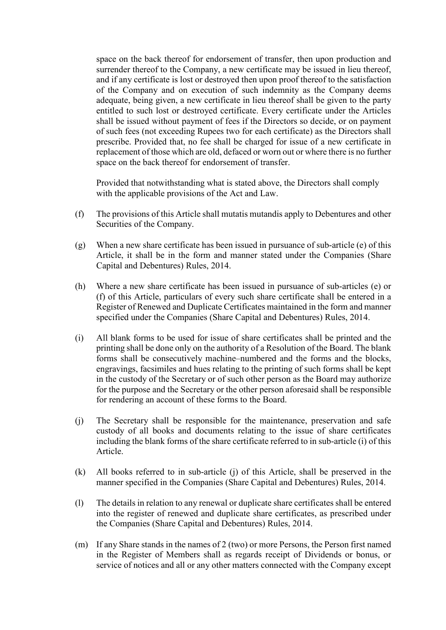space on the back thereof for endorsement of transfer, then upon production and surrender thereof to the Company, a new certificate may be issued in lieu thereof, and if any certificate is lost or destroyed then upon proof thereof to the satisfaction of the Company and on execution of such indemnity as the Company deems adequate, being given, a new certificate in lieu thereof shall be given to the party entitled to such lost or destroyed certificate. Every certificate under the Articles shall be issued without payment of fees if the Directors so decide, or on payment of such fees (not exceeding Rupees two for each certificate) as the Directors shall prescribe. Provided that, no fee shall be charged for issue of a new certificate in replacement of those which are old, defaced or worn out or where there is no further space on the back thereof for endorsement of transfer.

Provided that notwithstanding what is stated above, the Directors shall comply with the applicable provisions of the Act and Law.

- (f) The provisions of this Article shall mutatis mutandis apply to Debentures and other Securities of the Company.
- (g) When a new share certificate has been issued in pursuance of sub-article (e) of this Article, it shall be in the form and manner stated under the Companies (Share Capital and Debentures) Rules, 2014.
- (h) Where a new share certificate has been issued in pursuance of sub-articles (e) or (f) of this Article, particulars of every such share certificate shall be entered in a Register of Renewed and Duplicate Certificates maintained in the form and manner specified under the Companies (Share Capital and Debentures) Rules, 2014.
- (i) All blank forms to be used for issue of share certificates shall be printed and the printing shall be done only on the authority of a Resolution of the Board. The blank forms shall be consecutively machine–numbered and the forms and the blocks, engravings, facsimiles and hues relating to the printing of such forms shall be kept in the custody of the Secretary or of such other person as the Board may authorize for the purpose and the Secretary or the other person aforesaid shall be responsible for rendering an account of these forms to the Board.
- (j) The Secretary shall be responsible for the maintenance, preservation and safe custody of all books and documents relating to the issue of share certificates including the blank forms of the share certificate referred to in sub-article (i) of this Article.
- (k) All books referred to in sub-article (j) of this Article, shall be preserved in the manner specified in the Companies (Share Capital and Debentures) Rules, 2014.
- (l) The details in relation to any renewal or duplicate share certificates shall be entered into the register of renewed and duplicate share certificates, as prescribed under the Companies (Share Capital and Debentures) Rules, 2014.
- (m) If any Share stands in the names of 2 (two) or more Persons, the Person first named in the Register of Members shall as regards receipt of Dividends or bonus, or service of notices and all or any other matters connected with the Company except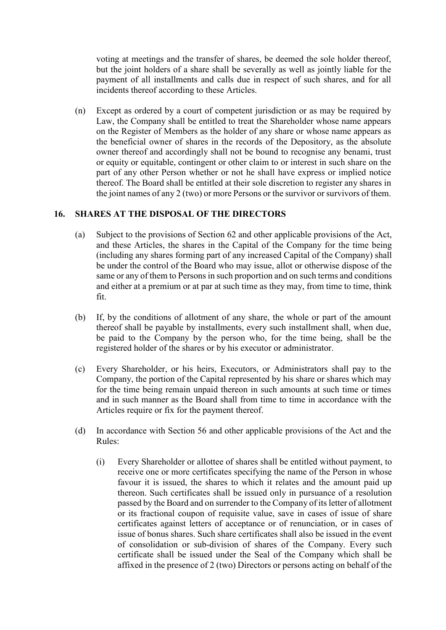voting at meetings and the transfer of shares, be deemed the sole holder thereof, but the joint holders of a share shall be severally as well as jointly liable for the payment of all installments and calls due in respect of such shares, and for all incidents thereof according to these Articles.

(n) Except as ordered by a court of competent jurisdiction or as may be required by Law, the Company shall be entitled to treat the Shareholder whose name appears on the Register of Members as the holder of any share or whose name appears as the beneficial owner of shares in the records of the Depository, as the absolute owner thereof and accordingly shall not be bound to recognise any benami, trust or equity or equitable, contingent or other claim to or interest in such share on the part of any other Person whether or not he shall have express or implied notice thereof. The Board shall be entitled at their sole discretion to register any shares in the joint names of any 2 (two) or more Persons or the survivor or survivors of them.

#### **16. SHARES AT THE DISPOSAL OF THE DIRECTORS**

- (a) Subject to the provisions of Section 62 and other applicable provisions of the Act, and these Articles, the shares in the Capital of the Company for the time being (including any shares forming part of any increased Capital of the Company) shall be under the control of the Board who may issue, allot or otherwise dispose of the same or any of them to Persons in such proportion and on such terms and conditions and either at a premium or at par at such time as they may, from time to time, think fit.
- (b) If, by the conditions of allotment of any share, the whole or part of the amount thereof shall be payable by installments, every such installment shall, when due, be paid to the Company by the person who, for the time being, shall be the registered holder of the shares or by his executor or administrator.
- (c) Every Shareholder, or his heirs, Executors, or Administrators shall pay to the Company, the portion of the Capital represented by his share or shares which may for the time being remain unpaid thereon in such amounts at such time or times and in such manner as the Board shall from time to time in accordance with the Articles require or fix for the payment thereof.
- (d) In accordance with Section 56 and other applicable provisions of the Act and the Rules:
	- (i) Every Shareholder or allottee of shares shall be entitled without payment, to receive one or more certificates specifying the name of the Person in whose favour it is issued, the shares to which it relates and the amount paid up thereon. Such certificates shall be issued only in pursuance of a resolution passed by the Board and on surrender to the Company of its letter of allotment or its fractional coupon of requisite value, save in cases of issue of share certificates against letters of acceptance or of renunciation, or in cases of issue of bonus shares. Such share certificates shall also be issued in the event of consolidation or sub-division of shares of the Company. Every such certificate shall be issued under the Seal of the Company which shall be affixed in the presence of 2 (two) Directors or persons acting on behalf of the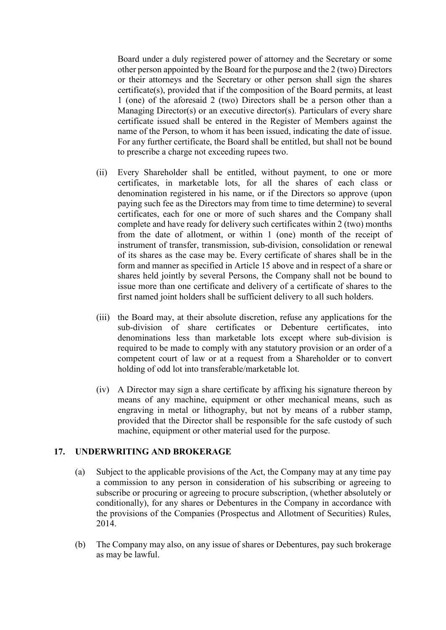Board under a duly registered power of attorney and the Secretary or some other person appointed by the Board for the purpose and the 2 (two) Directors or their attorneys and the Secretary or other person shall sign the shares certificate(s), provided that if the composition of the Board permits, at least 1 (one) of the aforesaid 2 (two) Directors shall be a person other than a Managing Director(s) or an executive director(s). Particulars of every share certificate issued shall be entered in the Register of Members against the name of the Person, to whom it has been issued, indicating the date of issue. For any further certificate, the Board shall be entitled, but shall not be bound to prescribe a charge not exceeding rupees two.

- (ii) Every Shareholder shall be entitled, without payment, to one or more certificates, in marketable lots, for all the shares of each class or denomination registered in his name, or if the Directors so approve (upon paying such fee as the Directors may from time to time determine) to several certificates, each for one or more of such shares and the Company shall complete and have ready for delivery such certificates within 2 (two) months from the date of allotment, or within 1 (one) month of the receipt of instrument of transfer, transmission, sub-division, consolidation or renewal of its shares as the case may be. Every certificate of shares shall be in the form and manner as specified in Article 15 above and in respect of a share or shares held jointly by several Persons, the Company shall not be bound to issue more than one certificate and delivery of a certificate of shares to the first named joint holders shall be sufficient delivery to all such holders.
- (iii) the Board may, at their absolute discretion, refuse any applications for the sub-division of share certificates or Debenture certificates, into denominations less than marketable lots except where sub-division is required to be made to comply with any statutory provision or an order of a competent court of law or at a request from a Shareholder or to convert holding of odd lot into transferable/marketable lot.
- (iv) A Director may sign a share certificate by affixing his signature thereon by means of any machine, equipment or other mechanical means, such as engraving in metal or lithography, but not by means of a rubber stamp, provided that the Director shall be responsible for the safe custody of such machine, equipment or other material used for the purpose.

#### **17. UNDERWRITING AND BROKERAGE**

- (a) Subject to the applicable provisions of the Act, the Company may at any time pay a commission to any person in consideration of his subscribing or agreeing to subscribe or procuring or agreeing to procure subscription, (whether absolutely or conditionally), for any shares or Debentures in the Company in accordance with the provisions of the Companies (Prospectus and Allotment of Securities) Rules, 2014.
- (b) The Company may also, on any issue of shares or Debentures, pay such brokerage as may be lawful.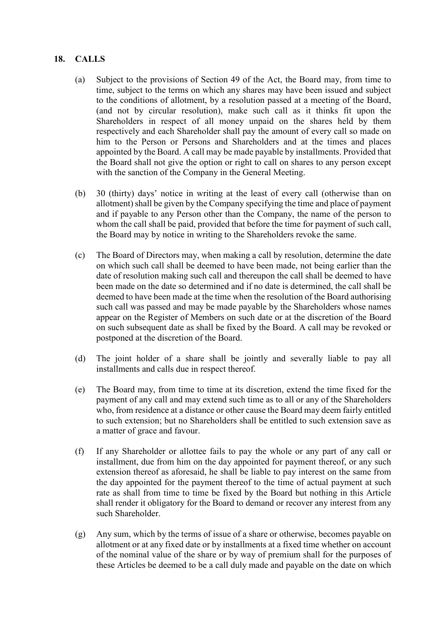## **18. CALLS**

- (a) Subject to the provisions of Section 49 of the Act, the Board may, from time to time, subject to the terms on which any shares may have been issued and subject to the conditions of allotment, by a resolution passed at a meeting of the Board, (and not by circular resolution), make such call as it thinks fit upon the Shareholders in respect of all money unpaid on the shares held by them respectively and each Shareholder shall pay the amount of every call so made on him to the Person or Persons and Shareholders and at the times and places appointed by the Board. A call may be made payable by installments. Provided that the Board shall not give the option or right to call on shares to any person except with the sanction of the Company in the General Meeting.
- (b) 30 (thirty) days' notice in writing at the least of every call (otherwise than on allotment) shall be given by the Company specifying the time and place of payment and if payable to any Person other than the Company, the name of the person to whom the call shall be paid, provided that before the time for payment of such call, the Board may by notice in writing to the Shareholders revoke the same.
- (c) The Board of Directors may, when making a call by resolution, determine the date on which such call shall be deemed to have been made, not being earlier than the date of resolution making such call and thereupon the call shall be deemed to have been made on the date so determined and if no date is determined, the call shall be deemed to have been made at the time when the resolution of the Board authorising such call was passed and may be made payable by the Shareholders whose names appear on the Register of Members on such date or at the discretion of the Board on such subsequent date as shall be fixed by the Board. A call may be revoked or postponed at the discretion of the Board.
- (d) The joint holder of a share shall be jointly and severally liable to pay all installments and calls due in respect thereof.
- (e) The Board may, from time to time at its discretion, extend the time fixed for the payment of any call and may extend such time as to all or any of the Shareholders who, from residence at a distance or other cause the Board may deem fairly entitled to such extension; but no Shareholders shall be entitled to such extension save as a matter of grace and favour.
- (f) If any Shareholder or allottee fails to pay the whole or any part of any call or installment, due from him on the day appointed for payment thereof, or any such extension thereof as aforesaid, he shall be liable to pay interest on the same from the day appointed for the payment thereof to the time of actual payment at such rate as shall from time to time be fixed by the Board but nothing in this Article shall render it obligatory for the Board to demand or recover any interest from any such Shareholder.
- (g) Any sum, which by the terms of issue of a share or otherwise, becomes payable on allotment or at any fixed date or by installments at a fixed time whether on account of the nominal value of the share or by way of premium shall for the purposes of these Articles be deemed to be a call duly made and payable on the date on which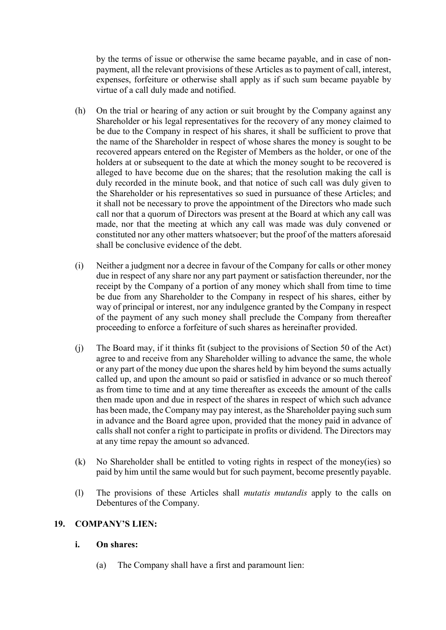by the terms of issue or otherwise the same became payable, and in case of nonpayment, all the relevant provisions of these Articles as to payment of call, interest, expenses, forfeiture or otherwise shall apply as if such sum became payable by virtue of a call duly made and notified.

- (h) On the trial or hearing of any action or suit brought by the Company against any Shareholder or his legal representatives for the recovery of any money claimed to be due to the Company in respect of his shares, it shall be sufficient to prove that the name of the Shareholder in respect of whose shares the money is sought to be recovered appears entered on the Register of Members as the holder, or one of the holders at or subsequent to the date at which the money sought to be recovered is alleged to have become due on the shares; that the resolution making the call is duly recorded in the minute book, and that notice of such call was duly given to the Shareholder or his representatives so sued in pursuance of these Articles; and it shall not be necessary to prove the appointment of the Directors who made such call nor that a quorum of Directors was present at the Board at which any call was made, nor that the meeting at which any call was made was duly convened or constituted nor any other matters whatsoever; but the proof of the matters aforesaid shall be conclusive evidence of the debt.
- (i) Neither a judgment nor a decree in favour of the Company for calls or other money due in respect of any share nor any part payment or satisfaction thereunder, nor the receipt by the Company of a portion of any money which shall from time to time be due from any Shareholder to the Company in respect of his shares, either by way of principal or interest, nor any indulgence granted by the Company in respect of the payment of any such money shall preclude the Company from thereafter proceeding to enforce a forfeiture of such shares as hereinafter provided.
- (j) The Board may, if it thinks fit (subject to the provisions of Section 50 of the Act) agree to and receive from any Shareholder willing to advance the same, the whole or any part of the money due upon the shares held by him beyond the sums actually called up, and upon the amount so paid or satisfied in advance or so much thereof as from time to time and at any time thereafter as exceeds the amount of the calls then made upon and due in respect of the shares in respect of which such advance has been made, the Company may pay interest, as the Shareholder paying such sum in advance and the Board agree upon, provided that the money paid in advance of calls shall not confer a right to participate in profits or dividend. The Directors may at any time repay the amount so advanced.
- (k) No Shareholder shall be entitled to voting rights in respect of the money(ies) so paid by him until the same would but for such payment, become presently payable.
- (l) The provisions of these Articles shall *mutatis mutandis* apply to the calls on Debentures of the Company.

#### **19. COMPANY'S LIEN:**

#### **i. On shares:**

(a) The Company shall have a first and paramount lien: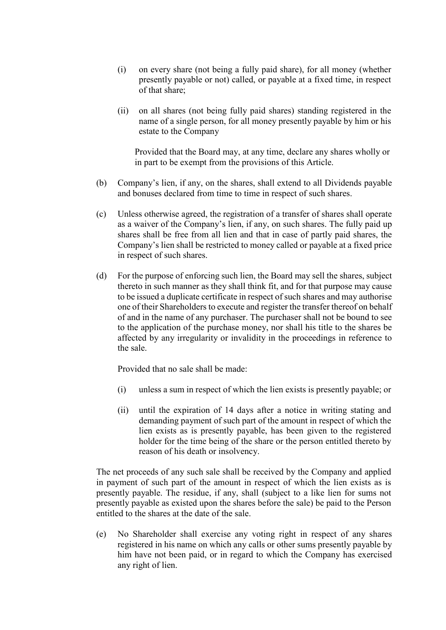- (i) on every share (not being a fully paid share), for all money (whether presently payable or not) called, or payable at a fixed time, in respect of that share;
- (ii) on all shares (not being fully paid shares) standing registered in the name of a single person, for all money presently payable by him or his estate to the Company

Provided that the Board may, at any time, declare any shares wholly or in part to be exempt from the provisions of this Article.

- (b) Company's lien, if any, on the shares, shall extend to all Dividends payable and bonuses declared from time to time in respect of such shares.
- (c) Unless otherwise agreed, the registration of a transfer of shares shall operate as a waiver of the Company's lien, if any, on such shares. The fully paid up shares shall be free from all lien and that in case of partly paid shares, the Company's lien shall be restricted to money called or payable at a fixed price in respect of such shares.
- (d) For the purpose of enforcing such lien, the Board may sell the shares, subject thereto in such manner as they shall think fit, and for that purpose may cause to be issued a duplicate certificate in respect of such shares and may authorise one of their Shareholders to execute and register the transfer thereof on behalf of and in the name of any purchaser. The purchaser shall not be bound to see to the application of the purchase money, nor shall his title to the shares be affected by any irregularity or invalidity in the proceedings in reference to the sale.

Provided that no sale shall be made:

- (i) unless a sum in respect of which the lien exists is presently payable; or
- (ii) until the expiration of 14 days after a notice in writing stating and demanding payment of such part of the amount in respect of which the lien exists as is presently payable, has been given to the registered holder for the time being of the share or the person entitled thereto by reason of his death or insolvency.

The net proceeds of any such sale shall be received by the Company and applied in payment of such part of the amount in respect of which the lien exists as is presently payable. The residue, if any, shall (subject to a like lien for sums not presently payable as existed upon the shares before the sale) be paid to the Person entitled to the shares at the date of the sale.

(e) No Shareholder shall exercise any voting right in respect of any shares registered in his name on which any calls or other sums presently payable by him have not been paid, or in regard to which the Company has exercised any right of lien.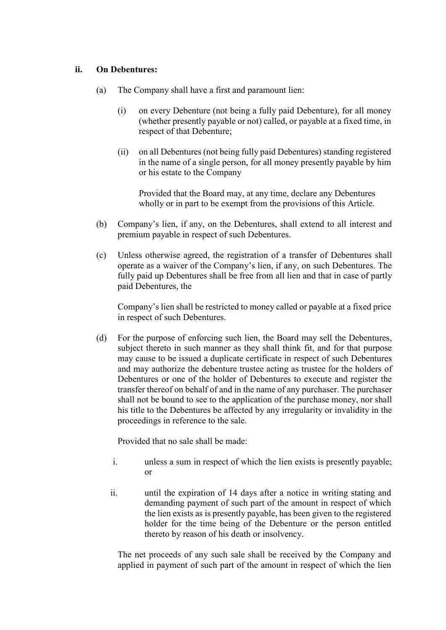#### **ii. On Debentures:**

- (a) The Company shall have a first and paramount lien:
	- (i) on every Debenture (not being a fully paid Debenture), for all money (whether presently payable or not) called, or payable at a fixed time, in respect of that Debenture;
	- (ii) on all Debentures (not being fully paid Debentures) standing registered in the name of a single person, for all money presently payable by him or his estate to the Company

Provided that the Board may, at any time, declare any Debentures wholly or in part to be exempt from the provisions of this Article.

- (b) Company's lien, if any, on the Debentures, shall extend to all interest and premium payable in respect of such Debentures.
- (c) Unless otherwise agreed, the registration of a transfer of Debentures shall operate as a waiver of the Company's lien, if any, on such Debentures. The fully paid up Debentures shall be free from all lien and that in case of partly paid Debentures, the

Company's lien shall be restricted to money called or payable at a fixed price in respect of such Debentures.

(d) For the purpose of enforcing such lien, the Board may sell the Debentures, subject thereto in such manner as they shall think fit, and for that purpose may cause to be issued a duplicate certificate in respect of such Debentures and may authorize the debenture trustee acting as trustee for the holders of Debentures or one of the holder of Debentures to execute and register the transfer thereof on behalf of and in the name of any purchaser. The purchaser shall not be bound to see to the application of the purchase money, nor shall his title to the Debentures be affected by any irregularity or invalidity in the proceedings in reference to the sale.

Provided that no sale shall be made:

- i. unless a sum in respect of which the lien exists is presently payable; or
- ii. until the expiration of 14 days after a notice in writing stating and demanding payment of such part of the amount in respect of which the lien exists as is presently payable, has been given to the registered holder for the time being of the Debenture or the person entitled thereto by reason of his death or insolvency.

The net proceeds of any such sale shall be received by the Company and applied in payment of such part of the amount in respect of which the lien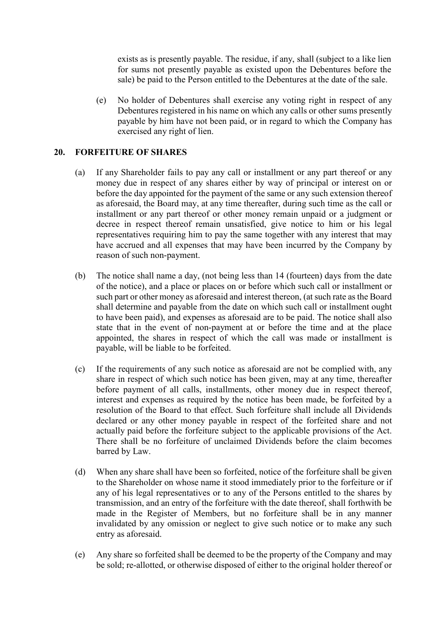exists as is presently payable. The residue, if any, shall (subject to a like lien for sums not presently payable as existed upon the Debentures before the sale) be paid to the Person entitled to the Debentures at the date of the sale.

(e) No holder of Debentures shall exercise any voting right in respect of any Debentures registered in his name on which any calls or other sums presently payable by him have not been paid, or in regard to which the Company has exercised any right of lien.

#### **20. FORFEITURE OF SHARES**

- (a) If any Shareholder fails to pay any call or installment or any part thereof or any money due in respect of any shares either by way of principal or interest on or before the day appointed for the payment of the same or any such extension thereof as aforesaid, the Board may, at any time thereafter, during such time as the call or installment or any part thereof or other money remain unpaid or a judgment or decree in respect thereof remain unsatisfied, give notice to him or his legal representatives requiring him to pay the same together with any interest that may have accrued and all expenses that may have been incurred by the Company by reason of such non-payment.
- (b) The notice shall name a day, (not being less than 14 (fourteen) days from the date of the notice), and a place or places on or before which such call or installment or such part or other money as aforesaid and interest thereon, (at such rate as the Board shall determine and payable from the date on which such call or installment ought to have been paid), and expenses as aforesaid are to be paid. The notice shall also state that in the event of non-payment at or before the time and at the place appointed, the shares in respect of which the call was made or installment is payable, will be liable to be forfeited.
- (c) If the requirements of any such notice as aforesaid are not be complied with, any share in respect of which such notice has been given, may at any time, thereafter before payment of all calls, installments, other money due in respect thereof, interest and expenses as required by the notice has been made, be forfeited by a resolution of the Board to that effect. Such forfeiture shall include all Dividends declared or any other money payable in respect of the forfeited share and not actually paid before the forfeiture subject to the applicable provisions of the Act. There shall be no forfeiture of unclaimed Dividends before the claim becomes barred by Law.
- (d) When any share shall have been so forfeited, notice of the forfeiture shall be given to the Shareholder on whose name it stood immediately prior to the forfeiture or if any of his legal representatives or to any of the Persons entitled to the shares by transmission, and an entry of the forfeiture with the date thereof, shall forthwith be made in the Register of Members, but no forfeiture shall be in any manner invalidated by any omission or neglect to give such notice or to make any such entry as aforesaid.
- (e) Any share so forfeited shall be deemed to be the property of the Company and may be sold; re-allotted, or otherwise disposed of either to the original holder thereof or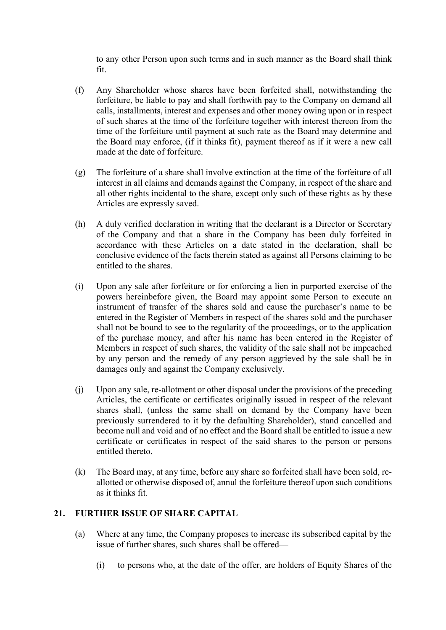to any other Person upon such terms and in such manner as the Board shall think fit.

- (f) Any Shareholder whose shares have been forfeited shall, notwithstanding the forfeiture, be liable to pay and shall forthwith pay to the Company on demand all calls, installments, interest and expenses and other money owing upon or in respect of such shares at the time of the forfeiture together with interest thereon from the time of the forfeiture until payment at such rate as the Board may determine and the Board may enforce, (if it thinks fit), payment thereof as if it were a new call made at the date of forfeiture.
- (g) The forfeiture of a share shall involve extinction at the time of the forfeiture of all interest in all claims and demands against the Company, in respect of the share and all other rights incidental to the share, except only such of these rights as by these Articles are expressly saved.
- (h) A duly verified declaration in writing that the declarant is a Director or Secretary of the Company and that a share in the Company has been duly forfeited in accordance with these Articles on a date stated in the declaration, shall be conclusive evidence of the facts therein stated as against all Persons claiming to be entitled to the shares.
- (i) Upon any sale after forfeiture or for enforcing a lien in purported exercise of the powers hereinbefore given, the Board may appoint some Person to execute an instrument of transfer of the shares sold and cause the purchaser's name to be entered in the Register of Members in respect of the shares sold and the purchaser shall not be bound to see to the regularity of the proceedings, or to the application of the purchase money, and after his name has been entered in the Register of Members in respect of such shares, the validity of the sale shall not be impeached by any person and the remedy of any person aggrieved by the sale shall be in damages only and against the Company exclusively.
- (j) Upon any sale, re-allotment or other disposal under the provisions of the preceding Articles, the certificate or certificates originally issued in respect of the relevant shares shall, (unless the same shall on demand by the Company have been previously surrendered to it by the defaulting Shareholder), stand cancelled and become null and void and of no effect and the Board shall be entitled to issue a new certificate or certificates in respect of the said shares to the person or persons entitled thereto.
- (k) The Board may, at any time, before any share so forfeited shall have been sold, reallotted or otherwise disposed of, annul the forfeiture thereof upon such conditions as it thinks fit.

## **21. FURTHER ISSUE OF SHARE CAPITAL**

- (a) Where at any time, the Company proposes to increase its subscribed capital by the issue of further shares, such shares shall be offered—
	- (i) to persons who, at the date of the offer, are holders of Equity Shares of the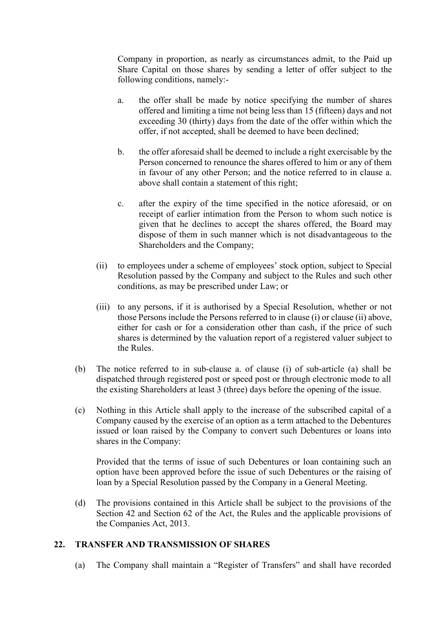Company in proportion, as nearly as circumstances admit, to the Paid up Share Capital on those shares by sending a letter of offer subject to the following conditions, namely:-

- a. the offer shall be made by notice specifying the number of shares offered and limiting a time not being less than 15 (fifteen) days and not exceeding 30 (thirty) days from the date of the offer within which the offer, if not accepted, shall be deemed to have been declined;
- b. the offer aforesaid shall be deemed to include a right exercisable by the Person concerned to renounce the shares offered to him or any of them in favour of any other Person; and the notice referred to in clause a. above shall contain a statement of this right;
- c. after the expiry of the time specified in the notice aforesaid, or on receipt of earlier intimation from the Person to whom such notice is given that he declines to accept the shares offered, the Board may dispose of them in such manner which is not disadvantageous to the Shareholders and the Company;
- (ii) to employees under a scheme of employees' stock option, subject to Special Resolution passed by the Company and subject to the Rules and such other conditions, as may be prescribed under Law; or
- (iii) to any persons, if it is authorised by a Special Resolution, whether or not those Persons include the Persons referred to in clause (i) or clause (ii) above, either for cash or for a consideration other than cash, if the price of such shares is determined by the valuation report of a registered valuer subject to the Rules.
- (b) The notice referred to in sub-clause a. of clause (i) of sub-article (a) shall be dispatched through registered post or speed post or through electronic mode to all the existing Shareholders at least 3 (three) days before the opening of the issue.
- (c) Nothing in this Article shall apply to the increase of the subscribed capital of a Company caused by the exercise of an option as a term attached to the Debentures issued or loan raised by the Company to convert such Debentures or loans into shares in the Company:

Provided that the terms of issue of such Debentures or loan containing such an option have been approved before the issue of such Debentures or the raising of loan by a Special Resolution passed by the Company in a General Meeting.

(d) The provisions contained in this Article shall be subject to the provisions of the Section 42 and Section 62 of the Act, the Rules and the applicable provisions of the Companies Act, 2013.

## **22. TRANSFER AND TRANSMISSION OF SHARES**

(a) The Company shall maintain a "Register of Transfers" and shall have recorded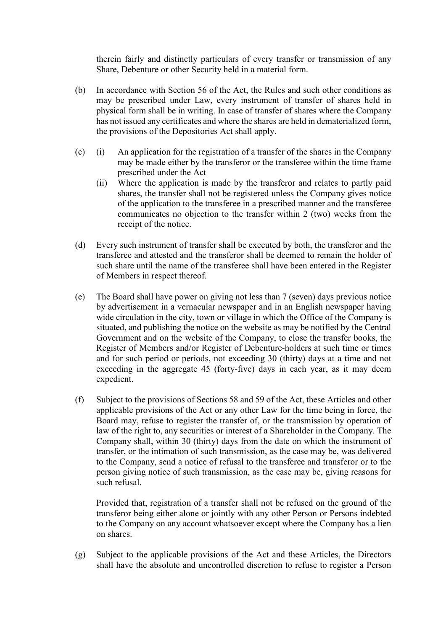therein fairly and distinctly particulars of every transfer or transmission of any Share, Debenture or other Security held in a material form.

- (b) In accordance with Section 56 of the Act, the Rules and such other conditions as may be prescribed under Law, every instrument of transfer of shares held in physical form shall be in writing. In case of transfer of shares where the Company has not issued any certificates and where the shares are held in dematerialized form, the provisions of the Depositories Act shall apply.
- (c) (i) An application for the registration of a transfer of the shares in the Company may be made either by the transferor or the transferee within the time frame prescribed under the Act
	- (ii) Where the application is made by the transferor and relates to partly paid shares, the transfer shall not be registered unless the Company gives notice of the application to the transferee in a prescribed manner and the transferee communicates no objection to the transfer within 2 (two) weeks from the receipt of the notice.
- (d) Every such instrument of transfer shall be executed by both, the transferor and the transferee and attested and the transferor shall be deemed to remain the holder of such share until the name of the transferee shall have been entered in the Register of Members in respect thereof.
- (e) The Board shall have power on giving not less than 7 (seven) days previous notice by advertisement in a vernacular newspaper and in an English newspaper having wide circulation in the city, town or village in which the Office of the Company is situated, and publishing the notice on the website as may be notified by the Central Government and on the website of the Company, to close the transfer books, the Register of Members and/or Register of Debenture-holders at such time or times and for such period or periods, not exceeding 30 (thirty) days at a time and not exceeding in the aggregate 45 (forty-five) days in each year, as it may deem expedient.
- (f) Subject to the provisions of Sections 58 and 59 of the Act, these Articles and other applicable provisions of the Act or any other Law for the time being in force, the Board may, refuse to register the transfer of, or the transmission by operation of law of the right to, any securities or interest of a Shareholder in the Company. The Company shall, within 30 (thirty) days from the date on which the instrument of transfer, or the intimation of such transmission, as the case may be, was delivered to the Company, send a notice of refusal to the transferee and transferor or to the person giving notice of such transmission, as the case may be, giving reasons for such refusal.

Provided that, registration of a transfer shall not be refused on the ground of the transferor being either alone or jointly with any other Person or Persons indebted to the Company on any account whatsoever except where the Company has a lien on shares.

(g) Subject to the applicable provisions of the Act and these Articles, the Directors shall have the absolute and uncontrolled discretion to refuse to register a Person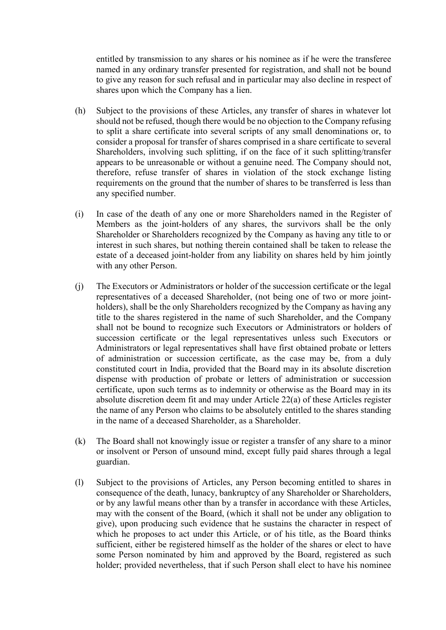entitled by transmission to any shares or his nominee as if he were the transferee named in any ordinary transfer presented for registration, and shall not be bound to give any reason for such refusal and in particular may also decline in respect of shares upon which the Company has a lien.

- (h) Subject to the provisions of these Articles, any transfer of shares in whatever lot should not be refused, though there would be no objection to the Company refusing to split a share certificate into several scripts of any small denominations or, to consider a proposal for transfer of shares comprised in a share certificate to several Shareholders, involving such splitting, if on the face of it such splitting/transfer appears to be unreasonable or without a genuine need. The Company should not, therefore, refuse transfer of shares in violation of the stock exchange listing requirements on the ground that the number of shares to be transferred is less than any specified number.
- (i) In case of the death of any one or more Shareholders named in the Register of Members as the joint-holders of any shares, the survivors shall be the only Shareholder or Shareholders recognized by the Company as having any title to or interest in such shares, but nothing therein contained shall be taken to release the estate of a deceased joint-holder from any liability on shares held by him jointly with any other Person.
- (j) The Executors or Administrators or holder of the succession certificate or the legal representatives of a deceased Shareholder, (not being one of two or more jointholders), shall be the only Shareholders recognized by the Company as having any title to the shares registered in the name of such Shareholder, and the Company shall not be bound to recognize such Executors or Administrators or holders of succession certificate or the legal representatives unless such Executors or Administrators or legal representatives shall have first obtained probate or letters of administration or succession certificate, as the case may be, from a duly constituted court in India, provided that the Board may in its absolute discretion dispense with production of probate or letters of administration or succession certificate, upon such terms as to indemnity or otherwise as the Board may in its absolute discretion deem fit and may under Article 22(a) of these Articles register the name of any Person who claims to be absolutely entitled to the shares standing in the name of a deceased Shareholder, as a Shareholder.
- (k) The Board shall not knowingly issue or register a transfer of any share to a minor or insolvent or Person of unsound mind, except fully paid shares through a legal guardian.
- (l) Subject to the provisions of Articles, any Person becoming entitled to shares in consequence of the death, lunacy, bankruptcy of any Shareholder or Shareholders, or by any lawful means other than by a transfer in accordance with these Articles, may with the consent of the Board, (which it shall not be under any obligation to give), upon producing such evidence that he sustains the character in respect of which he proposes to act under this Article, or of his title, as the Board thinks sufficient, either be registered himself as the holder of the shares or elect to have some Person nominated by him and approved by the Board, registered as such holder; provided nevertheless, that if such Person shall elect to have his nominee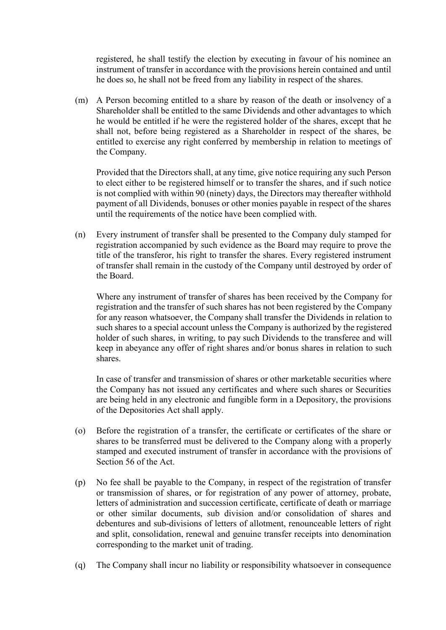registered, he shall testify the election by executing in favour of his nominee an instrument of transfer in accordance with the provisions herein contained and until he does so, he shall not be freed from any liability in respect of the shares.

(m) A Person becoming entitled to a share by reason of the death or insolvency of a Shareholder shall be entitled to the same Dividends and other advantages to which he would be entitled if he were the registered holder of the shares, except that he shall not, before being registered as a Shareholder in respect of the shares, be entitled to exercise any right conferred by membership in relation to meetings of the Company.

Provided that the Directors shall, at any time, give notice requiring any such Person to elect either to be registered himself or to transfer the shares, and if such notice is not complied with within 90 (ninety) days, the Directors may thereafter withhold payment of all Dividends, bonuses or other monies payable in respect of the shares until the requirements of the notice have been complied with.

(n) Every instrument of transfer shall be presented to the Company duly stamped for registration accompanied by such evidence as the Board may require to prove the title of the transferor, his right to transfer the shares. Every registered instrument of transfer shall remain in the custody of the Company until destroyed by order of the Board.

Where any instrument of transfer of shares has been received by the Company for registration and the transfer of such shares has not been registered by the Company for any reason whatsoever, the Company shall transfer the Dividends in relation to such shares to a special account unless the Company is authorized by the registered holder of such shares, in writing, to pay such Dividends to the transferee and will keep in abeyance any offer of right shares and/or bonus shares in relation to such shares.

In case of transfer and transmission of shares or other marketable securities where the Company has not issued any certificates and where such shares or Securities are being held in any electronic and fungible form in a Depository, the provisions of the Depositories Act shall apply.

- (o) Before the registration of a transfer, the certificate or certificates of the share or shares to be transferred must be delivered to the Company along with a properly stamped and executed instrument of transfer in accordance with the provisions of Section 56 of the Act.
- (p) No fee shall be payable to the Company, in respect of the registration of transfer or transmission of shares, or for registration of any power of attorney, probate, letters of administration and succession certificate, certificate of death or marriage or other similar documents, sub division and/or consolidation of shares and debentures and sub-divisions of letters of allotment, renounceable letters of right and split, consolidation, renewal and genuine transfer receipts into denomination corresponding to the market unit of trading.
- (q) The Company shall incur no liability or responsibility whatsoever in consequence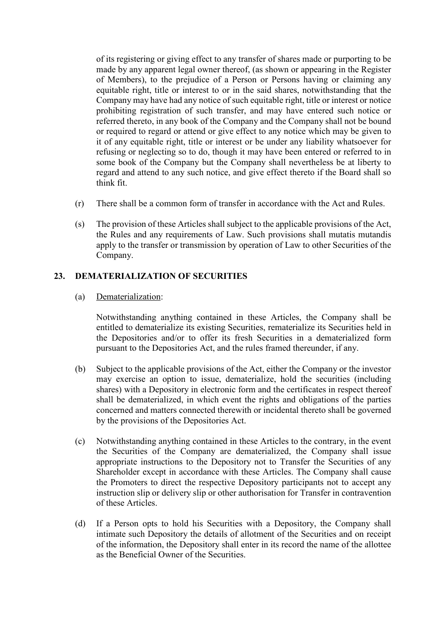of its registering or giving effect to any transfer of shares made or purporting to be made by any apparent legal owner thereof, (as shown or appearing in the Register of Members), to the prejudice of a Person or Persons having or claiming any equitable right, title or interest to or in the said shares, notwithstanding that the Company may have had any notice of such equitable right, title or interest or notice prohibiting registration of such transfer, and may have entered such notice or referred thereto, in any book of the Company and the Company shall not be bound or required to regard or attend or give effect to any notice which may be given to it of any equitable right, title or interest or be under any liability whatsoever for refusing or neglecting so to do, though it may have been entered or referred to in some book of the Company but the Company shall nevertheless be at liberty to regard and attend to any such notice, and give effect thereto if the Board shall so think fit.

- (r) There shall be a common form of transfer in accordance with the Act and Rules.
- (s) The provision of these Articles shall subject to the applicable provisions of the Act, the Rules and any requirements of Law. Such provisions shall mutatis mutandis apply to the transfer or transmission by operation of Law to other Securities of the Company.

## **23. DEMATERIALIZATION OF SECURITIES**

(a) Dematerialization:

Notwithstanding anything contained in these Articles, the Company shall be entitled to dematerialize its existing Securities, rematerialize its Securities held in the Depositories and/or to offer its fresh Securities in a dematerialized form pursuant to the Depositories Act, and the rules framed thereunder, if any.

- (b) Subject to the applicable provisions of the Act, either the Company or the investor may exercise an option to issue, dematerialize, hold the securities (including shares) with a Depository in electronic form and the certificates in respect thereof shall be dematerialized, in which event the rights and obligations of the parties concerned and matters connected therewith or incidental thereto shall be governed by the provisions of the Depositories Act.
- (c) Notwithstanding anything contained in these Articles to the contrary, in the event the Securities of the Company are dematerialized, the Company shall issue appropriate instructions to the Depository not to Transfer the Securities of any Shareholder except in accordance with these Articles. The Company shall cause the Promoters to direct the respective Depository participants not to accept any instruction slip or delivery slip or other authorisation for Transfer in contravention of these Articles.
- (d) If a Person opts to hold his Securities with a Depository, the Company shall intimate such Depository the details of allotment of the Securities and on receipt of the information, the Depository shall enter in its record the name of the allottee as the Beneficial Owner of the Securities.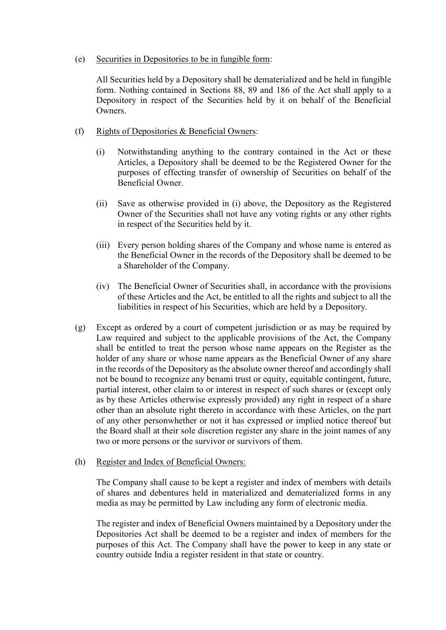#### (e) Securities in Depositories to be in fungible form:

All Securities held by a Depository shall be dematerialized and be held in fungible form. Nothing contained in Sections 88, 89 and 186 of the Act shall apply to a Depository in respect of the Securities held by it on behalf of the Beneficial Owners.

## (f) Rights of Depositories & Beneficial Owners:

- (i) Notwithstanding anything to the contrary contained in the Act or these Articles, a Depository shall be deemed to be the Registered Owner for the purposes of effecting transfer of ownership of Securities on behalf of the Beneficial Owner.
- (ii) Save as otherwise provided in (i) above, the Depository as the Registered Owner of the Securities shall not have any voting rights or any other rights in respect of the Securities held by it.
- (iii) Every person holding shares of the Company and whose name is entered as the Beneficial Owner in the records of the Depository shall be deemed to be a Shareholder of the Company.
- (iv) The Beneficial Owner of Securities shall, in accordance with the provisions of these Articles and the Act, be entitled to all the rights and subject to all the liabilities in respect of his Securities, which are held by a Depository.
- (g) Except as ordered by a court of competent jurisdiction or as may be required by Law required and subject to the applicable provisions of the Act, the Company shall be entitled to treat the person whose name appears on the Register as the holder of any share or whose name appears as the Beneficial Owner of any share in the records of the Depository as the absolute owner thereof and accordingly shall not be bound to recognize any benami trust or equity, equitable contingent, future, partial interest, other claim to or interest in respect of such shares or (except only as by these Articles otherwise expressly provided) any right in respect of a share other than an absolute right thereto in accordance with these Articles, on the part of any other personwhether or not it has expressed or implied notice thereof but the Board shall at their sole discretion register any share in the joint names of any two or more persons or the survivor or survivors of them.

#### (h) Register and Index of Beneficial Owners:

The Company shall cause to be kept a register and index of members with details of shares and debentures held in materialized and dematerialized forms in any media as may be permitted by Law including any form of electronic media.

The register and index of Beneficial Owners maintained by a Depository under the Depositories Act shall be deemed to be a register and index of members for the purposes of this Act. The Company shall have the power to keep in any state or country outside India a register resident in that state or country.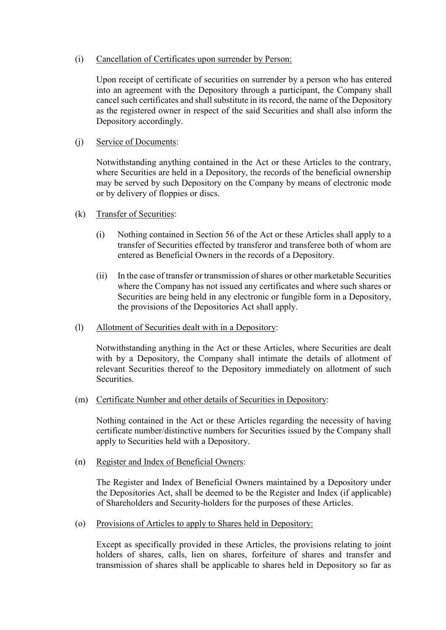#### (i) Cancellation of Certificates upon surrender by Person:

Upon receipt of certificate of securities on surrender by a person who has entered into an agreement with the Depository through a participant, the Company shall cancel such certificates and shall substitute in its record, the name of the Depository as the registered owner in respect of the said Securities and shall also inform the Depository accordingly.

## (j) Service of Documents:

Notwithstanding anything contained in the Act or these Articles to the contrary, where Securities are held in a Depository, the records of the beneficial ownership may be served by such Depository on the Company by means of electronic mode or by delivery of floppies or discs.

- (k) Transfer of Securities:
	- (i) Nothing contained in Section 56 of the Act or these Articles shall apply to a transfer of Securities effected by transferor and transferee both of whom are entered as Beneficial Owners in the records of a Depository.
	- (ii) In the case of transfer or transmission of shares or other marketable Securities where the Company has not issued any certificates and where such shares or Securities are being held in any electronic or fungible form in a Depository, the provisions of the Depositories Act shall apply.
- (l) Allotment of Securities dealt with in a Depository:

Notwithstanding anything in the Act or these Articles, where Securities are dealt with by a Depository, the Company shall intimate the details of allotment of relevant Securities thereof to the Depository immediately on allotment of such Securities.

(m) Certificate Number and other details of Securities in Depository:

Nothing contained in the Act or these Articles regarding the necessity of having certificate number/distinctive numbers for Securities issued by the Company shall apply to Securities held with a Depository.

(n) Register and Index of Beneficial Owners:

The Register and Index of Beneficial Owners maintained by a Depository under the Depositories Act, shall be deemed to be the Register and Index (if applicable) of Shareholders and Security-holders for the purposes of these Articles.

(o) Provisions of Articles to apply to Shares held in Depository:

Except as specifically provided in these Articles, the provisions relating to joint holders of shares, calls, lien on shares, forfeiture of shares and transfer and transmission of shares shall be applicable to shares held in Depository so far as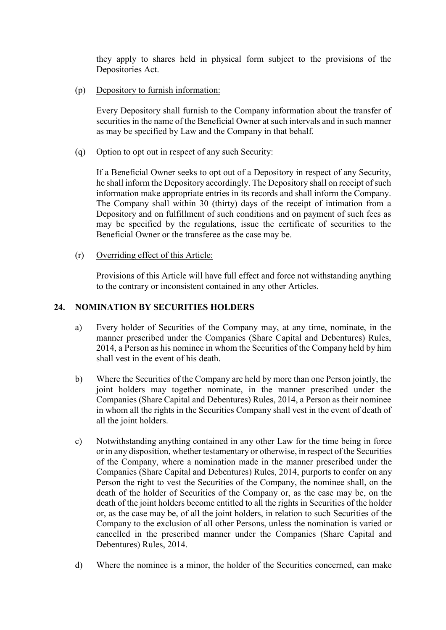they apply to shares held in physical form subject to the provisions of the Depositories Act.

## (p) Depository to furnish information:

Every Depository shall furnish to the Company information about the transfer of securities in the name of the Beneficial Owner at such intervals and in such manner as may be specified by Law and the Company in that behalf.

#### (q) Option to opt out in respect of any such Security:

If a Beneficial Owner seeks to opt out of a Depository in respect of any Security, he shall inform the Depository accordingly. The Depository shall on receipt of such information make appropriate entries in its records and shall inform the Company. The Company shall within 30 (thirty) days of the receipt of intimation from a Depository and on fulfillment of such conditions and on payment of such fees as may be specified by the regulations, issue the certificate of securities to the Beneficial Owner or the transferee as the case may be.

#### (r) Overriding effect of this Article:

Provisions of this Article will have full effect and force not withstanding anything to the contrary or inconsistent contained in any other Articles.

#### **24. NOMINATION BY SECURITIES HOLDERS**

- a) Every holder of Securities of the Company may, at any time, nominate, in the manner prescribed under the Companies (Share Capital and Debentures) Rules, 2014, a Person as his nominee in whom the Securities of the Company held by him shall vest in the event of his death.
- b) Where the Securities of the Company are held by more than one Person jointly, the joint holders may together nominate, in the manner prescribed under the Companies (Share Capital and Debentures) Rules, 2014, a Person as their nominee in whom all the rights in the Securities Company shall vest in the event of death of all the joint holders.
- c) Notwithstanding anything contained in any other Law for the time being in force or in any disposition, whether testamentary or otherwise, in respect of the Securities of the Company, where a nomination made in the manner prescribed under the Companies (Share Capital and Debentures) Rules, 2014, purports to confer on any Person the right to vest the Securities of the Company, the nominee shall, on the death of the holder of Securities of the Company or, as the case may be, on the death of the joint holders become entitled to all the rights in Securities of the holder or, as the case may be, of all the joint holders, in relation to such Securities of the Company to the exclusion of all other Persons, unless the nomination is varied or cancelled in the prescribed manner under the Companies (Share Capital and Debentures) Rules, 2014.
- d) Where the nominee is a minor, the holder of the Securities concerned, can make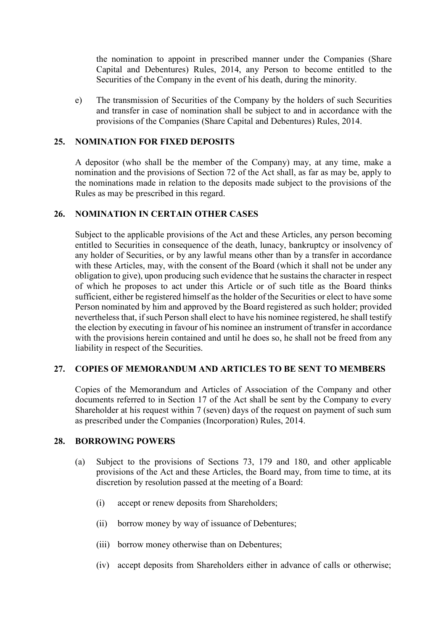the nomination to appoint in prescribed manner under the Companies (Share Capital and Debentures) Rules, 2014, any Person to become entitled to the Securities of the Company in the event of his death, during the minority.

e) The transmission of Securities of the Company by the holders of such Securities and transfer in case of nomination shall be subject to and in accordance with the provisions of the Companies (Share Capital and Debentures) Rules, 2014.

#### **25. NOMINATION FOR FIXED DEPOSITS**

A depositor (who shall be the member of the Company) may, at any time, make a nomination and the provisions of Section 72 of the Act shall, as far as may be, apply to the nominations made in relation to the deposits made subject to the provisions of the Rules as may be prescribed in this regard.

#### **26. NOMINATION IN CERTAIN OTHER CASES**

Subject to the applicable provisions of the Act and these Articles, any person becoming entitled to Securities in consequence of the death, lunacy, bankruptcy or insolvency of any holder of Securities, or by any lawful means other than by a transfer in accordance with these Articles, may, with the consent of the Board (which it shall not be under any obligation to give), upon producing such evidence that he sustains the character in respect of which he proposes to act under this Article or of such title as the Board thinks sufficient, either be registered himself as the holder of the Securities or elect to have some Person nominated by him and approved by the Board registered as such holder; provided nevertheless that, if such Person shall elect to have his nominee registered, he shall testify the election by executing in favour of his nominee an instrument of transfer in accordance with the provisions herein contained and until he does so, he shall not be freed from any liability in respect of the Securities.

#### **27. COPIES OF MEMORANDUM AND ARTICLES TO BE SENT TO MEMBERS**

Copies of the Memorandum and Articles of Association of the Company and other documents referred to in Section 17 of the Act shall be sent by the Company to every Shareholder at his request within 7 (seven) days of the request on payment of such sum as prescribed under the Companies (Incorporation) Rules, 2014.

#### **28. BORROWING POWERS**

- (a) Subject to the provisions of Sections 73, 179 and 180, and other applicable provisions of the Act and these Articles, the Board may, from time to time, at its discretion by resolution passed at the meeting of a Board:
	- (i) accept or renew deposits from Shareholders;
	- (ii) borrow money by way of issuance of Debentures;
	- (iii) borrow money otherwise than on Debentures;
	- (iv) accept deposits from Shareholders either in advance of calls or otherwise;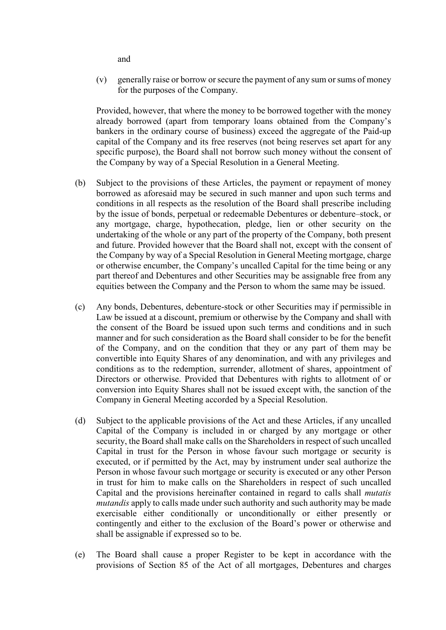and

(v) generally raise or borrow or secure the payment of any sum or sums of money for the purposes of the Company.

Provided, however, that where the money to be borrowed together with the money already borrowed (apart from temporary loans obtained from the Company's bankers in the ordinary course of business) exceed the aggregate of the Paid-up capital of the Company and its free reserves (not being reserves set apart for any specific purpose), the Board shall not borrow such money without the consent of the Company by way of a Special Resolution in a General Meeting.

- (b) Subject to the provisions of these Articles, the payment or repayment of money borrowed as aforesaid may be secured in such manner and upon such terms and conditions in all respects as the resolution of the Board shall prescribe including by the issue of bonds, perpetual or redeemable Debentures or debenture–stock, or any mortgage, charge, hypothecation, pledge, lien or other security on the undertaking of the whole or any part of the property of the Company, both present and future. Provided however that the Board shall not, except with the consent of the Company by way of a Special Resolution in General Meeting mortgage, charge or otherwise encumber, the Company's uncalled Capital for the time being or any part thereof and Debentures and other Securities may be assignable free from any equities between the Company and the Person to whom the same may be issued.
- (c) Any bonds, Debentures, debenture-stock or other Securities may if permissible in Law be issued at a discount, premium or otherwise by the Company and shall with the consent of the Board be issued upon such terms and conditions and in such manner and for such consideration as the Board shall consider to be for the benefit of the Company, and on the condition that they or any part of them may be convertible into Equity Shares of any denomination, and with any privileges and conditions as to the redemption, surrender, allotment of shares, appointment of Directors or otherwise. Provided that Debentures with rights to allotment of or conversion into Equity Shares shall not be issued except with, the sanction of the Company in General Meeting accorded by a Special Resolution.
- (d) Subject to the applicable provisions of the Act and these Articles, if any uncalled Capital of the Company is included in or charged by any mortgage or other security, the Board shall make calls on the Shareholders in respect of such uncalled Capital in trust for the Person in whose favour such mortgage or security is executed, or if permitted by the Act, may by instrument under seal authorize the Person in whose favour such mortgage or security is executed or any other Person in trust for him to make calls on the Shareholders in respect of such uncalled Capital and the provisions hereinafter contained in regard to calls shall *mutatis mutandis* apply to calls made under such authority and such authority may be made exercisable either conditionally or unconditionally or either presently or contingently and either to the exclusion of the Board's power or otherwise and shall be assignable if expressed so to be.
- (e) The Board shall cause a proper Register to be kept in accordance with the provisions of Section 85 of the Act of all mortgages, Debentures and charges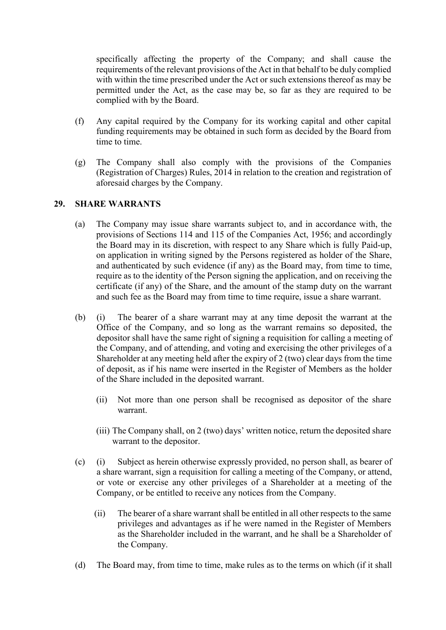specifically affecting the property of the Company; and shall cause the requirements of the relevant provisions of the Act in that behalf to be duly complied with within the time prescribed under the Act or such extensions thereof as may be permitted under the Act, as the case may be, so far as they are required to be complied with by the Board.

- (f) Any capital required by the Company for its working capital and other capital funding requirements may be obtained in such form as decided by the Board from time to time.
- (g) The Company shall also comply with the provisions of the Companies (Registration of Charges) Rules, 2014 in relation to the creation and registration of aforesaid charges by the Company.

## **29. SHARE WARRANTS**

- (a) The Company may issue share warrants subject to, and in accordance with, the provisions of Sections 114 and 115 of the Companies Act, 1956; and accordingly the Board may in its discretion, with respect to any Share which is fully Paid-up, on application in writing signed by the Persons registered as holder of the Share, and authenticated by such evidence (if any) as the Board may, from time to time, require as to the identity of the Person signing the application, and on receiving the certificate (if any) of the Share, and the amount of the stamp duty on the warrant and such fee as the Board may from time to time require, issue a share warrant.
- (b) (i) The bearer of a share warrant may at any time deposit the warrant at the Office of the Company, and so long as the warrant remains so deposited, the depositor shall have the same right of signing a requisition for calling a meeting of the Company, and of attending, and voting and exercising the other privileges of a Shareholder at any meeting held after the expiry of 2 (two) clear days from the time of deposit, as if his name were inserted in the Register of Members as the holder of the Share included in the deposited warrant.
	- (ii) Not more than one person shall be recognised as depositor of the share warrant.
	- (iii) The Company shall, on 2 (two) days' written notice, return the deposited share warrant to the depositor.
- (c) (i) Subject as herein otherwise expressly provided, no person shall, as bearer of a share warrant, sign a requisition for calling a meeting of the Company, or attend, or vote or exercise any other privileges of a Shareholder at a meeting of the Company, or be entitled to receive any notices from the Company.
	- (ii) The bearer of a share warrant shall be entitled in all other respects to the same privileges and advantages as if he were named in the Register of Members as the Shareholder included in the warrant, and he shall be a Shareholder of the Company.
- (d) The Board may, from time to time, make rules as to the terms on which (if it shall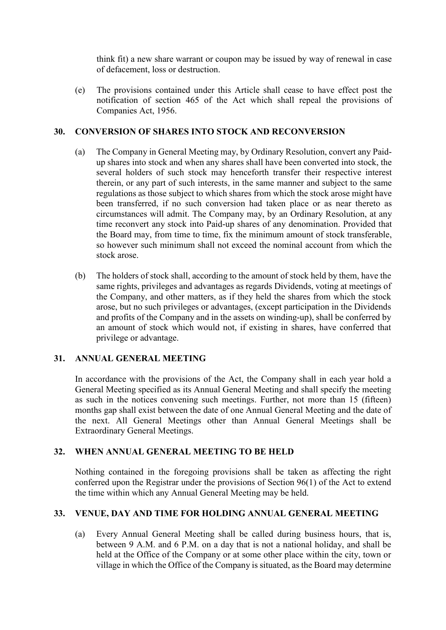think fit) a new share warrant or coupon may be issued by way of renewal in case of defacement, loss or destruction.

(e) The provisions contained under this Article shall cease to have effect post the notification of section 465 of the Act which shall repeal the provisions of Companies Act, 1956.

#### **30. CONVERSION OF SHARES INTO STOCK AND RECONVERSION**

- (a) The Company in General Meeting may, by Ordinary Resolution, convert any Paidup shares into stock and when any shares shall have been converted into stock, the several holders of such stock may henceforth transfer their respective interest therein, or any part of such interests, in the same manner and subject to the same regulations as those subject to which shares from which the stock arose might have been transferred, if no such conversion had taken place or as near thereto as circumstances will admit. The Company may, by an Ordinary Resolution, at any time reconvert any stock into Paid-up shares of any denomination. Provided that the Board may, from time to time, fix the minimum amount of stock transferable, so however such minimum shall not exceed the nominal account from which the stock arose.
- (b) The holders of stock shall, according to the amount of stock held by them, have the same rights, privileges and advantages as regards Dividends, voting at meetings of the Company, and other matters, as if they held the shares from which the stock arose, but no such privileges or advantages, (except participation in the Dividends and profits of the Company and in the assets on winding-up), shall be conferred by an amount of stock which would not, if existing in shares, have conferred that privilege or advantage.

## **31. ANNUAL GENERAL MEETING**

In accordance with the provisions of the Act, the Company shall in each year hold a General Meeting specified as its Annual General Meeting and shall specify the meeting as such in the notices convening such meetings. Further, not more than 15 (fifteen) months gap shall exist between the date of one Annual General Meeting and the date of the next. All General Meetings other than Annual General Meetings shall be Extraordinary General Meetings.

## **32. WHEN ANNUAL GENERAL MEETING TO BE HELD**

Nothing contained in the foregoing provisions shall be taken as affecting the right conferred upon the Registrar under the provisions of Section 96(1) of the Act to extend the time within which any Annual General Meeting may be held.

## **33. VENUE, DAY AND TIME FOR HOLDING ANNUAL GENERAL MEETING**

(a) Every Annual General Meeting shall be called during business hours, that is, between 9 A.M. and 6 P.M. on a day that is not a national holiday, and shall be held at the Office of the Company or at some other place within the city, town or village in which the Office of the Company is situated, as the Board may determine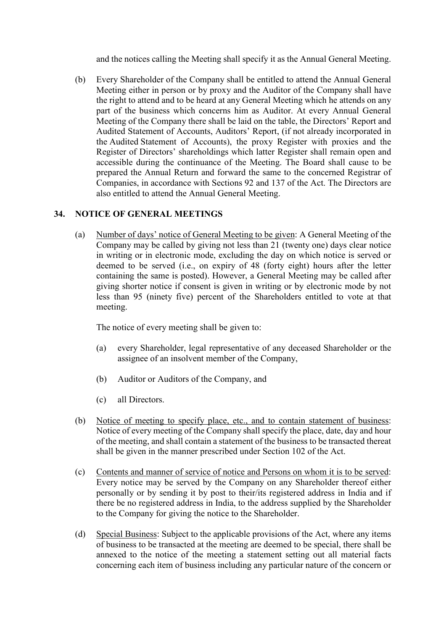and the notices calling the Meeting shall specify it as the Annual General Meeting.

(b) Every Shareholder of the Company shall be entitled to attend the Annual General Meeting either in person or by proxy and the Auditor of the Company shall have the right to attend and to be heard at any General Meeting which he attends on any part of the business which concerns him as Auditor. At every Annual General Meeting of the Company there shall be laid on the table, the Directors' Report and Audited Statement of Accounts, Auditors' Report, (if not already incorporated in the Audited Statement of Accounts), the proxy Register with proxies and the Register of Directors' shareholdings which latter Register shall remain open and accessible during the continuance of the Meeting. The Board shall cause to be prepared the Annual Return and forward the same to the concerned Registrar of Companies, in accordance with Sections 92 and 137 of the Act. The Directors are also entitled to attend the Annual General Meeting.

#### **34. NOTICE OF GENERAL MEETINGS**

(a) Number of days' notice of General Meeting to be given: A General Meeting of the Company may be called by giving not less than 21 (twenty one) days clear notice in writing or in electronic mode, excluding the day on which notice is served or deemed to be served (i.e., on expiry of 48 (forty eight) hours after the letter containing the same is posted). However, a General Meeting may be called after giving shorter notice if consent is given in writing or by electronic mode by not less than 95 (ninety five) percent of the Shareholders entitled to vote at that meeting.

The notice of every meeting shall be given to:

- (a) every Shareholder, legal representative of any deceased Shareholder or the assignee of an insolvent member of the Company,
- (b) Auditor or Auditors of the Company, and
- (c) all Directors.
- (b) Notice of meeting to specify place, etc., and to contain statement of business: Notice of every meeting of the Company shall specify the place, date, day and hour of the meeting, and shall contain a statement of the business to be transacted thereat shall be given in the manner prescribed under Section 102 of the Act.
- (c) Contents and manner of service of notice and Persons on whom it is to be served: Every notice may be served by the Company on any Shareholder thereof either personally or by sending it by post to their/its registered address in India and if there be no registered address in India, to the address supplied by the Shareholder to the Company for giving the notice to the Shareholder.
- (d) Special Business: Subject to the applicable provisions of the Act, where any items of business to be transacted at the meeting are deemed to be special, there shall be annexed to the notice of the meeting a statement setting out all material facts concerning each item of business including any particular nature of the concern or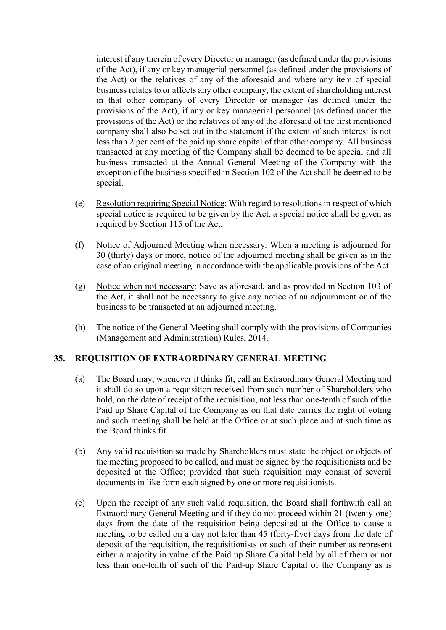interest if any therein of every Director or manager (as defined under the provisions of the Act), if any or key managerial personnel (as defined under the provisions of the Act) or the relatives of any of the aforesaid and where any item of special business relates to or affects any other company, the extent of shareholding interest in that other company of every Director or manager (as defined under the provisions of the Act), if any or key managerial personnel (as defined under the provisions of the Act) or the relatives of any of the aforesaid of the first mentioned company shall also be set out in the statement if the extent of such interest is not less than 2 per cent of the paid up share capital of that other company. All business transacted at any meeting of the Company shall be deemed to be special and all business transacted at the Annual General Meeting of the Company with the exception of the business specified in Section 102 of the Act shall be deemed to be special.

- (e) Resolution requiring Special Notice: With regard to resolutions in respect of which special notice is required to be given by the Act, a special notice shall be given as required by Section 115 of the Act.
- (f) Notice of Adjourned Meeting when necessary: When a meeting is adjourned for 30 (thirty) days or more, notice of the adjourned meeting shall be given as in the case of an original meeting in accordance with the applicable provisions of the Act.
- (g) Notice when not necessary: Save as aforesaid, and as provided in Section 103 of the Act, it shall not be necessary to give any notice of an adjournment or of the business to be transacted at an adjourned meeting.
- (h) The notice of the General Meeting shall comply with the provisions of Companies (Management and Administration) Rules, 2014.

#### **35. REQUISITION OF EXTRAORDINARY GENERAL MEETING**

- (a) The Board may, whenever it thinks fit, call an Extraordinary General Meeting and it shall do so upon a requisition received from such number of Shareholders who hold, on the date of receipt of the requisition, not less than one-tenth of such of the Paid up Share Capital of the Company as on that date carries the right of voting and such meeting shall be held at the Office or at such place and at such time as the Board thinks fit.
- (b) Any valid requisition so made by Shareholders must state the object or objects of the meeting proposed to be called, and must be signed by the requisitionists and be deposited at the Office; provided that such requisition may consist of several documents in like form each signed by one or more requisitionists.
- (c) Upon the receipt of any such valid requisition, the Board shall forthwith call an Extraordinary General Meeting and if they do not proceed within 21 (twenty-one) days from the date of the requisition being deposited at the Office to cause a meeting to be called on a day not later than 45 (forty-five) days from the date of deposit of the requisition, the requisitionists or such of their number as represent either a majority in value of the Paid up Share Capital held by all of them or not less than one-tenth of such of the Paid-up Share Capital of the Company as is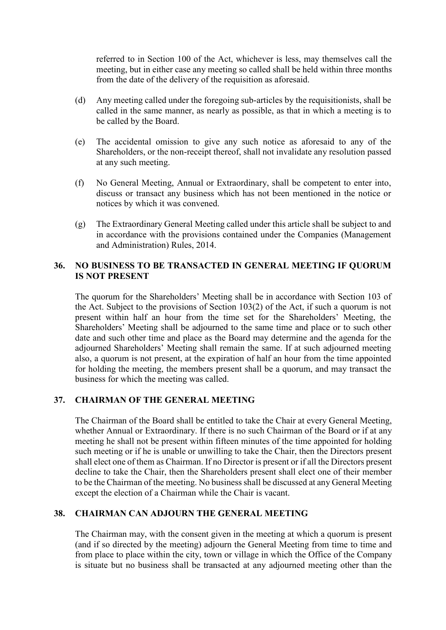referred to in Section 100 of the Act, whichever is less, may themselves call the meeting, but in either case any meeting so called shall be held within three months from the date of the delivery of the requisition as aforesaid.

- (d) Any meeting called under the foregoing sub-articles by the requisitionists, shall be called in the same manner, as nearly as possible, as that in which a meeting is to be called by the Board.
- (e) The accidental omission to give any such notice as aforesaid to any of the Shareholders, or the non-receipt thereof, shall not invalidate any resolution passed at any such meeting.
- (f) No General Meeting, Annual or Extraordinary, shall be competent to enter into, discuss or transact any business which has not been mentioned in the notice or notices by which it was convened.
- (g) The Extraordinary General Meeting called under this article shall be subject to and in accordance with the provisions contained under the Companies (Management and Administration) Rules, 2014.

## **36. NO BUSINESS TO BE TRANSACTED IN GENERAL MEETING IF QUORUM IS NOT PRESENT**

The quorum for the Shareholders' Meeting shall be in accordance with Section 103 of the Act. Subject to the provisions of Section 103(2) of the Act, if such a quorum is not present within half an hour from the time set for the Shareholders' Meeting, the Shareholders' Meeting shall be adjourned to the same time and place or to such other date and such other time and place as the Board may determine and the agenda for the adjourned Shareholders' Meeting shall remain the same. If at such adjourned meeting also, a quorum is not present, at the expiration of half an hour from the time appointed for holding the meeting, the members present shall be a quorum, and may transact the business for which the meeting was called.

## **37. CHAIRMAN OF THE GENERAL MEETING**

The Chairman of the Board shall be entitled to take the Chair at every General Meeting, whether Annual or Extraordinary. If there is no such Chairman of the Board or if at any meeting he shall not be present within fifteen minutes of the time appointed for holding such meeting or if he is unable or unwilling to take the Chair, then the Directors present shall elect one of them as Chairman. If no Director is present or if all the Directors present decline to take the Chair, then the Shareholders present shall elect one of their member to be the Chairman of the meeting. No business shall be discussed at any General Meeting except the election of a Chairman while the Chair is vacant.

#### **38. CHAIRMAN CAN ADJOURN THE GENERAL MEETING**

The Chairman may, with the consent given in the meeting at which a quorum is present (and if so directed by the meeting) adjourn the General Meeting from time to time and from place to place within the city, town or village in which the Office of the Company is situate but no business shall be transacted at any adjourned meeting other than the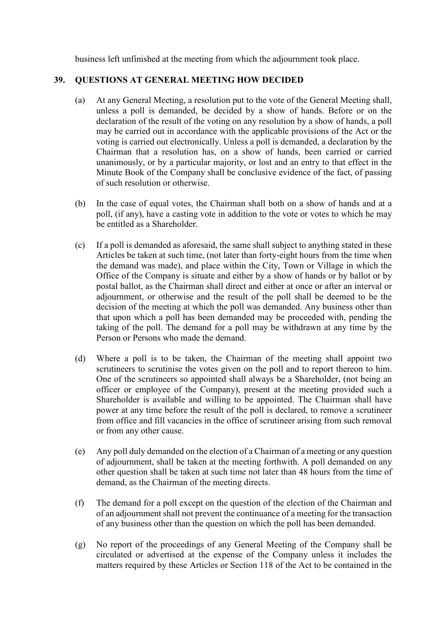business left unfinished at the meeting from which the adjournment took place.

#### **39. QUESTIONS AT GENERAL MEETING HOW DECIDED**

- (a) At any General Meeting, a resolution put to the vote of the General Meeting shall, unless a poll is demanded, be decided by a show of hands. Before or on the declaration of the result of the voting on any resolution by a show of hands, a poll may be carried out in accordance with the applicable provisions of the Act or the voting is carried out electronically. Unless a poll is demanded, a declaration by the Chairman that a resolution has, on a show of hands, been carried or carried unanimously, or by a particular majority, or lost and an entry to that effect in the Minute Book of the Company shall be conclusive evidence of the fact, of passing of such resolution or otherwise.
- (b) In the case of equal votes, the Chairman shall both on a show of hands and at a poll, (if any), have a casting vote in addition to the vote or votes to which he may be entitled as a Shareholder.
- (c) If a poll is demanded as aforesaid, the same shall subject to anything stated in these Articles be taken at such time, (not later than forty-eight hours from the time when the demand was made), and place within the City, Town or Village in which the Office of the Company is situate and either by a show of hands or by ballot or by postal ballot, as the Chairman shall direct and either at once or after an interval or adjournment, or otherwise and the result of the poll shall be deemed to be the decision of the meeting at which the poll was demanded. Any business other than that upon which a poll has been demanded may be proceeded with, pending the taking of the poll. The demand for a poll may be withdrawn at any time by the Person or Persons who made the demand.
- (d) Where a poll is to be taken, the Chairman of the meeting shall appoint two scrutineers to scrutinise the votes given on the poll and to report thereon to him. One of the scrutineers so appointed shall always be a Shareholder, (not being an officer or employee of the Company), present at the meeting provided such a Shareholder is available and willing to be appointed. The Chairman shall have power at any time before the result of the poll is declared, to remove a scrutineer from office and fill vacancies in the office of scrutineer arising from such removal or from any other cause.
- (e) Any poll duly demanded on the election of a Chairman of a meeting or any question of adjournment, shall be taken at the meeting forthwith. A poll demanded on any other question shall be taken at such time not later than 48 hours from the time of demand, as the Chairman of the meeting directs.
- (f) The demand for a poll except on the question of the election of the Chairman and of an adjournment shall not prevent the continuance of a meeting for the transaction of any business other than the question on which the poll has been demanded.
- (g) No report of the proceedings of any General Meeting of the Company shall be circulated or advertised at the expense of the Company unless it includes the matters required by these Articles or Section 118 of the Act to be contained in the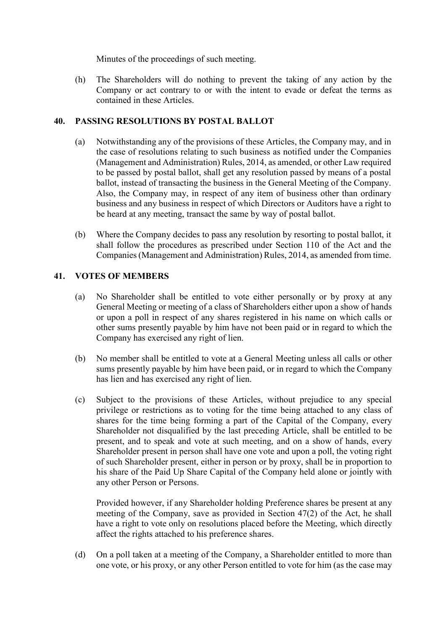Minutes of the proceedings of such meeting.

(h) The Shareholders will do nothing to prevent the taking of any action by the Company or act contrary to or with the intent to evade or defeat the terms as contained in these Articles.

# **40. PASSING RESOLUTIONS BY POSTAL BALLOT**

- (a) Notwithstanding any of the provisions of these Articles, the Company may, and in the case of resolutions relating to such business as notified under the Companies (Management and Administration) Rules, 2014, as amended, or other Law required to be passed by postal ballot, shall get any resolution passed by means of a postal ballot, instead of transacting the business in the General Meeting of the Company. Also, the Company may, in respect of any item of business other than ordinary business and any business in respect of which Directors or Auditors have a right to be heard at any meeting, transact the same by way of postal ballot.
- (b) Where the Company decides to pass any resolution by resorting to postal ballot, it shall follow the procedures as prescribed under Section 110 of the Act and the Companies (Management and Administration) Rules, 2014, as amended from time.

# **41. VOTES OF MEMBERS**

- (a) No Shareholder shall be entitled to vote either personally or by proxy at any General Meeting or meeting of a class of Shareholders either upon a show of hands or upon a poll in respect of any shares registered in his name on which calls or other sums presently payable by him have not been paid or in regard to which the Company has exercised any right of lien.
- (b) No member shall be entitled to vote at a General Meeting unless all calls or other sums presently payable by him have been paid, or in regard to which the Company has lien and has exercised any right of lien.
- (c) Subject to the provisions of these Articles, without prejudice to any special privilege or restrictions as to voting for the time being attached to any class of shares for the time being forming a part of the Capital of the Company, every Shareholder not disqualified by the last preceding Article, shall be entitled to be present, and to speak and vote at such meeting, and on a show of hands, every Shareholder present in person shall have one vote and upon a poll, the voting right of such Shareholder present, either in person or by proxy, shall be in proportion to his share of the Paid Up Share Capital of the Company held alone or jointly with any other Person or Persons.

Provided however, if any Shareholder holding Preference shares be present at any meeting of the Company, save as provided in Section 47(2) of the Act, he shall have a right to vote only on resolutions placed before the Meeting, which directly affect the rights attached to his preference shares.

(d) On a poll taken at a meeting of the Company, a Shareholder entitled to more than one vote, or his proxy, or any other Person entitled to vote for him (as the case may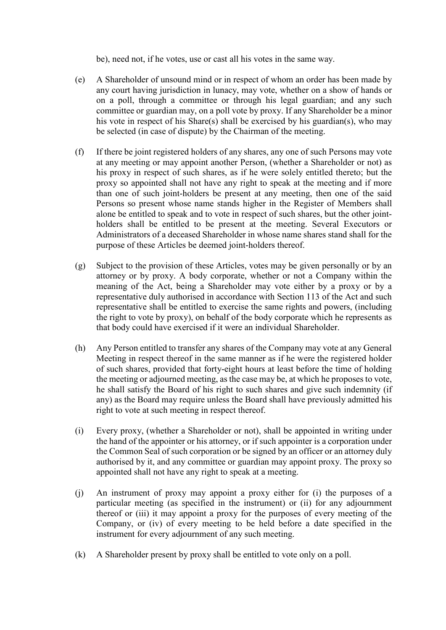be), need not, if he votes, use or cast all his votes in the same way.

- (e) A Shareholder of unsound mind or in respect of whom an order has been made by any court having jurisdiction in lunacy, may vote, whether on a show of hands or on a poll, through a committee or through his legal guardian; and any such committee or guardian may, on a poll vote by proxy. If any Shareholder be a minor his vote in respect of his Share(s) shall be exercised by his guardian(s), who may be selected (in case of dispute) by the Chairman of the meeting.
- (f) If there be joint registered holders of any shares, any one of such Persons may vote at any meeting or may appoint another Person, (whether a Shareholder or not) as his proxy in respect of such shares, as if he were solely entitled thereto; but the proxy so appointed shall not have any right to speak at the meeting and if more than one of such joint-holders be present at any meeting, then one of the said Persons so present whose name stands higher in the Register of Members shall alone be entitled to speak and to vote in respect of such shares, but the other jointholders shall be entitled to be present at the meeting. Several Executors or Administrators of a deceased Shareholder in whose name shares stand shall for the purpose of these Articles be deemed joint-holders thereof.
- (g) Subject to the provision of these Articles, votes may be given personally or by an attorney or by proxy. A body corporate, whether or not a Company within the meaning of the Act, being a Shareholder may vote either by a proxy or by a representative duly authorised in accordance with Section 113 of the Act and such representative shall be entitled to exercise the same rights and powers, (including the right to vote by proxy), on behalf of the body corporate which he represents as that body could have exercised if it were an individual Shareholder.
- (h) Any Person entitled to transfer any shares of the Company may vote at any General Meeting in respect thereof in the same manner as if he were the registered holder of such shares, provided that forty-eight hours at least before the time of holding the meeting or adjourned meeting, as the case may be, at which he proposes to vote, he shall satisfy the Board of his right to such shares and give such indemnity (if any) as the Board may require unless the Board shall have previously admitted his right to vote at such meeting in respect thereof.
- (i) Every proxy, (whether a Shareholder or not), shall be appointed in writing under the hand of the appointer or his attorney, or if such appointer is a corporation under the Common Seal of such corporation or be signed by an officer or an attorney duly authorised by it, and any committee or guardian may appoint proxy. The proxy so appointed shall not have any right to speak at a meeting.
- (j) An instrument of proxy may appoint a proxy either for (i) the purposes of a particular meeting (as specified in the instrument) or (ii) for any adjournment thereof or (iii) it may appoint a proxy for the purposes of every meeting of the Company, or (iv) of every meeting to be held before a date specified in the instrument for every adjournment of any such meeting.
- (k) A Shareholder present by proxy shall be entitled to vote only on a poll.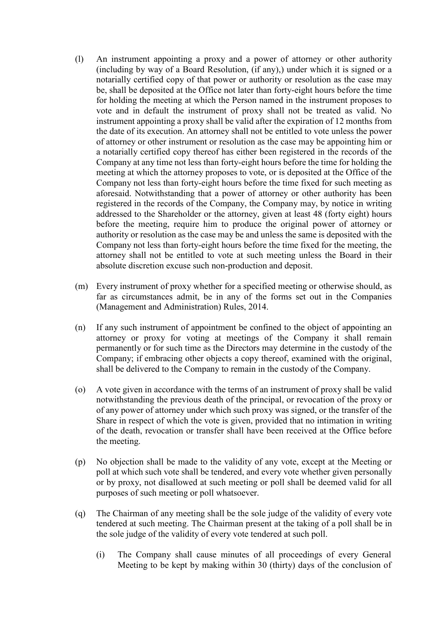- (l) An instrument appointing a proxy and a power of attorney or other authority (including by way of a Board Resolution, (if any),) under which it is signed or a notarially certified copy of that power or authority or resolution as the case may be, shall be deposited at the Office not later than forty-eight hours before the time for holding the meeting at which the Person named in the instrument proposes to vote and in default the instrument of proxy shall not be treated as valid. No instrument appointing a proxy shall be valid after the expiration of 12 months from the date of its execution. An attorney shall not be entitled to vote unless the power of attorney or other instrument or resolution as the case may be appointing him or a notarially certified copy thereof has either been registered in the records of the Company at any time not less than forty-eight hours before the time for holding the meeting at which the attorney proposes to vote, or is deposited at the Office of the Company not less than forty-eight hours before the time fixed for such meeting as aforesaid. Notwithstanding that a power of attorney or other authority has been registered in the records of the Company, the Company may, by notice in writing addressed to the Shareholder or the attorney, given at least 48 (forty eight) hours before the meeting, require him to produce the original power of attorney or authority or resolution as the case may be and unless the same is deposited with the Company not less than forty-eight hours before the time fixed for the meeting, the attorney shall not be entitled to vote at such meeting unless the Board in their absolute discretion excuse such non-production and deposit.
- (m) Every instrument of proxy whether for a specified meeting or otherwise should, as far as circumstances admit, be in any of the forms set out in the Companies (Management and Administration) Rules, 2014.
- (n) If any such instrument of appointment be confined to the object of appointing an attorney or proxy for voting at meetings of the Company it shall remain permanently or for such time as the Directors may determine in the custody of the Company; if embracing other objects a copy thereof, examined with the original, shall be delivered to the Company to remain in the custody of the Company.
- (o) A vote given in accordance with the terms of an instrument of proxy shall be valid notwithstanding the previous death of the principal, or revocation of the proxy or of any power of attorney under which such proxy was signed, or the transfer of the Share in respect of which the vote is given, provided that no intimation in writing of the death, revocation or transfer shall have been received at the Office before the meeting.
- (p) No objection shall be made to the validity of any vote, except at the Meeting or poll at which such vote shall be tendered, and every vote whether given personally or by proxy, not disallowed at such meeting or poll shall be deemed valid for all purposes of such meeting or poll whatsoever.
- (q) The Chairman of any meeting shall be the sole judge of the validity of every vote tendered at such meeting. The Chairman present at the taking of a poll shall be in the sole judge of the validity of every vote tendered at such poll.
	- (i) The Company shall cause minutes of all proceedings of every General Meeting to be kept by making within 30 (thirty) days of the conclusion of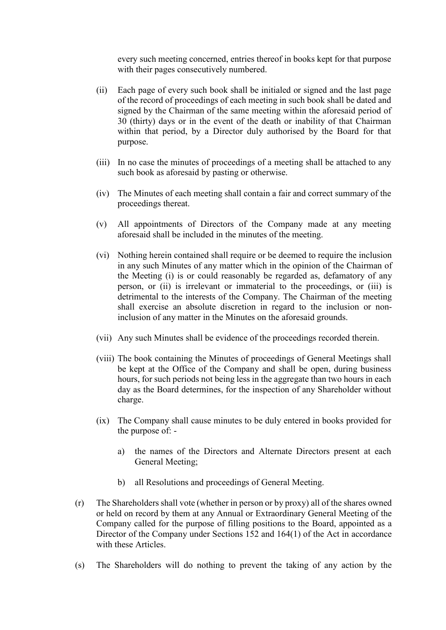every such meeting concerned, entries thereof in books kept for that purpose with their pages consecutively numbered.

- (ii) Each page of every such book shall be initialed or signed and the last page of the record of proceedings of each meeting in such book shall be dated and signed by the Chairman of the same meeting within the aforesaid period of 30 (thirty) days or in the event of the death or inability of that Chairman within that period, by a Director duly authorised by the Board for that purpose.
- (iii) In no case the minutes of proceedings of a meeting shall be attached to any such book as aforesaid by pasting or otherwise.
- (iv) The Minutes of each meeting shall contain a fair and correct summary of the proceedings thereat.
- (v) All appointments of Directors of the Company made at any meeting aforesaid shall be included in the minutes of the meeting.
- (vi) Nothing herein contained shall require or be deemed to require the inclusion in any such Minutes of any matter which in the opinion of the Chairman of the Meeting (i) is or could reasonably be regarded as, defamatory of any person, or (ii) is irrelevant or immaterial to the proceedings, or (iii) is detrimental to the interests of the Company. The Chairman of the meeting shall exercise an absolute discretion in regard to the inclusion or noninclusion of any matter in the Minutes on the aforesaid grounds.
- (vii) Any such Minutes shall be evidence of the proceedings recorded therein.
- (viii) The book containing the Minutes of proceedings of General Meetings shall be kept at the Office of the Company and shall be open, during business hours, for such periods not being less in the aggregate than two hours in each day as the Board determines, for the inspection of any Shareholder without charge.
- (ix) The Company shall cause minutes to be duly entered in books provided for the purpose of:
	- a) the names of the Directors and Alternate Directors present at each General Meeting;
	- b) all Resolutions and proceedings of General Meeting.
- (r) The Shareholders shall vote (whether in person or by proxy) all of the shares owned or held on record by them at any Annual or Extraordinary General Meeting of the Company called for the purpose of filling positions to the Board, appointed as a Director of the Company under Sections 152 and 164(1) of the Act in accordance with these Articles.
- (s) The Shareholders will do nothing to prevent the taking of any action by the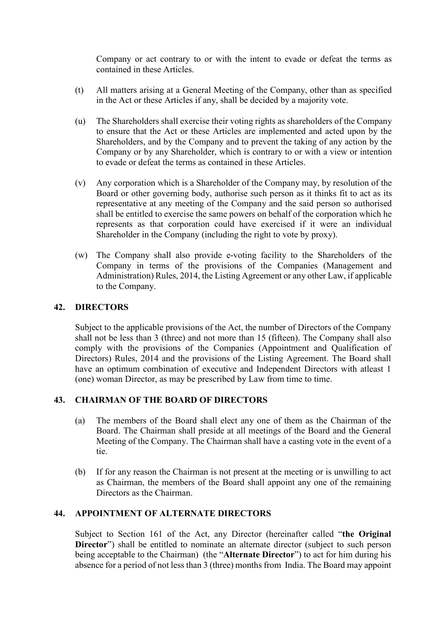Company or act contrary to or with the intent to evade or defeat the terms as contained in these Articles.

- (t) All matters arising at a General Meeting of the Company, other than as specified in the Act or these Articles if any, shall be decided by a majority vote.
- (u) The Shareholders shall exercise their voting rights as shareholders of the Company to ensure that the Act or these Articles are implemented and acted upon by the Shareholders, and by the Company and to prevent the taking of any action by the Company or by any Shareholder, which is contrary to or with a view or intention to evade or defeat the terms as contained in these Articles.
- (v) Any corporation which is a Shareholder of the Company may, by resolution of the Board or other governing body, authorise such person as it thinks fit to act as its representative at any meeting of the Company and the said person so authorised shall be entitled to exercise the same powers on behalf of the corporation which he represents as that corporation could have exercised if it were an individual Shareholder in the Company (including the right to vote by proxy).
- (w) The Company shall also provide e-voting facility to the Shareholders of the Company in terms of the provisions of the Companies (Management and Administration) Rules, 2014, the Listing Agreement or any other Law, if applicable to the Company.

#### **42. DIRECTORS**

Subject to the applicable provisions of the Act, the number of Directors of the Company shall not be less than 3 (three) and not more than 15 (fifteen). The Company shall also comply with the provisions of the Companies (Appointment and Qualification of Directors) Rules, 2014 and the provisions of the Listing Agreement. The Board shall have an optimum combination of executive and Independent Directors with atleast 1 (one) woman Director, as may be prescribed by Law from time to time.

## **43. CHAIRMAN OF THE BOARD OF DIRECTORS**

- (a) The members of the Board shall elect any one of them as the Chairman of the Board. The Chairman shall preside at all meetings of the Board and the General Meeting of the Company. The Chairman shall have a casting vote in the event of a tie.
- (b) If for any reason the Chairman is not present at the meeting or is unwilling to act as Chairman, the members of the Board shall appoint any one of the remaining Directors as the Chairman.

## **44. APPOINTMENT OF ALTERNATE DIRECTORS**

Subject to Section 161 of the Act, any Director (hereinafter called "**the Original Director**") shall be entitled to nominate an alternate director (subject to such person being acceptable to the Chairman) (the "**Alternate Director**") to act for him during his absence for a period of not less than 3 (three) months from India. The Board may appoint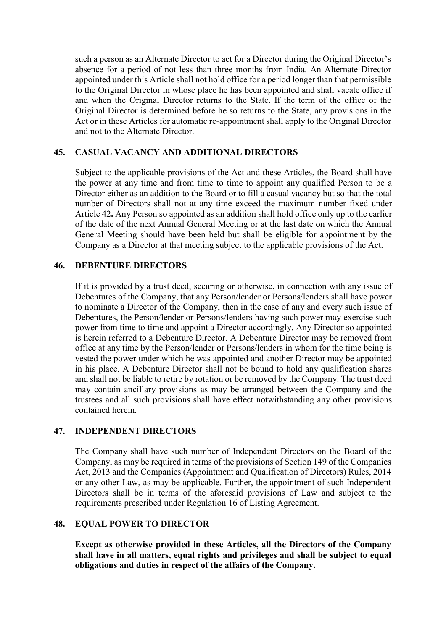such a person as an Alternate Director to act for a Director during the Original Director's absence for a period of not less than three months from India. An Alternate Director appointed under this Article shall not hold office for a period longer than that permissible to the Original Director in whose place he has been appointed and shall vacate office if and when the Original Director returns to the State. If the term of the office of the Original Director is determined before he so returns to the State, any provisions in the Act or in these Articles for automatic re-appointment shall apply to the Original Director and not to the Alternate Director.

## **45. CASUAL VACANCY AND ADDITIONAL DIRECTORS**

Subject to the applicable provisions of the Act and these Articles, the Board shall have the power at any time and from time to time to appoint any qualified Person to be a Director either as an addition to the Board or to fill a casual vacancy but so that the total number of Directors shall not at any time exceed the maximum number fixed under Article 42**.** Any Person so appointed as an addition shall hold office only up to the earlier of the date of the next Annual General Meeting or at the last date on which the Annual General Meeting should have been held but shall be eligible for appointment by the Company as a Director at that meeting subject to the applicable provisions of the Act.

#### **46. DEBENTURE DIRECTORS**

If it is provided by a trust deed, securing or otherwise, in connection with any issue of Debentures of the Company, that any Person/lender or Persons/lenders shall have power to nominate a Director of the Company, then in the case of any and every such issue of Debentures, the Person/lender or Persons/lenders having such power may exercise such power from time to time and appoint a Director accordingly. Any Director so appointed is herein referred to a Debenture Director. A Debenture Director may be removed from office at any time by the Person/lender or Persons/lenders in whom for the time being is vested the power under which he was appointed and another Director may be appointed in his place. A Debenture Director shall not be bound to hold any qualification shares and shall not be liable to retire by rotation or be removed by the Company. The trust deed may contain ancillary provisions as may be arranged between the Company and the trustees and all such provisions shall have effect notwithstanding any other provisions contained herein.

#### **47. INDEPENDENT DIRECTORS**

The Company shall have such number of Independent Directors on the Board of the Company, as may be required in terms of the provisions of Section 149 of the Companies Act, 2013 and the Companies (Appointment and Qualification of Directors) Rules, 2014 or any other Law, as may be applicable. Further, the appointment of such Independent Directors shall be in terms of the aforesaid provisions of Law and subject to the requirements prescribed under Regulation 16 of Listing Agreement.

#### **48. EQUAL POWER TO DIRECTOR**

**Except as otherwise provided in these Articles, all the Directors of the Company shall have in all matters, equal rights and privileges and shall be subject to equal obligations and duties in respect of the affairs of the Company.**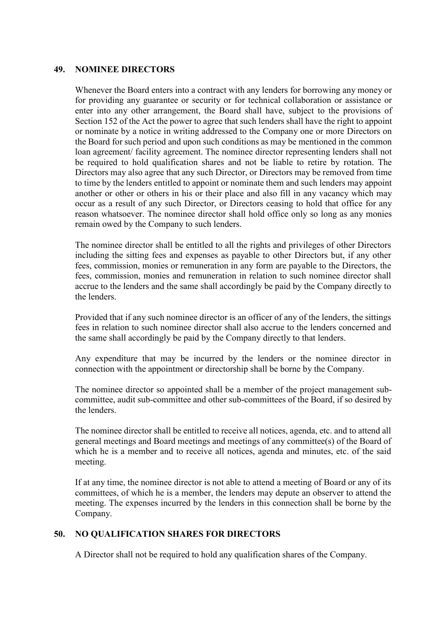#### **49. NOMINEE DIRECTORS**

Whenever the Board enters into a contract with any lenders for borrowing any money or for providing any guarantee or security or for technical collaboration or assistance or enter into any other arrangement, the Board shall have, subject to the provisions of Section 152 of the Act the power to agree that such lenders shall have the right to appoint or nominate by a notice in writing addressed to the Company one or more Directors on the Board for such period and upon such conditions as may be mentioned in the common loan agreement/ facility agreement. The nominee director representing lenders shall not be required to hold qualification shares and not be liable to retire by rotation. The Directors may also agree that any such Director, or Directors may be removed from time to time by the lenders entitled to appoint or nominate them and such lenders may appoint another or other or others in his or their place and also fill in any vacancy which may occur as a result of any such Director, or Directors ceasing to hold that office for any reason whatsoever. The nominee director shall hold office only so long as any monies remain owed by the Company to such lenders.

The nominee director shall be entitled to all the rights and privileges of other Directors including the sitting fees and expenses as payable to other Directors but, if any other fees, commission, monies or remuneration in any form are payable to the Directors, the fees, commission, monies and remuneration in relation to such nominee director shall accrue to the lenders and the same shall accordingly be paid by the Company directly to the lenders.

Provided that if any such nominee director is an officer of any of the lenders, the sittings fees in relation to such nominee director shall also accrue to the lenders concerned and the same shall accordingly be paid by the Company directly to that lenders.

Any expenditure that may be incurred by the lenders or the nominee director in connection with the appointment or directorship shall be borne by the Company.

The nominee director so appointed shall be a member of the project management subcommittee, audit sub-committee and other sub-committees of the Board, if so desired by the lenders.

The nominee director shall be entitled to receive all notices, agenda, etc. and to attend all general meetings and Board meetings and meetings of any committee(s) of the Board of which he is a member and to receive all notices, agenda and minutes, etc. of the said meeting.

If at any time, the nominee director is not able to attend a meeting of Board or any of its committees, of which he is a member, the lenders may depute an observer to attend the meeting. The expenses incurred by the lenders in this connection shall be borne by the Company.

## **50. NO QUALIFICATION SHARES FOR DIRECTORS**

A Director shall not be required to hold any qualification shares of the Company.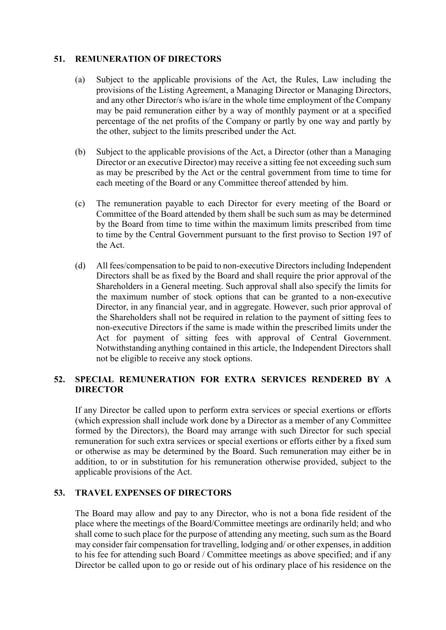## **51. REMUNERATION OF DIRECTORS**

- (a) Subject to the applicable provisions of the Act, the Rules, Law including the provisions of the Listing Agreement, a Managing Director or Managing Directors, and any other Director/s who is/are in the whole time employment of the Company may be paid remuneration either by a way of monthly payment or at a specified percentage of the net profits of the Company or partly by one way and partly by the other, subject to the limits prescribed under the Act.
- (b) Subject to the applicable provisions of the Act, a Director (other than a Managing Director or an executive Director) may receive a sitting fee not exceeding such sum as may be prescribed by the Act or the central government from time to time for each meeting of the Board or any Committee thereof attended by him.
- (c) The remuneration payable to each Director for every meeting of the Board or Committee of the Board attended by them shall be such sum as may be determined by the Board from time to time within the maximum limits prescribed from time to time by the Central Government pursuant to the first proviso to Section 197 of the Act.
- (d) All fees/compensation to be paid to non-executive Directors including Independent Directors shall be as fixed by the Board and shall require the prior approval of the Shareholders in a General meeting. Such approval shall also specify the limits for the maximum number of stock options that can be granted to a non-executive Director, in any financial year, and in aggregate. However, such prior approval of the Shareholders shall not be required in relation to the payment of sitting fees to non-executive Directors if the same is made within the prescribed limits under the Act for payment of sitting fees with approval of Central Government. Notwithstanding anything contained in this article, the Independent Directors shall not be eligible to receive any stock options.

# **52. SPECIAL REMUNERATION FOR EXTRA SERVICES RENDERED BY A DIRECTOR**

If any Director be called upon to perform extra services or special exertions or efforts (which expression shall include work done by a Director as a member of any Committee formed by the Directors), the Board may arrange with such Director for such special remuneration for such extra services or special exertions or efforts either by a fixed sum or otherwise as may be determined by the Board. Such remuneration may either be in addition, to or in substitution for his remuneration otherwise provided, subject to the applicable provisions of the Act.

## **53. TRAVEL EXPENSES OF DIRECTORS**

The Board may allow and pay to any Director, who is not a bona fide resident of the place where the meetings of the Board/Committee meetings are ordinarily held; and who shall come to such place for the purpose of attending any meeting, such sum as the Board may consider fair compensation for travelling, lodging and/ or other expenses, in addition to his fee for attending such Board / Committee meetings as above specified; and if any Director be called upon to go or reside out of his ordinary place of his residence on the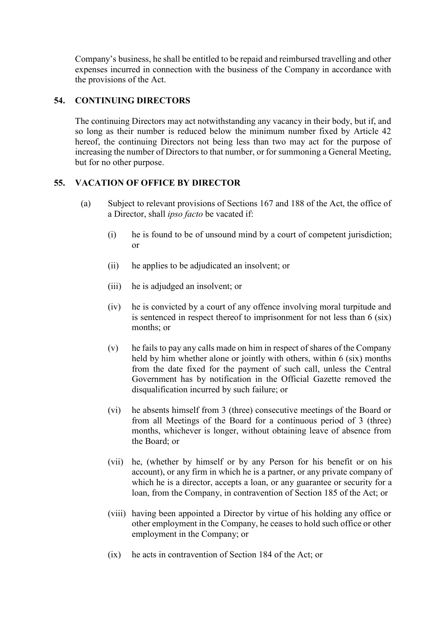Company's business, he shall be entitled to be repaid and reimbursed travelling and other expenses incurred in connection with the business of the Company in accordance with the provisions of the Act.

# **54. CONTINUING DIRECTORS**

The continuing Directors may act notwithstanding any vacancy in their body, but if, and so long as their number is reduced below the minimum number fixed by Article 42 hereof, the continuing Directors not being less than two may act for the purpose of increasing the number of Directors to that number, or for summoning a General Meeting, but for no other purpose.

## **55. VACATION OF OFFICE BY DIRECTOR**

- (a) Subject to relevant provisions of Sections 167 and 188 of the Act, the office of a Director, shall *ipso facto* be vacated if:
	- (i) he is found to be of unsound mind by a court of competent jurisdiction; or
	- (ii) he applies to be adjudicated an insolvent; or
	- (iii) he is adjudged an insolvent; or
	- (iv) he is convicted by a court of any offence involving moral turpitude and is sentenced in respect thereof to imprisonment for not less than 6 (six) months; or
	- (v) he fails to pay any calls made on him in respect of shares of the Company held by him whether alone or jointly with others, within 6 (six) months from the date fixed for the payment of such call, unless the Central Government has by notification in the Official Gazette removed the disqualification incurred by such failure; or
	- (vi) he absents himself from 3 (three) consecutive meetings of the Board or from all Meetings of the Board for a continuous period of 3 (three) months, whichever is longer, without obtaining leave of absence from the Board; or
	- (vii) he, (whether by himself or by any Person for his benefit or on his account), or any firm in which he is a partner, or any private company of which he is a director, accepts a loan, or any guarantee or security for a loan, from the Company, in contravention of Section 185 of the Act; or
	- (viii) having been appointed a Director by virtue of his holding any office or other employment in the Company, he ceases to hold such office or other employment in the Company; or
	- (ix) he acts in contravention of Section 184 of the Act; or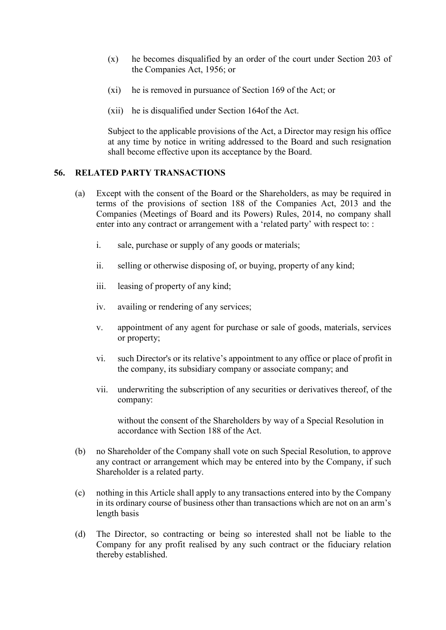- (x) he becomes disqualified by an order of the court under Section 203 of the Companies Act, 1956; or
- (xi) he is removed in pursuance of Section 169 of the Act; or
- (xii) he is disqualified under Section 164of the Act.

Subject to the applicable provisions of the Act, a Director may resign his office at any time by notice in writing addressed to the Board and such resignation shall become effective upon its acceptance by the Board.

#### **56. RELATED PARTY TRANSACTIONS**

- (a) Except with the consent of the Board or the Shareholders, as may be required in terms of the provisions of section 188 of the Companies Act, 2013 and the Companies (Meetings of Board and its Powers) Rules, 2014, no company shall enter into any contract or arrangement with a 'related party' with respect to: :
	- i. sale, purchase or supply of any goods or materials;
	- ii. selling or otherwise disposing of, or buying, property of any kind;
	- iii. leasing of property of any kind;
	- iv. availing or rendering of any services;
	- v. appointment of any agent for purchase or sale of goods, materials, services or property;
	- vi. such Director's or its relative's appointment to any office or place of profit in the company, its subsidiary company or associate company; and
	- vii. underwriting the subscription of any securities or derivatives thereof, of the company:

without the consent of the Shareholders by way of a Special Resolution in accordance with Section 188 of the Act.

- (b) no Shareholder of the Company shall vote on such Special Resolution, to approve any contract or arrangement which may be entered into by the Company, if such Shareholder is a related party.
- (c) nothing in this Article shall apply to any transactions entered into by the Company in its ordinary course of business other than transactions which are not on an arm's length basis
- (d) The Director, so contracting or being so interested shall not be liable to the Company for any profit realised by any such contract or the fiduciary relation thereby established.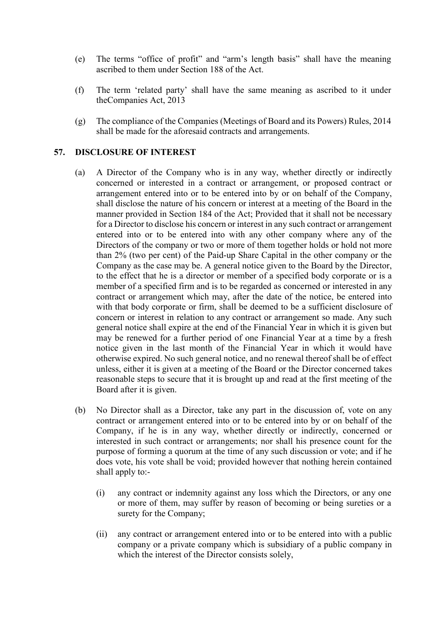- (e) The terms "office of profit" and "arm's length basis" shall have the meaning ascribed to them under Section 188 of the Act.
- (f) The term 'related party' shall have the same meaning as ascribed to it under theCompanies Act, 2013
- (g) The compliance of the Companies (Meetings of Board and its Powers) Rules, 2014 shall be made for the aforesaid contracts and arrangements.

#### **57. DISCLOSURE OF INTEREST**

- (a) A Director of the Company who is in any way, whether directly or indirectly concerned or interested in a contract or arrangement, or proposed contract or arrangement entered into or to be entered into by or on behalf of the Company, shall disclose the nature of his concern or interest at a meeting of the Board in the manner provided in Section 184 of the Act; Provided that it shall not be necessary for a Director to disclose his concern or interest in any such contract or arrangement entered into or to be entered into with any other company where any of the Directors of the company or two or more of them together holds or hold not more than 2% (two per cent) of the Paid-up Share Capital in the other company or the Company as the case may be. A general notice given to the Board by the Director, to the effect that he is a director or member of a specified body corporate or is a member of a specified firm and is to be regarded as concerned or interested in any contract or arrangement which may, after the date of the notice, be entered into with that body corporate or firm, shall be deemed to be a sufficient disclosure of concern or interest in relation to any contract or arrangement so made. Any such general notice shall expire at the end of the Financial Year in which it is given but may be renewed for a further period of one Financial Year at a time by a fresh notice given in the last month of the Financial Year in which it would have otherwise expired. No such general notice, and no renewal thereof shall be of effect unless, either it is given at a meeting of the Board or the Director concerned takes reasonable steps to secure that it is brought up and read at the first meeting of the Board after it is given.
- (b) No Director shall as a Director, take any part in the discussion of, vote on any contract or arrangement entered into or to be entered into by or on behalf of the Company, if he is in any way, whether directly or indirectly, concerned or interested in such contract or arrangements; nor shall his presence count for the purpose of forming a quorum at the time of any such discussion or vote; and if he does vote, his vote shall be void; provided however that nothing herein contained shall apply to:-
	- (i) any contract or indemnity against any loss which the Directors, or any one or more of them, may suffer by reason of becoming or being sureties or a surety for the Company;
	- (ii) any contract or arrangement entered into or to be entered into with a public company or a private company which is subsidiary of a public company in which the interest of the Director consists solely,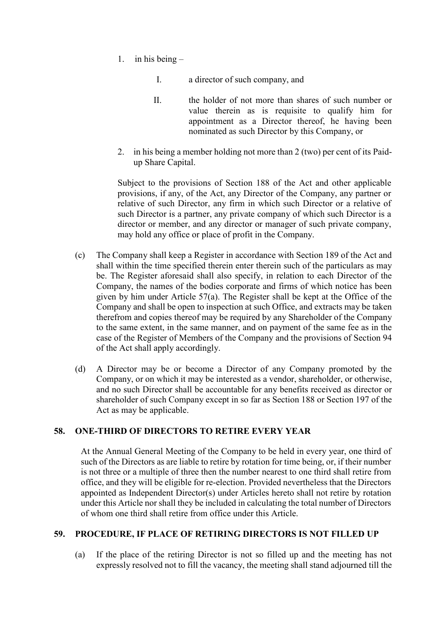- 1. in his being  $-$ 
	- I. a director of such company, and
	- II. the holder of not more than shares of such number or value therein as is requisite to qualify him for appointment as a Director thereof, he having been nominated as such Director by this Company, or
- 2. in his being a member holding not more than 2 (two) per cent of its Paidup Share Capital.

Subject to the provisions of Section 188 of the Act and other applicable provisions, if any, of the Act, any Director of the Company, any partner or relative of such Director, any firm in which such Director or a relative of such Director is a partner, any private company of which such Director is a director or member, and any director or manager of such private company, may hold any office or place of profit in the Company.

- (c) The Company shall keep a Register in accordance with Section 189 of the Act and shall within the time specified therein enter therein such of the particulars as may be. The Register aforesaid shall also specify, in relation to each Director of the Company, the names of the bodies corporate and firms of which notice has been given by him under Article 57(a). The Register shall be kept at the Office of the Company and shall be open to inspection at such Office, and extracts may be taken therefrom and copies thereof may be required by any Shareholder of the Company to the same extent, in the same manner, and on payment of the same fee as in the case of the Register of Members of the Company and the provisions of Section 94 of the Act shall apply accordingly.
- (d) A Director may be or become a Director of any Company promoted by the Company, or on which it may be interested as a vendor, shareholder, or otherwise, and no such Director shall be accountable for any benefits received as director or shareholder of such Company except in so far as Section 188 or Section 197 of the Act as may be applicable.

## **58. ONE-THIRD OF DIRECTORS TO RETIRE EVERY YEAR**

At the Annual General Meeting of the Company to be held in every year, one third of such of the Directors as are liable to retire by rotation for time being, or, if their number is not three or a multiple of three then the number nearest to one third shall retire from office, and they will be eligible for re-election. Provided nevertheless that the Directors appointed as Independent Director(s) under Articles hereto shall not retire by rotation under this Article nor shall they be included in calculating the total number of Directors of whom one third shall retire from office under this Article.

## **59. PROCEDURE, IF PLACE OF RETIRING DIRECTORS IS NOT FILLED UP**

(a) If the place of the retiring Director is not so filled up and the meeting has not expressly resolved not to fill the vacancy, the meeting shall stand adjourned till the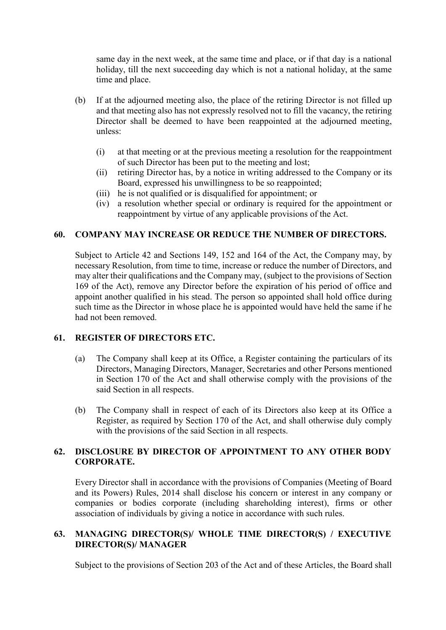same day in the next week, at the same time and place, or if that day is a national holiday, till the next succeeding day which is not a national holiday, at the same time and place.

- (b) If at the adjourned meeting also, the place of the retiring Director is not filled up and that meeting also has not expressly resolved not to fill the vacancy, the retiring Director shall be deemed to have been reappointed at the adjourned meeting, unless:
	- (i) at that meeting or at the previous meeting a resolution for the reappointment of such Director has been put to the meeting and lost;
	- (ii) retiring Director has, by a notice in writing addressed to the Company or its Board, expressed his unwillingness to be so reappointed;
	- (iii) he is not qualified or is disqualified for appointment; or
	- (iv) a resolution whether special or ordinary is required for the appointment or reappointment by virtue of any applicable provisions of the Act.

## **60. COMPANY MAY INCREASE OR REDUCE THE NUMBER OF DIRECTORS.**

Subject to Article 42 and Sections 149, 152 and 164 of the Act, the Company may, by necessary Resolution, from time to time, increase or reduce the number of Directors, and may alter their qualifications and the Company may, (subject to the provisions of Section 169 of the Act), remove any Director before the expiration of his period of office and appoint another qualified in his stead. The person so appointed shall hold office during such time as the Director in whose place he is appointed would have held the same if he had not been removed.

#### **61. REGISTER OF DIRECTORS ETC.**

- (a) The Company shall keep at its Office, a Register containing the particulars of its Directors, Managing Directors, Manager, Secretaries and other Persons mentioned in Section 170 of the Act and shall otherwise comply with the provisions of the said Section in all respects.
- (b) The Company shall in respect of each of its Directors also keep at its Office a Register, as required by Section 170 of the Act, and shall otherwise duly comply with the provisions of the said Section in all respects.

# **62. DISCLOSURE BY DIRECTOR OF APPOINTMENT TO ANY OTHER BODY CORPORATE.**

Every Director shall in accordance with the provisions of Companies (Meeting of Board and its Powers) Rules, 2014 shall disclose his concern or interest in any company or companies or bodies corporate (including shareholding interest), firms or other association of individuals by giving a notice in accordance with such rules.

## **63. MANAGING DIRECTOR(S)/ WHOLE TIME DIRECTOR(S) / EXECUTIVE DIRECTOR(S)/ MANAGER**

Subject to the provisions of Section 203 of the Act and of these Articles, the Board shall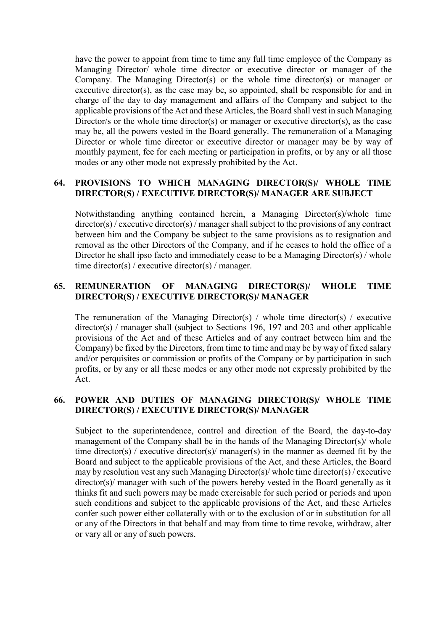have the power to appoint from time to time any full time employee of the Company as Managing Director/ whole time director or executive director or manager of the Company. The Managing Director(s) or the whole time director(s) or manager or executive director(s), as the case may be, so appointed, shall be responsible for and in charge of the day to day management and affairs of the Company and subject to the applicable provisions of the Act and these Articles, the Board shall vest in such Managing Director/s or the whole time director(s) or manager or executive director(s), as the case may be, all the powers vested in the Board generally. The remuneration of a Managing Director or whole time director or executive director or manager may be by way of monthly payment, fee for each meeting or participation in profits, or by any or all those modes or any other mode not expressly prohibited by the Act.

#### **64. PROVISIONS TO WHICH MANAGING DIRECTOR(S)/ WHOLE TIME DIRECTOR(S) / EXECUTIVE DIRECTOR(S)/ MANAGER ARE SUBJECT**

Notwithstanding anything contained herein, a Managing Director(s)/whole time director(s) / executive director(s) / manager shall subject to the provisions of any contract between him and the Company be subject to the same provisions as to resignation and removal as the other Directors of the Company, and if he ceases to hold the office of a Director he shall ipso facto and immediately cease to be a Managing Director(s) / whole time director(s) / executive director(s) / manager.

#### **65. REMUNERATION OF MANAGING DIRECTOR(S)/ WHOLE TIME DIRECTOR(S) / EXECUTIVE DIRECTOR(S)/ MANAGER**

The remuneration of the Managing Director(s) / whole time director(s) / executive director(s) / manager shall (subject to Sections 196, 197 and 203 and other applicable provisions of the Act and of these Articles and of any contract between him and the Company) be fixed by the Directors, from time to time and may be by way of fixed salary and/or perquisites or commission or profits of the Company or by participation in such profits, or by any or all these modes or any other mode not expressly prohibited by the Act.

## **66. POWER AND DUTIES OF MANAGING DIRECTOR(S)/ WHOLE TIME DIRECTOR(S) / EXECUTIVE DIRECTOR(S)/ MANAGER**

Subject to the superintendence, control and direction of the Board, the day-to-day management of the Company shall be in the hands of the Managing Director(s)/ whole time director(s) / executive director(s)/ manager(s) in the manner as deemed fit by the Board and subject to the applicable provisions of the Act, and these Articles, the Board may by resolution vest any such Managing Director(s)/ whole time director(s) / executive director(s)/ manager with such of the powers hereby vested in the Board generally as it thinks fit and such powers may be made exercisable for such period or periods and upon such conditions and subject to the applicable provisions of the Act, and these Articles confer such power either collaterally with or to the exclusion of or in substitution for all or any of the Directors in that behalf and may from time to time revoke, withdraw, alter or vary all or any of such powers.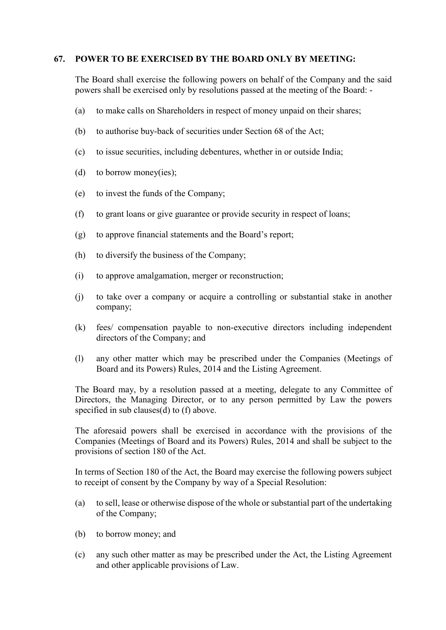#### **67. POWER TO BE EXERCISED BY THE BOARD ONLY BY MEETING:**

The Board shall exercise the following powers on behalf of the Company and the said powers shall be exercised only by resolutions passed at the meeting of the Board: -

- (a) to make calls on Shareholders in respect of money unpaid on their shares;
- (b) to authorise buy-back of securities under Section 68 of the Act;
- (c) to issue securities, including debentures, whether in or outside India;
- (d) to borrow money(ies);
- (e) to invest the funds of the Company;
- (f) to grant loans or give guarantee or provide security in respect of loans;
- (g) to approve financial statements and the Board's report;
- (h) to diversify the business of the Company;
- (i) to approve amalgamation, merger or reconstruction;
- (j) to take over a company or acquire a controlling or substantial stake in another company;
- (k) fees/ compensation payable to non-executive directors including independent directors of the Company; and
- (l) any other matter which may be prescribed under the Companies (Meetings of Board and its Powers) Rules, 2014 and the Listing Agreement.

The Board may, by a resolution passed at a meeting, delegate to any Committee of Directors, the Managing Director, or to any person permitted by Law the powers specified in sub clauses(d) to (f) above.

The aforesaid powers shall be exercised in accordance with the provisions of the Companies (Meetings of Board and its Powers) Rules, 2014 and shall be subject to the provisions of section 180 of the Act.

In terms of Section 180 of the Act, the Board may exercise the following powers subject to receipt of consent by the Company by way of a Special Resolution:

- (a) to sell, lease or otherwise dispose of the whole or substantial part of the undertaking of the Company;
- (b) to borrow money; and
- (c) any such other matter as may be prescribed under the Act, the Listing Agreement and other applicable provisions of Law.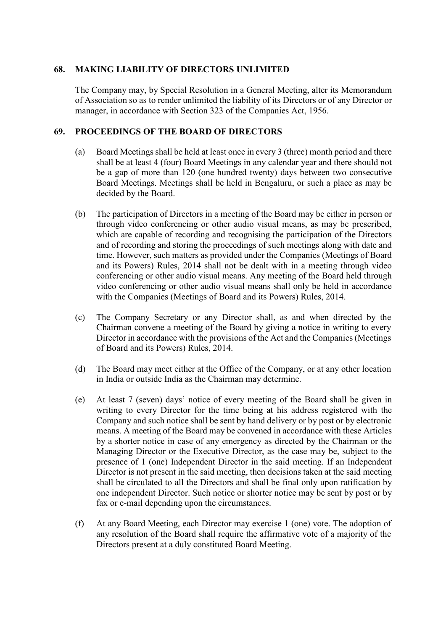#### **68. MAKING LIABILITY OF DIRECTORS UNLIMITED**

The Company may, by Special Resolution in a General Meeting, alter its Memorandum of Association so as to render unlimited the liability of its Directors or of any Director or manager, in accordance with Section 323 of the Companies Act, 1956.

#### **69. PROCEEDINGS OF THE BOARD OF DIRECTORS**

- (a) Board Meetings shall be held at least once in every 3 (three) month period and there shall be at least 4 (four) Board Meetings in any calendar year and there should not be a gap of more than 120 (one hundred twenty) days between two consecutive Board Meetings. Meetings shall be held in Bengaluru, or such a place as may be decided by the Board.
- (b) The participation of Directors in a meeting of the Board may be either in person or through video conferencing or other audio visual means, as may be prescribed, which are capable of recording and recognising the participation of the Directors and of recording and storing the proceedings of such meetings along with date and time. However, such matters as provided under the Companies (Meetings of Board and its Powers) Rules, 2014 shall not be dealt with in a meeting through video conferencing or other audio visual means. Any meeting of the Board held through video conferencing or other audio visual means shall only be held in accordance with the Companies (Meetings of Board and its Powers) Rules, 2014.
- (c) The Company Secretary or any Director shall, as and when directed by the Chairman convene a meeting of the Board by giving a notice in writing to every Director in accordance with the provisions of the Act and the Companies (Meetings of Board and its Powers) Rules, 2014.
- (d) The Board may meet either at the Office of the Company, or at any other location in India or outside India as the Chairman may determine.
- (e) At least 7 (seven) days' notice of every meeting of the Board shall be given in writing to every Director for the time being at his address registered with the Company and such notice shall be sent by hand delivery or by post or by electronic means. A meeting of the Board may be convened in accordance with these Articles by a shorter notice in case of any emergency as directed by the Chairman or the Managing Director or the Executive Director, as the case may be, subject to the presence of 1 (one) Independent Director in the said meeting. If an Independent Director is not present in the said meeting, then decisions taken at the said meeting shall be circulated to all the Directors and shall be final only upon ratification by one independent Director. Such notice or shorter notice may be sent by post or by fax or e-mail depending upon the circumstances.
- (f) At any Board Meeting, each Director may exercise 1 (one) vote. The adoption of any resolution of the Board shall require the affirmative vote of a majority of the Directors present at a duly constituted Board Meeting.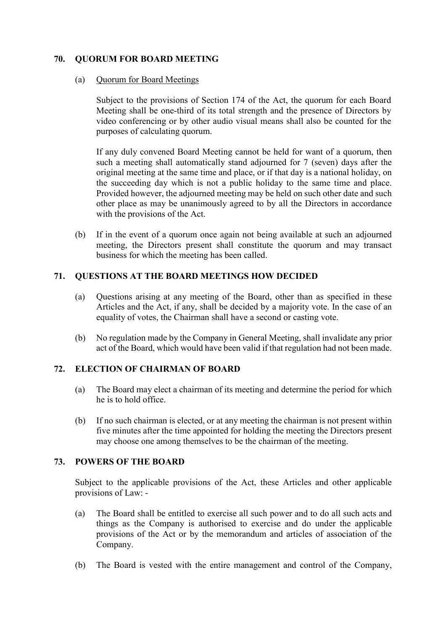# **70. QUORUM FOR BOARD MEETING**

#### (a) Quorum for Board Meetings

Subject to the provisions of Section 174 of the Act, the quorum for each Board Meeting shall be one-third of its total strength and the presence of Directors by video conferencing or by other audio visual means shall also be counted for the purposes of calculating quorum.

If any duly convened Board Meeting cannot be held for want of a quorum, then such a meeting shall automatically stand adjourned for 7 (seven) days after the original meeting at the same time and place, or if that day is a national holiday, on the succeeding day which is not a public holiday to the same time and place. Provided however, the adjourned meeting may be held on such other date and such other place as may be unanimously agreed to by all the Directors in accordance with the provisions of the Act.

(b) If in the event of a quorum once again not being available at such an adjourned meeting, the Directors present shall constitute the quorum and may transact business for which the meeting has been called.

## **71. QUESTIONS AT THE BOARD MEETINGS HOW DECIDED**

- (a) Questions arising at any meeting of the Board, other than as specified in these Articles and the Act, if any, shall be decided by a majority vote. In the case of an equality of votes, the Chairman shall have a second or casting vote.
- (b) No regulation made by the Company in General Meeting, shall invalidate any prior act of the Board, which would have been valid if that regulation had not been made.

## **72. ELECTION OF CHAIRMAN OF BOARD**

- (a) The Board may elect a chairman of its meeting and determine the period for which he is to hold office.
- (b) If no such chairman is elected, or at any meeting the chairman is not present within five minutes after the time appointed for holding the meeting the Directors present may choose one among themselves to be the chairman of the meeting.

## **73. POWERS OF THE BOARD**

Subject to the applicable provisions of the Act, these Articles and other applicable provisions of Law: -

- (a) The Board shall be entitled to exercise all such power and to do all such acts and things as the Company is authorised to exercise and do under the applicable provisions of the Act or by the memorandum and articles of association of the Company.
- (b) The Board is vested with the entire management and control of the Company,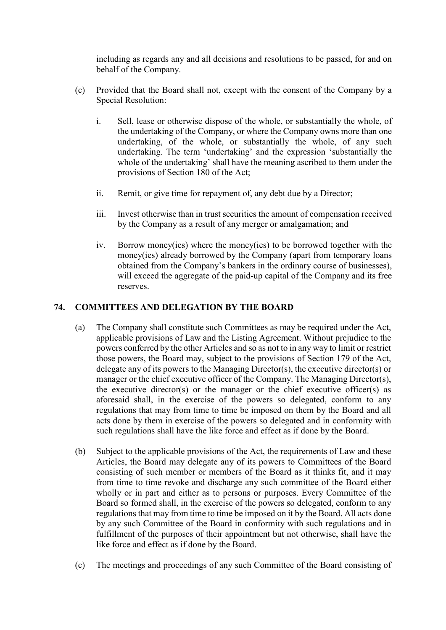including as regards any and all decisions and resolutions to be passed, for and on behalf of the Company.

- (c) Provided that the Board shall not, except with the consent of the Company by a Special Resolution:
	- i. Sell, lease or otherwise dispose of the whole, or substantially the whole, of the undertaking of the Company, or where the Company owns more than one undertaking, of the whole, or substantially the whole, of any such undertaking. The term 'undertaking' and the expression 'substantially the whole of the undertaking' shall have the meaning ascribed to them under the provisions of Section 180 of the Act;
	- ii. Remit, or give time for repayment of, any debt due by a Director;
	- iii. Invest otherwise than in trust securities the amount of compensation received by the Company as a result of any merger or amalgamation; and
	- iv. Borrow money(ies) where the money(ies) to be borrowed together with the money(ies) already borrowed by the Company (apart from temporary loans obtained from the Company's bankers in the ordinary course of businesses), will exceed the aggregate of the paid-up capital of the Company and its free reserves.

## **74. COMMITTEES AND DELEGATION BY THE BOARD**

- (a) The Company shall constitute such Committees as may be required under the Act, applicable provisions of Law and the Listing Agreement. Without prejudice to the powers conferred by the other Articles and so as not to in any way to limit or restrict those powers, the Board may, subject to the provisions of Section 179 of the Act, delegate any of its powers to the Managing Director(s), the executive director(s) or manager or the chief executive officer of the Company. The Managing Director(s), the executive director(s) or the manager or the chief executive officer(s) as aforesaid shall, in the exercise of the powers so delegated, conform to any regulations that may from time to time be imposed on them by the Board and all acts done by them in exercise of the powers so delegated and in conformity with such regulations shall have the like force and effect as if done by the Board.
- (b) Subject to the applicable provisions of the Act, the requirements of Law and these Articles, the Board may delegate any of its powers to Committees of the Board consisting of such member or members of the Board as it thinks fit, and it may from time to time revoke and discharge any such committee of the Board either wholly or in part and either as to persons or purposes. Every Committee of the Board so formed shall, in the exercise of the powers so delegated, conform to any regulations that may from time to time be imposed on it by the Board. All acts done by any such Committee of the Board in conformity with such regulations and in fulfillment of the purposes of their appointment but not otherwise, shall have the like force and effect as if done by the Board.
- (c) The meetings and proceedings of any such Committee of the Board consisting of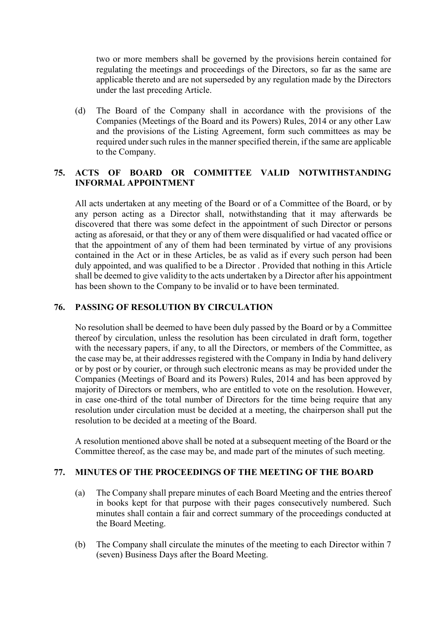two or more members shall be governed by the provisions herein contained for regulating the meetings and proceedings of the Directors, so far as the same are applicable thereto and are not superseded by any regulation made by the Directors under the last preceding Article.

(d) The Board of the Company shall in accordance with the provisions of the Companies (Meetings of the Board and its Powers) Rules, 2014 or any other Law and the provisions of the Listing Agreement, form such committees as may be required under such rules in the manner specified therein, if the same are applicable to the Company.

# **75. ACTS OF BOARD OR COMMITTEE VALID NOTWITHSTANDING INFORMAL APPOINTMENT**

All acts undertaken at any meeting of the Board or of a Committee of the Board, or by any person acting as a Director shall, notwithstanding that it may afterwards be discovered that there was some defect in the appointment of such Director or persons acting as aforesaid, or that they or any of them were disqualified or had vacated office or that the appointment of any of them had been terminated by virtue of any provisions contained in the Act or in these Articles, be as valid as if every such person had been duly appointed, and was qualified to be a Director . Provided that nothing in this Article shall be deemed to give validity to the acts undertaken by a Director after his appointment has been shown to the Company to be invalid or to have been terminated.

#### **76. PASSING OF RESOLUTION BY CIRCULATION**

No resolution shall be deemed to have been duly passed by the Board or by a Committee thereof by circulation, unless the resolution has been circulated in draft form, together with the necessary papers, if any, to all the Directors, or members of the Committee, as the case may be, at their addresses registered with the Company in India by hand delivery or by post or by courier, or through such electronic means as may be provided under the Companies (Meetings of Board and its Powers) Rules, 2014 and has been approved by majority of Directors or members, who are entitled to vote on the resolution. However, in case one-third of the total number of Directors for the time being require that any resolution under circulation must be decided at a meeting, the chairperson shall put the resolution to be decided at a meeting of the Board.

A resolution mentioned above shall be noted at a subsequent meeting of the Board or the Committee thereof, as the case may be, and made part of the minutes of such meeting.

#### **77. MINUTES OF THE PROCEEDINGS OF THE MEETING OF THE BOARD**

- (a) The Company shall prepare minutes of each Board Meeting and the entries thereof in books kept for that purpose with their pages consecutively numbered. Such minutes shall contain a fair and correct summary of the proceedings conducted at the Board Meeting.
- (b) The Company shall circulate the minutes of the meeting to each Director within 7 (seven) Business Days after the Board Meeting.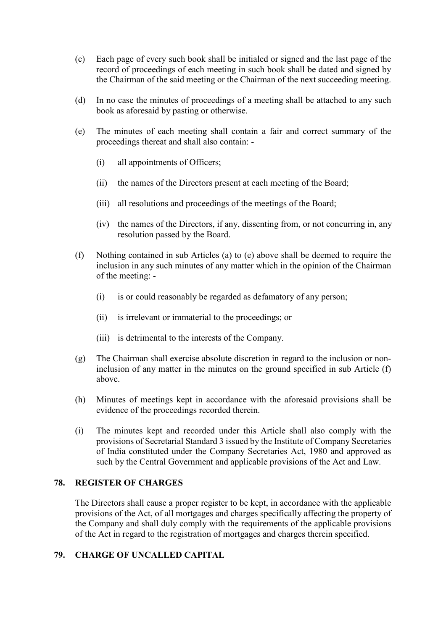- (c) Each page of every such book shall be initialed or signed and the last page of the record of proceedings of each meeting in such book shall be dated and signed by the Chairman of the said meeting or the Chairman of the next succeeding meeting.
- (d) In no case the minutes of proceedings of a meeting shall be attached to any such book as aforesaid by pasting or otherwise.
- (e) The minutes of each meeting shall contain a fair and correct summary of the proceedings thereat and shall also contain: -
	- (i) all appointments of Officers;
	- (ii) the names of the Directors present at each meeting of the Board;
	- (iii) all resolutions and proceedings of the meetings of the Board;
	- (iv) the names of the Directors, if any, dissenting from, or not concurring in, any resolution passed by the Board.
- (f) Nothing contained in sub Articles (a) to (e) above shall be deemed to require the inclusion in any such minutes of any matter which in the opinion of the Chairman of the meeting: -
	- (i) is or could reasonably be regarded as defamatory of any person;
	- (ii) is irrelevant or immaterial to the proceedings; or
	- (iii) is detrimental to the interests of the Company.
- (g) The Chairman shall exercise absolute discretion in regard to the inclusion or noninclusion of any matter in the minutes on the ground specified in sub Article (f) above.
- (h) Minutes of meetings kept in accordance with the aforesaid provisions shall be evidence of the proceedings recorded therein.
- (i) The minutes kept and recorded under this Article shall also comply with the provisions of Secretarial Standard 3 issued by the Institute of Company Secretaries of India constituted under the Company Secretaries Act, 1980 and approved as such by the Central Government and applicable provisions of the Act and Law.

#### **78. REGISTER OF CHARGES**

The Directors shall cause a proper register to be kept, in accordance with the applicable provisions of the Act, of all mortgages and charges specifically affecting the property of the Company and shall duly comply with the requirements of the applicable provisions of the Act in regard to the registration of mortgages and charges therein specified.

#### **79. CHARGE OF UNCALLED CAPITAL**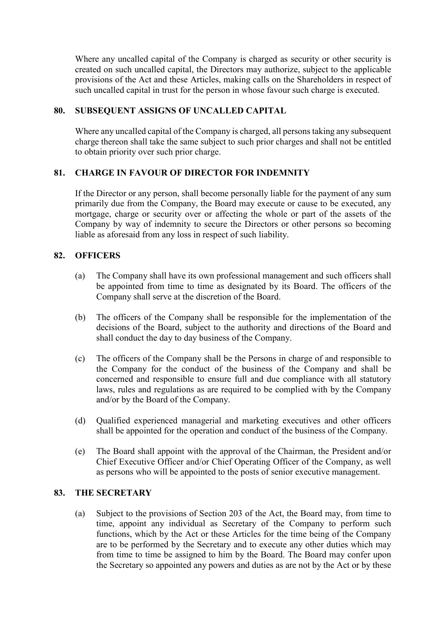Where any uncalled capital of the Company is charged as security or other security is created on such uncalled capital, the Directors may authorize, subject to the applicable provisions of the Act and these Articles, making calls on the Shareholders in respect of such uncalled capital in trust for the person in whose favour such charge is executed.

#### **80. SUBSEQUENT ASSIGNS OF UNCALLED CAPITAL**

Where any uncalled capital of the Company is charged, all persons taking any subsequent charge thereon shall take the same subject to such prior charges and shall not be entitled to obtain priority over such prior charge.

#### **81. CHARGE IN FAVOUR OF DIRECTOR FOR INDEMNITY**

If the Director or any person, shall become personally liable for the payment of any sum primarily due from the Company, the Board may execute or cause to be executed, any mortgage, charge or security over or affecting the whole or part of the assets of the Company by way of indemnity to secure the Directors or other persons so becoming liable as aforesaid from any loss in respect of such liability.

#### **82. OFFICERS**

- (a) The Company shall have its own professional management and such officers shall be appointed from time to time as designated by its Board. The officers of the Company shall serve at the discretion of the Board.
- (b) The officers of the Company shall be responsible for the implementation of the decisions of the Board, subject to the authority and directions of the Board and shall conduct the day to day business of the Company.
- (c) The officers of the Company shall be the Persons in charge of and responsible to the Company for the conduct of the business of the Company and shall be concerned and responsible to ensure full and due compliance with all statutory laws, rules and regulations as are required to be complied with by the Company and/or by the Board of the Company.
- (d) Qualified experienced managerial and marketing executives and other officers shall be appointed for the operation and conduct of the business of the Company.
- (e) The Board shall appoint with the approval of the Chairman, the President and/or Chief Executive Officer and/or Chief Operating Officer of the Company, as well as persons who will be appointed to the posts of senior executive management.

#### **83. THE SECRETARY**

(a) Subject to the provisions of Section 203 of the Act, the Board may, from time to time, appoint any individual as Secretary of the Company to perform such functions, which by the Act or these Articles for the time being of the Company are to be performed by the Secretary and to execute any other duties which may from time to time be assigned to him by the Board. The Board may confer upon the Secretary so appointed any powers and duties as are not by the Act or by these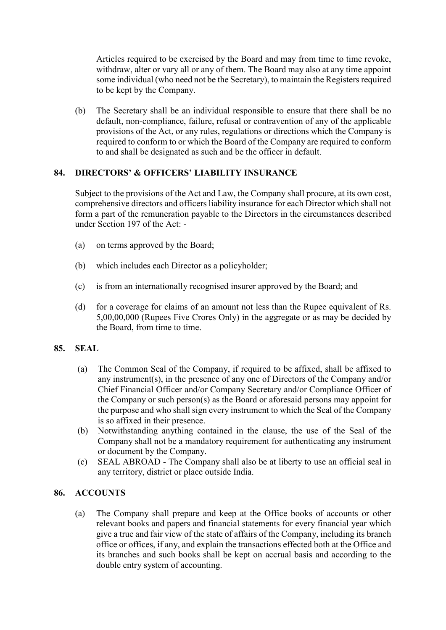Articles required to be exercised by the Board and may from time to time revoke, withdraw, alter or vary all or any of them. The Board may also at any time appoint some individual (who need not be the Secretary), to maintain the Registers required to be kept by the Company.

(b) The Secretary shall be an individual responsible to ensure that there shall be no default, non-compliance, failure, refusal or contravention of any of the applicable provisions of the Act, or any rules, regulations or directions which the Company is required to conform to or which the Board of the Company are required to conform to and shall be designated as such and be the officer in default.

## **84. DIRECTORS' & OFFICERS' LIABILITY INSURANCE**

Subject to the provisions of the Act and Law, the Company shall procure, at its own cost, comprehensive directors and officers liability insurance for each Director which shall not form a part of the remuneration payable to the Directors in the circumstances described under Section 197 of the Act: -

- (a) on terms approved by the Board;
- (b) which includes each Director as a policyholder;
- (c) is from an internationally recognised insurer approved by the Board; and
- (d) for a coverage for claims of an amount not less than the Rupee equivalent of Rs. 5,00,00,000 (Rupees Five Crores Only) in the aggregate or as may be decided by the Board, from time to time.

#### **85. SEAL**

- (a) The Common Seal of the Company, if required to be affixed, shall be affixed to any instrument(s), in the presence of any one of Directors of the Company and/or Chief Financial Officer and/or Company Secretary and/or Compliance Officer of the Company or such person(s) as the Board or aforesaid persons may appoint for the purpose and who shall sign every instrument to which the Seal of the Company is so affixed in their presence.
- (b) Notwithstanding anything contained in the clause, the use of the Seal of the Company shall not be a mandatory requirement for authenticating any instrument or document by the Company.
- (c) SEAL ABROAD The Company shall also be at liberty to use an official seal in any territory, district or place outside India.

## **86. ACCOUNTS**

(a) The Company shall prepare and keep at the Office books of accounts or other relevant books and papers and financial statements for every financial year which give a true and fair view of the state of affairs of the Company, including its branch office or offices, if any, and explain the transactions effected both at the Office and its branches and such books shall be kept on accrual basis and according to the double entry system of accounting.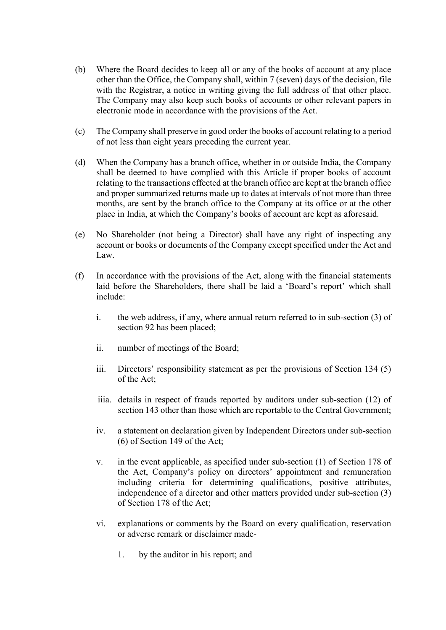- (b) Where the Board decides to keep all or any of the books of account at any place other than the Office, the Company shall, within 7 (seven) days of the decision, file with the Registrar, a notice in writing giving the full address of that other place. The Company may also keep such books of accounts or other relevant papers in electronic mode in accordance with the provisions of the Act.
- (c) The Company shall preserve in good order the books of account relating to a period of not less than eight years preceding the current year.
- (d) When the Company has a branch office, whether in or outside India, the Company shall be deemed to have complied with this Article if proper books of account relating to the transactions effected at the branch office are kept at the branch office and proper summarized returns made up to dates at intervals of not more than three months, are sent by the branch office to the Company at its office or at the other place in India, at which the Company's books of account are kept as aforesaid.
- (e) No Shareholder (not being a Director) shall have any right of inspecting any account or books or documents of the Company except specified under the Act and Law.
- (f) In accordance with the provisions of the Act, along with the financial statements laid before the Shareholders, there shall be laid a 'Board's report' which shall include:
	- i. the web address, if any, where annual return referred to in sub-section (3) of section 92 has been placed;
	- ii. number of meetings of the Board;
	- iii. Directors' responsibility statement as per the provisions of Section 134 (5) of the Act;
	- iiia. details in respect of frauds reported by auditors under sub-section (12) of section 143 other than those which are reportable to the Central Government;
	- iv. a statement on declaration given by Independent Directors under sub-section (6) of Section 149 of the Act;
	- v. in the event applicable, as specified under sub-section (1) of Section 178 of the Act, Company's policy on directors' appointment and remuneration including criteria for determining qualifications, positive attributes, independence of a director and other matters provided under sub-section (3) of Section 178 of the Act;
	- vi. explanations or comments by the Board on every qualification, reservation or adverse remark or disclaimer made-
		- 1. by the auditor in his report; and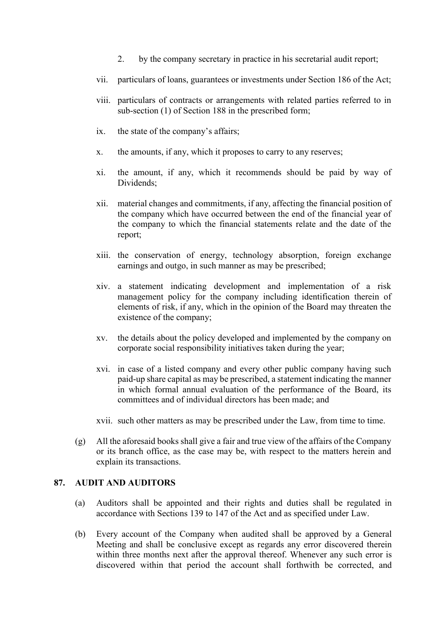- 2. by the company secretary in practice in his secretarial audit report;
- vii. particulars of loans, guarantees or investments under Section 186 of the Act;
- viii. particulars of contracts or arrangements with related parties referred to in sub-section (1) of Section 188 in the prescribed form;
- ix. the state of the company's affairs;
- x. the amounts, if any, which it proposes to carry to any reserves;
- xi. the amount, if any, which it recommends should be paid by way of Dividends;
- xii. material changes and commitments, if any, affecting the financial position of the company which have occurred between the end of the financial year of the company to which the financial statements relate and the date of the report;
- xiii. the conservation of energy, technology absorption, foreign exchange earnings and outgo, in such manner as may be prescribed;
- xiv. a statement indicating development and implementation of a risk management policy for the company including identification therein of elements of risk, if any, which in the opinion of the Board may threaten the existence of the company;
- xv. the details about the policy developed and implemented by the company on corporate social responsibility initiatives taken during the year;
- xvi. in case of a listed company and every other public company having such paid-up share capital as may be prescribed, a statement indicating the manner in which formal annual evaluation of the performance of the Board, its committees and of individual directors has been made; and

xvii. such other matters as may be prescribed under the Law, from time to time.

(g) All the aforesaid books shall give a fair and true view of the affairs of the Company or its branch office, as the case may be, with respect to the matters herein and explain its transactions.

#### **87. AUDIT AND AUDITORS**

- (a) Auditors shall be appointed and their rights and duties shall be regulated in accordance with Sections 139 to 147 of the Act and as specified under Law.
- (b) Every account of the Company when audited shall be approved by a General Meeting and shall be conclusive except as regards any error discovered therein within three months next after the approval thereof. Whenever any such error is discovered within that period the account shall forthwith be corrected, and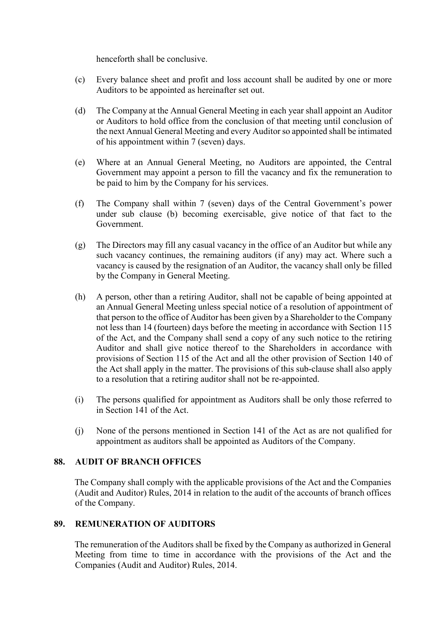henceforth shall be conclusive.

- (c) Every balance sheet and profit and loss account shall be audited by one or more Auditors to be appointed as hereinafter set out.
- (d) The Company at the Annual General Meeting in each year shall appoint an Auditor or Auditors to hold office from the conclusion of that meeting until conclusion of the next Annual General Meeting and every Auditor so appointed shall be intimated of his appointment within 7 (seven) days.
- (e) Where at an Annual General Meeting, no Auditors are appointed, the Central Government may appoint a person to fill the vacancy and fix the remuneration to be paid to him by the Company for his services.
- (f) The Company shall within 7 (seven) days of the Central Government's power under sub clause (b) becoming exercisable, give notice of that fact to the Government.
- (g) The Directors may fill any casual vacancy in the office of an Auditor but while any such vacancy continues, the remaining auditors (if any) may act. Where such a vacancy is caused by the resignation of an Auditor, the vacancy shall only be filled by the Company in General Meeting.
- (h) A person, other than a retiring Auditor, shall not be capable of being appointed at an Annual General Meeting unless special notice of a resolution of appointment of that person to the office of Auditor has been given by a Shareholder to the Company not less than 14 (fourteen) days before the meeting in accordance with Section 115 of the Act, and the Company shall send a copy of any such notice to the retiring Auditor and shall give notice thereof to the Shareholders in accordance with provisions of Section 115 of the Act and all the other provision of Section 140 of the Act shall apply in the matter. The provisions of this sub-clause shall also apply to a resolution that a retiring auditor shall not be re-appointed.
- (i) The persons qualified for appointment as Auditors shall be only those referred to in Section 141 of the Act.
- (j) None of the persons mentioned in Section 141 of the Act as are not qualified for appointment as auditors shall be appointed as Auditors of the Company.

## **88. AUDIT OF BRANCH OFFICES**

The Company shall comply with the applicable provisions of the Act and the Companies (Audit and Auditor) Rules, 2014 in relation to the audit of the accounts of branch offices of the Company.

#### **89. REMUNERATION OF AUDITORS**

The remuneration of the Auditors shall be fixed by the Company as authorized in General Meeting from time to time in accordance with the provisions of the Act and the Companies (Audit and Auditor) Rules, 2014.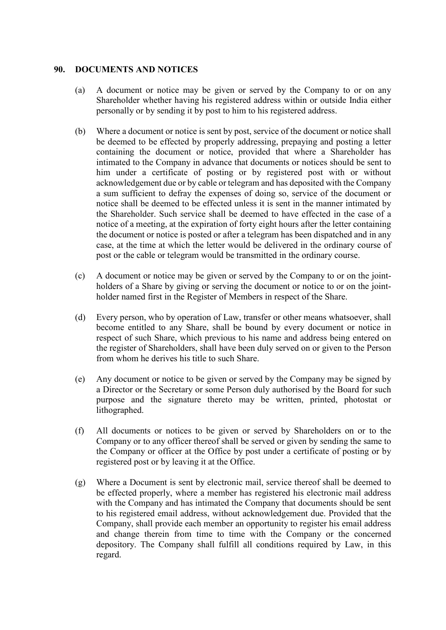#### **90. DOCUMENTS AND NOTICES**

- (a) A document or notice may be given or served by the Company to or on any Shareholder whether having his registered address within or outside India either personally or by sending it by post to him to his registered address.
- (b) Where a document or notice is sent by post, service of the document or notice shall be deemed to be effected by properly addressing, prepaying and posting a letter containing the document or notice, provided that where a Shareholder has intimated to the Company in advance that documents or notices should be sent to him under a certificate of posting or by registered post with or without acknowledgement due or by cable or telegram and has deposited with the Company a sum sufficient to defray the expenses of doing so, service of the document or notice shall be deemed to be effected unless it is sent in the manner intimated by the Shareholder. Such service shall be deemed to have effected in the case of a notice of a meeting, at the expiration of forty eight hours after the letter containing the document or notice is posted or after a telegram has been dispatched and in any case, at the time at which the letter would be delivered in the ordinary course of post or the cable or telegram would be transmitted in the ordinary course.
- (c) A document or notice may be given or served by the Company to or on the jointholders of a Share by giving or serving the document or notice to or on the jointholder named first in the Register of Members in respect of the Share.
- (d) Every person, who by operation of Law, transfer or other means whatsoever, shall become entitled to any Share, shall be bound by every document or notice in respect of such Share, which previous to his name and address being entered on the register of Shareholders, shall have been duly served on or given to the Person from whom he derives his title to such Share.
- (e) Any document or notice to be given or served by the Company may be signed by a Director or the Secretary or some Person duly authorised by the Board for such purpose and the signature thereto may be written, printed, photostat or lithographed.
- (f) All documents or notices to be given or served by Shareholders on or to the Company or to any officer thereof shall be served or given by sending the same to the Company or officer at the Office by post under a certificate of posting or by registered post or by leaving it at the Office.
- (g) Where a Document is sent by electronic mail, service thereof shall be deemed to be effected properly, where a member has registered his electronic mail address with the Company and has intimated the Company that documents should be sent to his registered email address, without acknowledgement due. Provided that the Company, shall provide each member an opportunity to register his email address and change therein from time to time with the Company or the concerned depository. The Company shall fulfill all conditions required by Law, in this regard.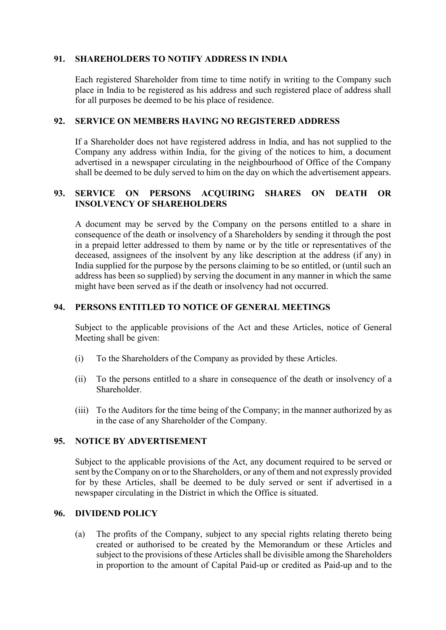#### **91. SHAREHOLDERS TO NOTIFY ADDRESS IN INDIA**

Each registered Shareholder from time to time notify in writing to the Company such place in India to be registered as his address and such registered place of address shall for all purposes be deemed to be his place of residence.

#### **92. SERVICE ON MEMBERS HAVING NO REGISTERED ADDRESS**

If a Shareholder does not have registered address in India, and has not supplied to the Company any address within India, for the giving of the notices to him, a document advertised in a newspaper circulating in the neighbourhood of Office of the Company shall be deemed to be duly served to him on the day on which the advertisement appears.

#### **93. SERVICE ON PERSONS ACQUIRING SHARES ON DEATH OR INSOLVENCY OF SHAREHOLDERS**

A document may be served by the Company on the persons entitled to a share in consequence of the death or insolvency of a Shareholders by sending it through the post in a prepaid letter addressed to them by name or by the title or representatives of the deceased, assignees of the insolvent by any like description at the address (if any) in India supplied for the purpose by the persons claiming to be so entitled, or (until such an address has been so supplied) by serving the document in any manner in which the same might have been served as if the death or insolvency had not occurred.

#### **94. PERSONS ENTITLED TO NOTICE OF GENERAL MEETINGS**

Subject to the applicable provisions of the Act and these Articles, notice of General Meeting shall be given:

- (i) To the Shareholders of the Company as provided by these Articles.
- (ii) To the persons entitled to a share in consequence of the death or insolvency of a Shareholder.
- (iii) To the Auditors for the time being of the Company; in the manner authorized by as in the case of any Shareholder of the Company.

## **95. NOTICE BY ADVERTISEMENT**

Subject to the applicable provisions of the Act, any document required to be served or sent by the Company on or to the Shareholders, or any of them and not expressly provided for by these Articles, shall be deemed to be duly served or sent if advertised in a newspaper circulating in the District in which the Office is situated.

#### **96. DIVIDEND POLICY**

(a) The profits of the Company, subject to any special rights relating thereto being created or authorised to be created by the Memorandum or these Articles and subject to the provisions of these Articles shall be divisible among the Shareholders in proportion to the amount of Capital Paid-up or credited as Paid-up and to the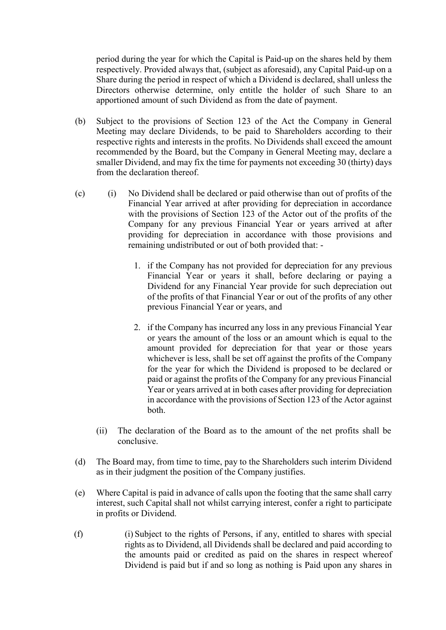period during the year for which the Capital is Paid-up on the shares held by them respectively. Provided always that, (subject as aforesaid), any Capital Paid-up on a Share during the period in respect of which a Dividend is declared, shall unless the Directors otherwise determine, only entitle the holder of such Share to an apportioned amount of such Dividend as from the date of payment.

- (b) Subject to the provisions of Section 123 of the Act the Company in General Meeting may declare Dividends, to be paid to Shareholders according to their respective rights and interests in the profits. No Dividends shall exceed the amount recommended by the Board, but the Company in General Meeting may, declare a smaller Dividend, and may fix the time for payments not exceeding 30 (thirty) days from the declaration thereof.
- (c) (i) No Dividend shall be declared or paid otherwise than out of profits of the Financial Year arrived at after providing for depreciation in accordance with the provisions of Section 123 of the Actor out of the profits of the Company for any previous Financial Year or years arrived at after providing for depreciation in accordance with those provisions and remaining undistributed or out of both provided that: -
	- 1. if the Company has not provided for depreciation for any previous Financial Year or years it shall, before declaring or paying a Dividend for any Financial Year provide for such depreciation out of the profits of that Financial Year or out of the profits of any other previous Financial Year or years, and
	- 2. if the Company has incurred any loss in any previous Financial Year or years the amount of the loss or an amount which is equal to the amount provided for depreciation for that year or those years whichever is less, shall be set off against the profits of the Company for the year for which the Dividend is proposed to be declared or paid or against the profits of the Company for any previous Financial Year or years arrived at in both cases after providing for depreciation in accordance with the provisions of Section 123 of the Actor against both.
	- (ii) The declaration of the Board as to the amount of the net profits shall be conclusive.
- (d) The Board may, from time to time, pay to the Shareholders such interim Dividend as in their judgment the position of the Company justifies.
- (e) Where Capital is paid in advance of calls upon the footing that the same shall carry interest, such Capital shall not whilst carrying interest, confer a right to participate in profits or Dividend.
- (f) (i) Subject to the rights of Persons, if any, entitled to shares with special rights as to Dividend, all Dividends shall be declared and paid according to the amounts paid or credited as paid on the shares in respect whereof Dividend is paid but if and so long as nothing is Paid upon any shares in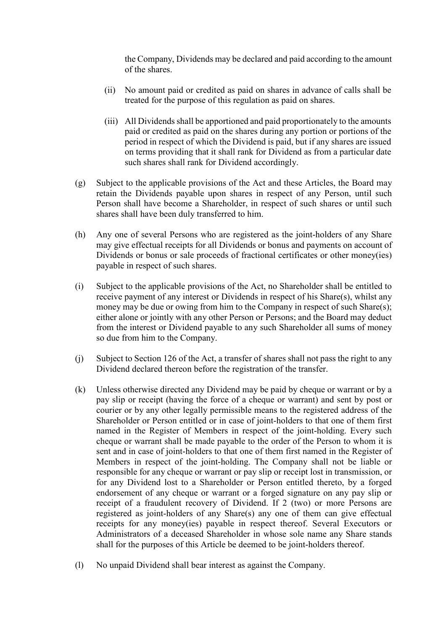the Company, Dividends may be declared and paid according to the amount of the shares.

- (ii) No amount paid or credited as paid on shares in advance of calls shall be treated for the purpose of this regulation as paid on shares.
- (iii) All Dividends shall be apportioned and paid proportionately to the amounts paid or credited as paid on the shares during any portion or portions of the period in respect of which the Dividend is paid, but if any shares are issued on terms providing that it shall rank for Dividend as from a particular date such shares shall rank for Dividend accordingly.
- (g) Subject to the applicable provisions of the Act and these Articles, the Board may retain the Dividends payable upon shares in respect of any Person, until such Person shall have become a Shareholder, in respect of such shares or until such shares shall have been duly transferred to him.
- (h) Any one of several Persons who are registered as the joint-holders of any Share may give effectual receipts for all Dividends or bonus and payments on account of Dividends or bonus or sale proceeds of fractional certificates or other money(ies) payable in respect of such shares.
- (i) Subject to the applicable provisions of the Act, no Shareholder shall be entitled to receive payment of any interest or Dividends in respect of his Share(s), whilst any money may be due or owing from him to the Company in respect of such Share(s); either alone or jointly with any other Person or Persons; and the Board may deduct from the interest or Dividend payable to any such Shareholder all sums of money so due from him to the Company.
- (j) Subject to Section 126 of the Act, a transfer of shares shall not pass the right to any Dividend declared thereon before the registration of the transfer.
- (k) Unless otherwise directed any Dividend may be paid by cheque or warrant or by a pay slip or receipt (having the force of a cheque or warrant) and sent by post or courier or by any other legally permissible means to the registered address of the Shareholder or Person entitled or in case of joint-holders to that one of them first named in the Register of Members in respect of the joint-holding. Every such cheque or warrant shall be made payable to the order of the Person to whom it is sent and in case of joint-holders to that one of them first named in the Register of Members in respect of the joint-holding. The Company shall not be liable or responsible for any cheque or warrant or pay slip or receipt lost in transmission, or for any Dividend lost to a Shareholder or Person entitled thereto, by a forged endorsement of any cheque or warrant or a forged signature on any pay slip or receipt of a fraudulent recovery of Dividend. If 2 (two) or more Persons are registered as joint-holders of any Share(s) any one of them can give effectual receipts for any money(ies) payable in respect thereof. Several Executors or Administrators of a deceased Shareholder in whose sole name any Share stands shall for the purposes of this Article be deemed to be joint-holders thereof.
- (l) No unpaid Dividend shall bear interest as against the Company.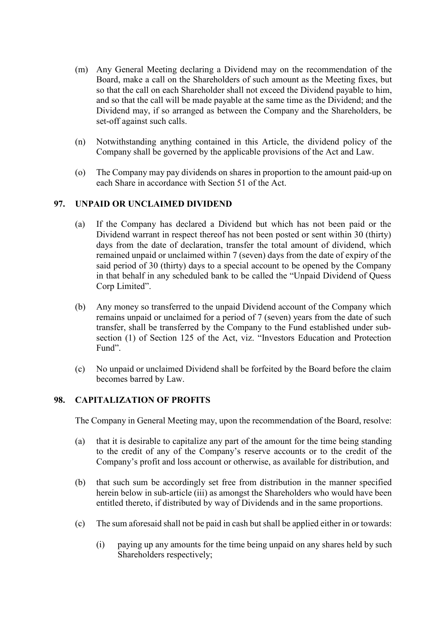- (m) Any General Meeting declaring a Dividend may on the recommendation of the Board, make a call on the Shareholders of such amount as the Meeting fixes, but so that the call on each Shareholder shall not exceed the Dividend payable to him, and so that the call will be made payable at the same time as the Dividend; and the Dividend may, if so arranged as between the Company and the Shareholders, be set-off against such calls.
- (n) Notwithstanding anything contained in this Article, the dividend policy of the Company shall be governed by the applicable provisions of the Act and Law.
- (o) The Company may pay dividends on shares in proportion to the amount paid-up on each Share in accordance with Section 51 of the Act.

## **97. UNPAID OR UNCLAIMED DIVIDEND**

- (a) If the Company has declared a Dividend but which has not been paid or the Dividend warrant in respect thereof has not been posted or sent within 30 (thirty) days from the date of declaration, transfer the total amount of dividend, which remained unpaid or unclaimed within 7 (seven) days from the date of expiry of the said period of 30 (thirty) days to a special account to be opened by the Company in that behalf in any scheduled bank to be called the "Unpaid Dividend of Quess Corp Limited".
- (b) Any money so transferred to the unpaid Dividend account of the Company which remains unpaid or unclaimed for a period of 7 (seven) years from the date of such transfer, shall be transferred by the Company to the Fund established under subsection (1) of Section 125 of the Act, viz. "Investors Education and Protection Fund".
- (c) No unpaid or unclaimed Dividend shall be forfeited by the Board before the claim becomes barred by Law.

#### **98. CAPITALIZATION OF PROFITS**

The Company in General Meeting may, upon the recommendation of the Board, resolve:

- (a) that it is desirable to capitalize any part of the amount for the time being standing to the credit of any of the Company's reserve accounts or to the credit of the Company's profit and loss account or otherwise, as available for distribution, and
- (b) that such sum be accordingly set free from distribution in the manner specified herein below in sub-article (iii) as amongst the Shareholders who would have been entitled thereto, if distributed by way of Dividends and in the same proportions.
- (c) The sum aforesaid shall not be paid in cash but shall be applied either in or towards:
	- (i) paying up any amounts for the time being unpaid on any shares held by such Shareholders respectively;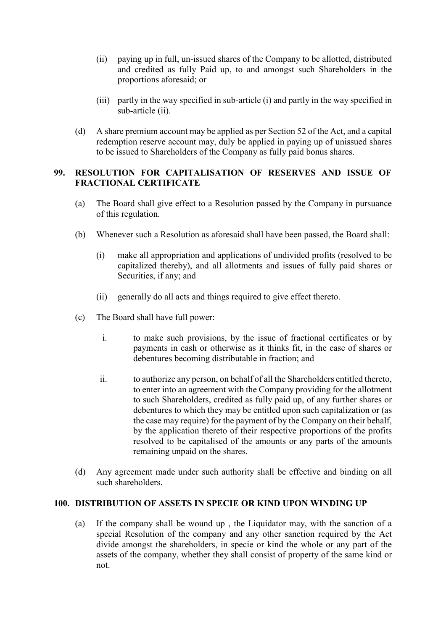- (ii) paying up in full, un-issued shares of the Company to be allotted, distributed and credited as fully Paid up, to and amongst such Shareholders in the proportions aforesaid; or
- (iii) partly in the way specified in sub-article (i) and partly in the way specified in sub-article (ii).
- (d) A share premium account may be applied as per Section 52 of the Act, and a capital redemption reserve account may, duly be applied in paying up of unissued shares to be issued to Shareholders of the Company as fully paid bonus shares.

## **99. RESOLUTION FOR CAPITALISATION OF RESERVES AND ISSUE OF FRACTIONAL CERTIFICATE**

- (a) The Board shall give effect to a Resolution passed by the Company in pursuance of this regulation.
- (b) Whenever such a Resolution as aforesaid shall have been passed, the Board shall:
	- (i) make all appropriation and applications of undivided profits (resolved to be capitalized thereby), and all allotments and issues of fully paid shares or Securities, if any; and
	- (ii) generally do all acts and things required to give effect thereto.
- (c) The Board shall have full power:
	- i. to make such provisions, by the issue of fractional certificates or by payments in cash or otherwise as it thinks fit, in the case of shares or debentures becoming distributable in fraction; and
	- ii. to authorize any person, on behalf of all the Shareholders entitled thereto, to enter into an agreement with the Company providing for the allotment to such Shareholders, credited as fully paid up, of any further shares or debentures to which they may be entitled upon such capitalization or (as the case may require) for the payment of by the Company on their behalf, by the application thereto of their respective proportions of the profits resolved to be capitalised of the amounts or any parts of the amounts remaining unpaid on the shares.
- (d) Any agreement made under such authority shall be effective and binding on all such shareholders.

#### **100. DISTRIBUTION OF ASSETS IN SPECIE OR KIND UPON WINDING UP**

(a) If the company shall be wound up , the Liquidator may, with the sanction of a special Resolution of the company and any other sanction required by the Act divide amongst the shareholders, in specie or kind the whole or any part of the assets of the company, whether they shall consist of property of the same kind or not.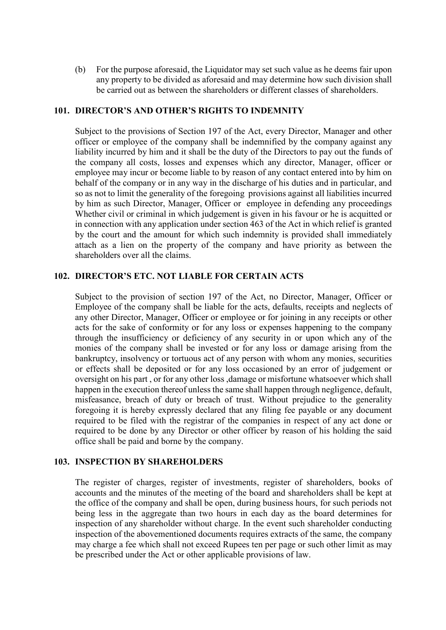(b) For the purpose aforesaid, the Liquidator may set such value as he deems fair upon any property to be divided as aforesaid and may determine how such division shall be carried out as between the shareholders or different classes of shareholders.

#### **101. DIRECTOR'S AND OTHER'S RIGHTS TO INDEMNITY**

Subject to the provisions of Section 197 of the Act, every Director, Manager and other officer or employee of the company shall be indemnified by the company against any liability incurred by him and it shall be the duty of the Directors to pay out the funds of the company all costs, losses and expenses which any director, Manager, officer or employee may incur or become liable to by reason of any contact entered into by him on behalf of the company or in any way in the discharge of his duties and in particular, and so as not to limit the generality of the foregoing provisions against all liabilities incurred by him as such Director, Manager, Officer or employee in defending any proceedings Whether civil or criminal in which judgement is given in his favour or he is acquitted or in connection with any application under section 463 of the Act in which relief is granted by the court and the amount for which such indemnity is provided shall immediately attach as a lien on the property of the company and have priority as between the shareholders over all the claims.

#### **102. DIRECTOR'S ETC. NOT LIABLE FOR CERTAIN ACTS**

Subject to the provision of section 197 of the Act, no Director, Manager, Officer or Employee of the company shall be liable for the acts, defaults, receipts and neglects of any other Director, Manager, Officer or employee or for joining in any receipts or other acts for the sake of conformity or for any loss or expenses happening to the company through the insufficiency or deficiency of any security in or upon which any of the monies of the company shall be invested or for any loss or damage arising from the bankruptcy, insolvency or tortuous act of any person with whom any monies, securities or effects shall be deposited or for any loss occasioned by an error of judgement or oversight on his part , or for any other loss ,damage or misfortune whatsoever which shall happen in the execution thereof unless the same shall happen through negligence, default, misfeasance, breach of duty or breach of trust. Without prejudice to the generality foregoing it is hereby expressly declared that any filing fee payable or any document required to be filed with the registrar of the companies in respect of any act done or required to be done by any Director or other officer by reason of his holding the said office shall be paid and borne by the company.

#### **103. INSPECTION BY SHAREHOLDERS**

The register of charges, register of investments, register of shareholders, books of accounts and the minutes of the meeting of the board and shareholders shall be kept at the office of the company and shall be open, during business hours, for such periods not being less in the aggregate than two hours in each day as the board determines for inspection of any shareholder without charge. In the event such shareholder conducting inspection of the abovementioned documents requires extracts of the same, the company may charge a fee which shall not exceed Rupees ten per page or such other limit as may be prescribed under the Act or other applicable provisions of law.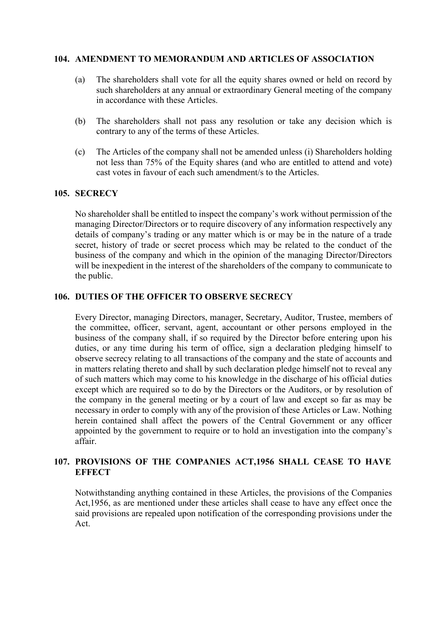#### **104. AMENDMENT TO MEMORANDUM AND ARTICLES OF ASSOCIATION**

- (a) The shareholders shall vote for all the equity shares owned or held on record by such shareholders at any annual or extraordinary General meeting of the company in accordance with these Articles.
- (b) The shareholders shall not pass any resolution or take any decision which is contrary to any of the terms of these Articles.
- (c) The Articles of the company shall not be amended unless (i) Shareholders holding not less than 75% of the Equity shares (and who are entitled to attend and vote) cast votes in favour of each such amendment/s to the Articles.

#### **105. SECRECY**

No shareholder shall be entitled to inspect the company's work without permission of the managing Director/Directors or to require discovery of any information respectively any details of company's trading or any matter which is or may be in the nature of a trade secret, history of trade or secret process which may be related to the conduct of the business of the company and which in the opinion of the managing Director/Directors will be inexpedient in the interest of the shareholders of the company to communicate to the public.

#### **106. DUTIES OF THE OFFICER TO OBSERVE SECRECY**

Every Director, managing Directors, manager, Secretary, Auditor, Trustee, members of the committee, officer, servant, agent, accountant or other persons employed in the business of the company shall, if so required by the Director before entering upon his duties, or any time during his term of office, sign a declaration pledging himself to observe secrecy relating to all transactions of the company and the state of accounts and in matters relating thereto and shall by such declaration pledge himself not to reveal any of such matters which may come to his knowledge in the discharge of his official duties except which are required so to do by the Directors or the Auditors, or by resolution of the company in the general meeting or by a court of law and except so far as may be necessary in order to comply with any of the provision of these Articles or Law. Nothing herein contained shall affect the powers of the Central Government or any officer appointed by the government to require or to hold an investigation into the company's affair.

## **107. PROVISIONS OF THE COMPANIES ACT,1956 SHALL CEASE TO HAVE EFFECT**

Notwithstanding anything contained in these Articles, the provisions of the Companies Act,1956, as are mentioned under these articles shall cease to have any effect once the said provisions are repealed upon notification of the corresponding provisions under the Act.